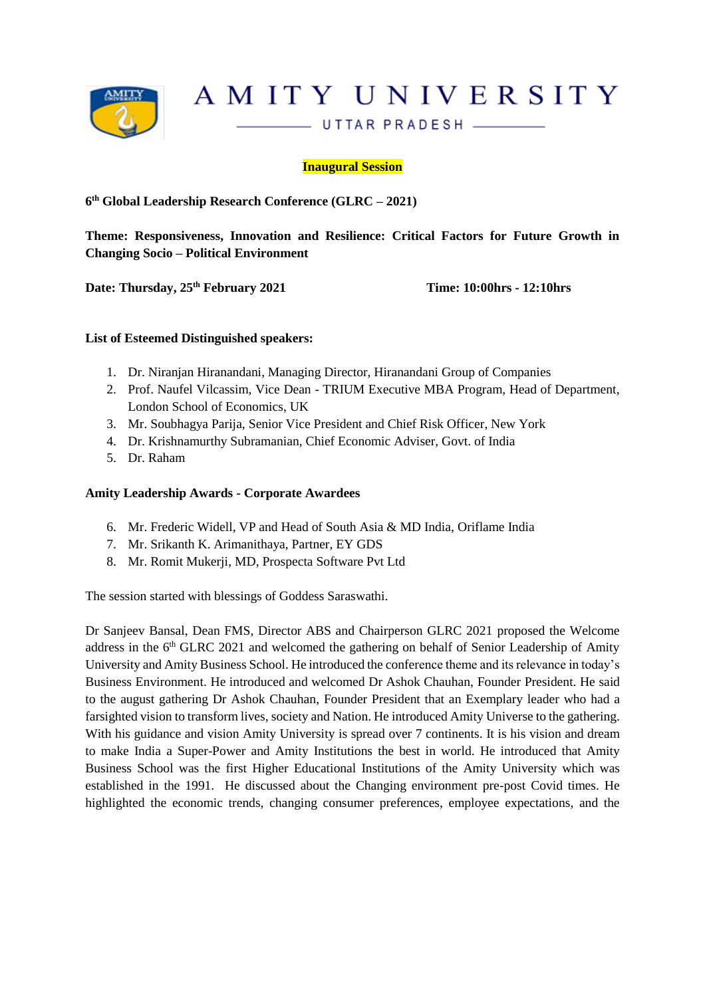

AMITY UNIVERSITY

UTTAR PRADESH \_\_\_\_\_

**Inaugural Session**

**6 th Global Leadership Research Conference (GLRC – 2021)**

**Theme: Responsiveness, Innovation and Resilience: Critical Factors for Future Growth in Changing Socio – Political Environment**

**Date: Thursday, 25th February 2021 Time: 10:00hrs - 12:10hrs**

#### **List of Esteemed Distinguished speakers:**

- 1. Dr. Niranjan Hiranandani, Managing Director, Hiranandani Group of Companies
- 2. Prof. Naufel Vilcassim, Vice Dean TRIUM Executive MBA Program, Head of Department, London School of Economics, UK
- 3. Mr. Soubhagya Parija, Senior Vice President and Chief Risk Officer, New York
- 4. Dr. Krishnamurthy Subramanian, Chief Economic Adviser, Govt. of India
- 5. Dr. Raham

#### **Amity Leadership Awards - Corporate Awardees**

- 6. Mr. Frederic Widell, VP and Head of South Asia & MD India, Oriflame India
- 7. Mr. Srikanth K. Arimanithaya, Partner, EY GDS
- 8. Mr. Romit Mukerji, MD, Prospecta Software Pvt Ltd

The session started with blessings of Goddess Saraswathi.

Dr Sanjeev Bansal, Dean FMS, Director ABS and Chairperson GLRC 2021 proposed the Welcome address in the 6<sup>th</sup> GLRC 2021 and welcomed the gathering on behalf of Senior Leadership of Amity University and Amity Business School. He introduced the conference theme and its relevance in today's Business Environment. He introduced and welcomed Dr Ashok Chauhan, Founder President. He said to the august gathering Dr Ashok Chauhan, Founder President that an Exemplary leader who had a farsighted vision to transform lives, society and Nation. He introduced Amity Universe to the gathering. With his guidance and vision Amity University is spread over 7 continents. It is his vision and dream to make India a Super-Power and Amity Institutions the best in world. He introduced that Amity Business School was the first Higher Educational Institutions of the Amity University which was established in the 1991. He discussed about the Changing environment pre-post Covid times. He highlighted the economic trends, changing consumer preferences, employee expectations, and the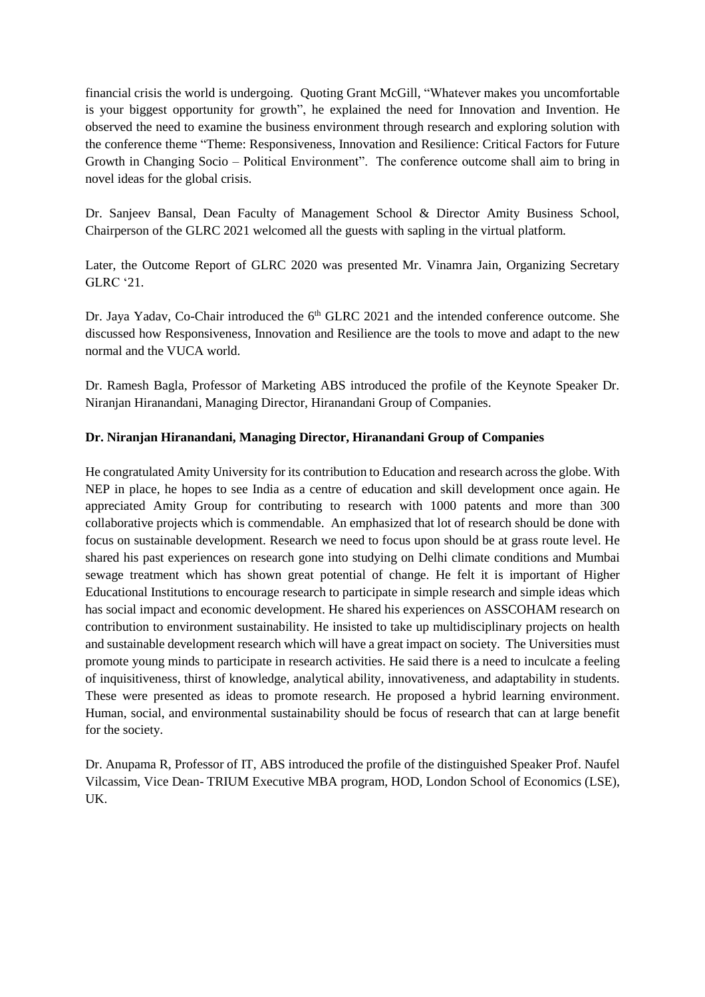financial crisis the world is undergoing. Quoting Grant McGill, "Whatever makes you uncomfortable is your biggest opportunity for growth", he explained the need for Innovation and Invention. He observed the need to examine the business environment through research and exploring solution with the conference theme "Theme: Responsiveness, Innovation and Resilience: Critical Factors for Future Growth in Changing Socio – Political Environment". The conference outcome shall aim to bring in novel ideas for the global crisis.

Dr. Sanjeev Bansal, Dean Faculty of Management School & Director Amity Business School, Chairperson of the GLRC 2021 welcomed all the guests with sapling in the virtual platform.

Later, the Outcome Report of GLRC 2020 was presented Mr. Vinamra Jain, Organizing Secretary GLRC '21.

Dr. Jaya Yadav, Co-Chair introduced the 6<sup>th</sup> GLRC 2021 and the intended conference outcome. She discussed how Responsiveness, Innovation and Resilience are the tools to move and adapt to the new normal and the VUCA world.

Dr. Ramesh Bagla, Professor of Marketing ABS introduced the profile of the Keynote Speaker Dr. Niranjan Hiranandani, Managing Director, Hiranandani Group of Companies.

# **Dr. Niranjan Hiranandani, Managing Director, Hiranandani Group of Companies**

He congratulated Amity University for its contribution to Education and research across the globe. With NEP in place, he hopes to see India as a centre of education and skill development once again. He appreciated Amity Group for contributing to research with 1000 patents and more than 300 collaborative projects which is commendable. An emphasized that lot of research should be done with focus on sustainable development. Research we need to focus upon should be at grass route level. He shared his past experiences on research gone into studying on Delhi climate conditions and Mumbai sewage treatment which has shown great potential of change. He felt it is important of Higher Educational Institutions to encourage research to participate in simple research and simple ideas which has social impact and economic development. He shared his experiences on ASSCOHAM research on contribution to environment sustainability. He insisted to take up multidisciplinary projects on health and sustainable development research which will have a great impact on society. The Universities must promote young minds to participate in research activities. He said there is a need to inculcate a feeling of inquisitiveness, thirst of knowledge, analytical ability, innovativeness, and adaptability in students. These were presented as ideas to promote research. He proposed a hybrid learning environment. Human, social, and environmental sustainability should be focus of research that can at large benefit for the society.

Dr. Anupama R, Professor of IT, ABS introduced the profile of the distinguished Speaker Prof. Naufel Vilcassim, Vice Dean- TRIUM Executive MBA program, HOD, London School of Economics (LSE), UK.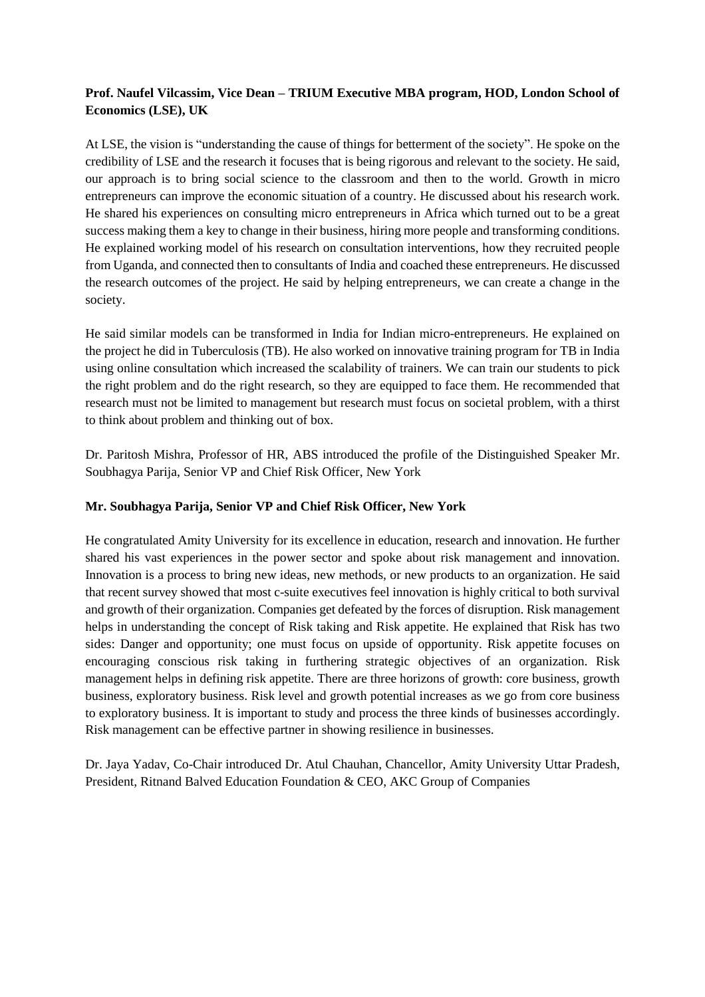# **Prof. Naufel Vilcassim, Vice Dean – TRIUM Executive MBA program, HOD, London School of Economics (LSE), UK**

At LSE, the vision is "understanding the cause of things for betterment of the society". He spoke on the credibility of LSE and the research it focuses that is being rigorous and relevant to the society. He said, our approach is to bring social science to the classroom and then to the world. Growth in micro entrepreneurs can improve the economic situation of a country. He discussed about his research work. He shared his experiences on consulting micro entrepreneurs in Africa which turned out to be a great success making them a key to change in their business, hiring more people and transforming conditions. He explained working model of his research on consultation interventions, how they recruited people from Uganda, and connected then to consultants of India and coached these entrepreneurs. He discussed the research outcomes of the project. He said by helping entrepreneurs, we can create a change in the society.

He said similar models can be transformed in India for Indian micro-entrepreneurs. He explained on the project he did in Tuberculosis (TB). He also worked on innovative training program for TB in India using online consultation which increased the scalability of trainers. We can train our students to pick the right problem and do the right research, so they are equipped to face them. He recommended that research must not be limited to management but research must focus on societal problem, with a thirst to think about problem and thinking out of box.

Dr. Paritosh Mishra, Professor of HR, ABS introduced the profile of the Distinguished Speaker Mr. Soubhagya Parija, Senior VP and Chief Risk Officer, New York

## **Mr. Soubhagya Parija, Senior VP and Chief Risk Officer, New York**

He congratulated Amity University for its excellence in education, research and innovation. He further shared his vast experiences in the power sector and spoke about risk management and innovation. Innovation is a process to bring new ideas, new methods, or new products to an organization. He said that recent survey showed that most c-suite executives feel innovation is highly critical to both survival and growth of their organization. Companies get defeated by the forces of disruption. Risk management helps in understanding the concept of Risk taking and Risk appetite. He explained that Risk has two sides: Danger and opportunity; one must focus on upside of opportunity. Risk appetite focuses on encouraging conscious risk taking in furthering strategic objectives of an organization. Risk management helps in defining risk appetite. There are three horizons of growth: core business, growth business, exploratory business. Risk level and growth potential increases as we go from core business to exploratory business. It is important to study and process the three kinds of businesses accordingly. Risk management can be effective partner in showing resilience in businesses.

Dr. Jaya Yadav, Co-Chair introduced Dr. Atul Chauhan, Chancellor, Amity University Uttar Pradesh, President, Ritnand Balved Education Foundation & CEO, AKC Group of Companies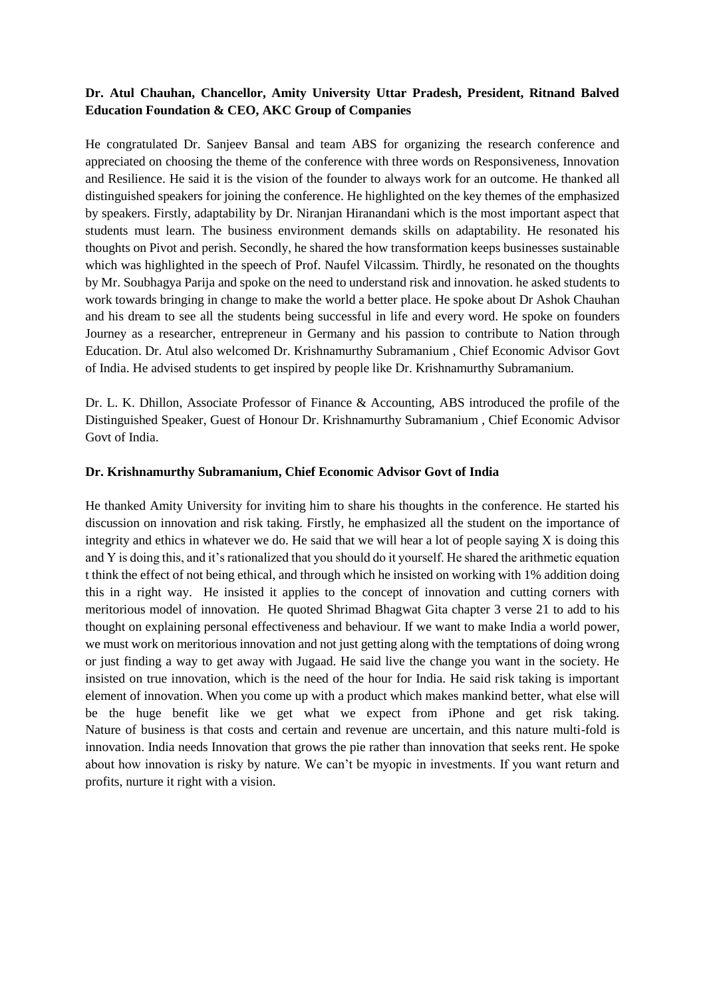## **Dr. Atul Chauhan, Chancellor, Amity University Uttar Pradesh, President, Ritnand Balved Education Foundation & CEO, AKC Group of Companies**

He congratulated Dr. Sanjeev Bansal and team ABS for organizing the research conference and appreciated on choosing the theme of the conference with three words on Responsiveness, Innovation and Resilience. He said it is the vision of the founder to always work for an outcome. He thanked all distinguished speakers for joining the conference. He highlighted on the key themes of the emphasized by speakers. Firstly, adaptability by Dr. Niranjan Hiranandani which is the most important aspect that students must learn. The business environment demands skills on adaptability. He resonated his thoughts on Pivot and perish. Secondly, he shared the how transformation keeps businesses sustainable which was highlighted in the speech of Prof. Naufel Vilcassim. Thirdly, he resonated on the thoughts by Mr. Soubhagya Parija and spoke on the need to understand risk and innovation. he asked students to work towards bringing in change to make the world a better place. He spoke about Dr Ashok Chauhan and his dream to see all the students being successful in life and every word. He spoke on founders Journey as a researcher, entrepreneur in Germany and his passion to contribute to Nation through Education. Dr. Atul also welcomed Dr. Krishnamurthy Subramanium , Chief Economic Advisor Govt of India. He advised students to get inspired by people like Dr. Krishnamurthy Subramanium.

Dr. L. K. Dhillon, Associate Professor of Finance & Accounting, ABS introduced the profile of the Distinguished Speaker, Guest of Honour Dr. Krishnamurthy Subramanium , Chief Economic Advisor Govt of India.

#### **Dr. Krishnamurthy Subramanium, Chief Economic Advisor Govt of India**

He thanked Amity University for inviting him to share his thoughts in the conference. He started his discussion on innovation and risk taking. Firstly, he emphasized all the student on the importance of integrity and ethics in whatever we do. He said that we will hear a lot of people saying  $X$  is doing this and Y is doing this, and it's rationalized that you should do it yourself. He shared the arithmetic equation t think the effect of not being ethical, and through which he insisted on working with 1% addition doing this in a right way. He insisted it applies to the concept of innovation and cutting corners with meritorious model of innovation. He quoted Shrimad Bhagwat Gita chapter 3 verse 21 to add to his thought on explaining personal effectiveness and behaviour. If we want to make India a world power, we must work on meritorious innovation and not just getting along with the temptations of doing wrong or just finding a way to get away with Jugaad. He said live the change you want in the society. He insisted on true innovation, which is the need of the hour for India. He said risk taking is important element of innovation. When you come up with a product which makes mankind better, what else will be the huge benefit like we get what we expect from iPhone and get risk taking. Nature of business is that costs and certain and revenue are uncertain, and this nature multi-fold is innovation. India needs Innovation that grows the pie rather than innovation that seeks rent. He spoke about how innovation is risky by nature. We can't be myopic in investments. If you want return and profits, nurture it right with a vision.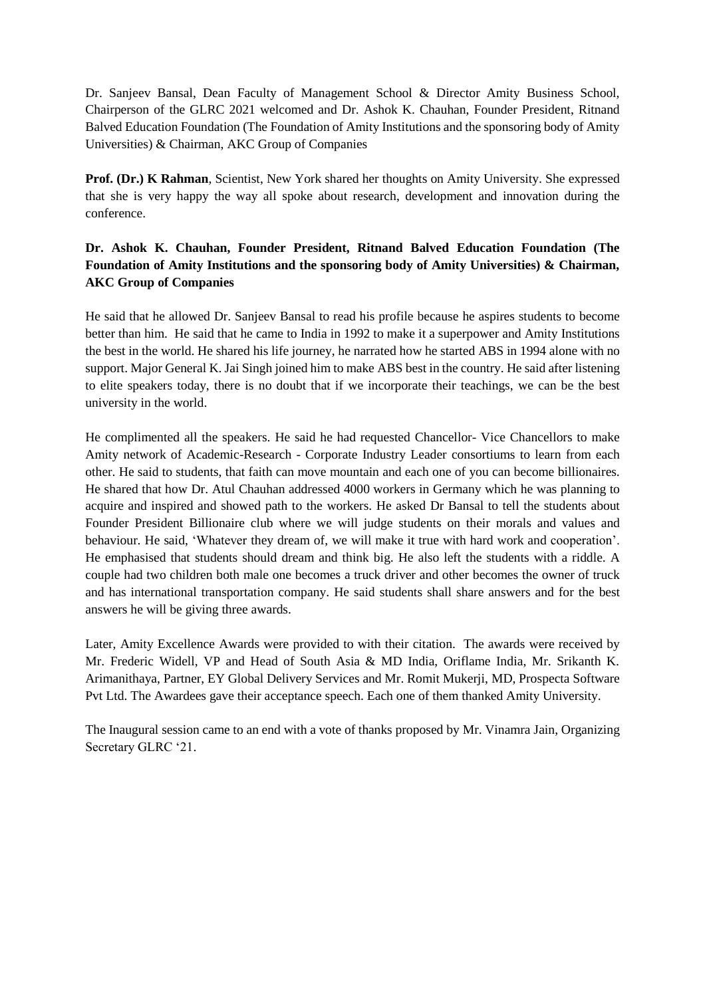Dr. Sanjeev Bansal, Dean Faculty of Management School & Director Amity Business School, Chairperson of the GLRC 2021 welcomed and Dr. Ashok K. Chauhan, Founder President, Ritnand Balved Education Foundation (The Foundation of Amity Institutions and the sponsoring body of Amity Universities) & Chairman, AKC Group of Companies

**Prof. (Dr.) K Rahman**, Scientist, New York shared her thoughts on Amity University. She expressed that she is very happy the way all spoke about research, development and innovation during the conference.

# **Dr. Ashok K. Chauhan, Founder President, Ritnand Balved Education Foundation (The Foundation of Amity Institutions and the sponsoring body of Amity Universities) & Chairman, AKC Group of Companies**

He said that he allowed Dr. Sanjeev Bansal to read his profile because he aspires students to become better than him. He said that he came to India in 1992 to make it a superpower and Amity Institutions the best in the world. He shared his life journey, he narrated how he started ABS in 1994 alone with no support. Major General K. Jai Singh joined him to make ABS best in the country. He said after listening to elite speakers today, there is no doubt that if we incorporate their teachings, we can be the best university in the world.

He complimented all the speakers. He said he had requested Chancellor- Vice Chancellors to make Amity network of Academic-Research - Corporate Industry Leader consortiums to learn from each other. He said to students, that faith can move mountain and each one of you can become billionaires. He shared that how Dr. Atul Chauhan addressed 4000 workers in Germany which he was planning to acquire and inspired and showed path to the workers. He asked Dr Bansal to tell the students about Founder President Billionaire club where we will judge students on their morals and values and behaviour. He said, 'Whatever they dream of, we will make it true with hard work and cooperation'. He emphasised that students should dream and think big. He also left the students with a riddle. A couple had two children both male one becomes a truck driver and other becomes the owner of truck and has international transportation company. He said students shall share answers and for the best answers he will be giving three awards.

Later, Amity Excellence Awards were provided to with their citation. The awards were received by Mr. Frederic Widell, VP and Head of South Asia & MD India, Oriflame India, Mr. Srikanth K. Arimanithaya, Partner, EY Global Delivery Services and Mr. Romit Mukerji, MD, Prospecta Software Pvt Ltd. The Awardees gave their acceptance speech. Each one of them thanked Amity University.

The Inaugural session came to an end with a vote of thanks proposed by Mr. Vinamra Jain, Organizing Secretary GLRC '21.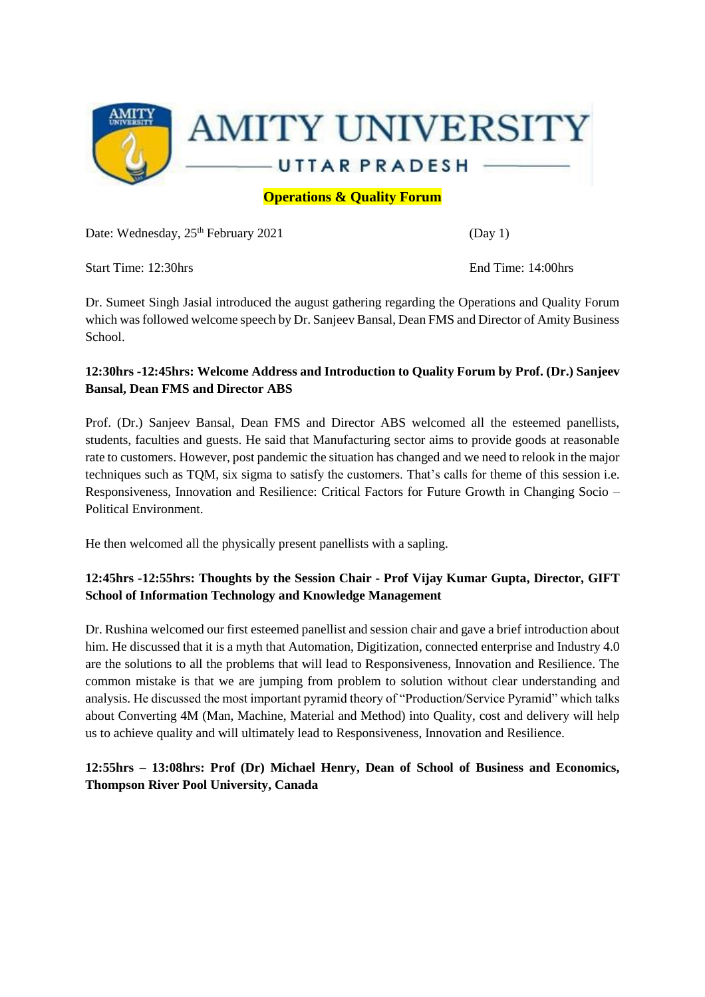

**Operations & Quality Forum** 

Date: Wednesday,  $25^{th}$  February 2021 (Day 1)

Start Time: 12:30hrs End Time: 14:00hrs

Dr. Sumeet Singh Jasial introduced the august gathering regarding the Operations and Quality Forum which was followed welcome speech by Dr. Sanjeev Bansal, Dean FMS and Director of Amity Business School.

# **12:30hrs -12:45hrs: Welcome Address and Introduction to Quality Forum by Prof. (Dr.) Sanjeev Bansal, Dean FMS and Director ABS**

Prof. (Dr.) Sanjeev Bansal, Dean FMS and Director ABS welcomed all the esteemed panellists, students, faculties and guests. He said that Manufacturing sector aims to provide goods at reasonable rate to customers. However, post pandemic the situation has changed and we need to relook in the major techniques such as TQM, six sigma to satisfy the customers. That's calls for theme of this session i.e. Responsiveness, Innovation and Resilience: Critical Factors for Future Growth in Changing Socio – Political Environment.

He then welcomed all the physically present panellists with a sapling.

# **12:45hrs -12:55hrs: Thoughts by the Session Chair - Prof Vijay Kumar Gupta, Director, GIFT School of Information Technology and Knowledge Management**

Dr. Rushina welcomed our first esteemed panellist and session chair and gave a brief introduction about him. He discussed that it is a myth that Automation, Digitization, connected enterprise and Industry 4.0 are the solutions to all the problems that will lead to Responsiveness, Innovation and Resilience. The common mistake is that we are jumping from problem to solution without clear understanding and analysis. He discussed the most important pyramid theory of "Production/Service Pyramid" which talks about Converting 4M (Man, Machine, Material and Method) into Quality, cost and delivery will help us to achieve quality and will ultimately lead to Responsiveness, Innovation and Resilience.

**12:55hrs – 13:08hrs: Prof (Dr) Michael Henry, Dean of School of Business and Economics, Thompson River Pool University, Canada**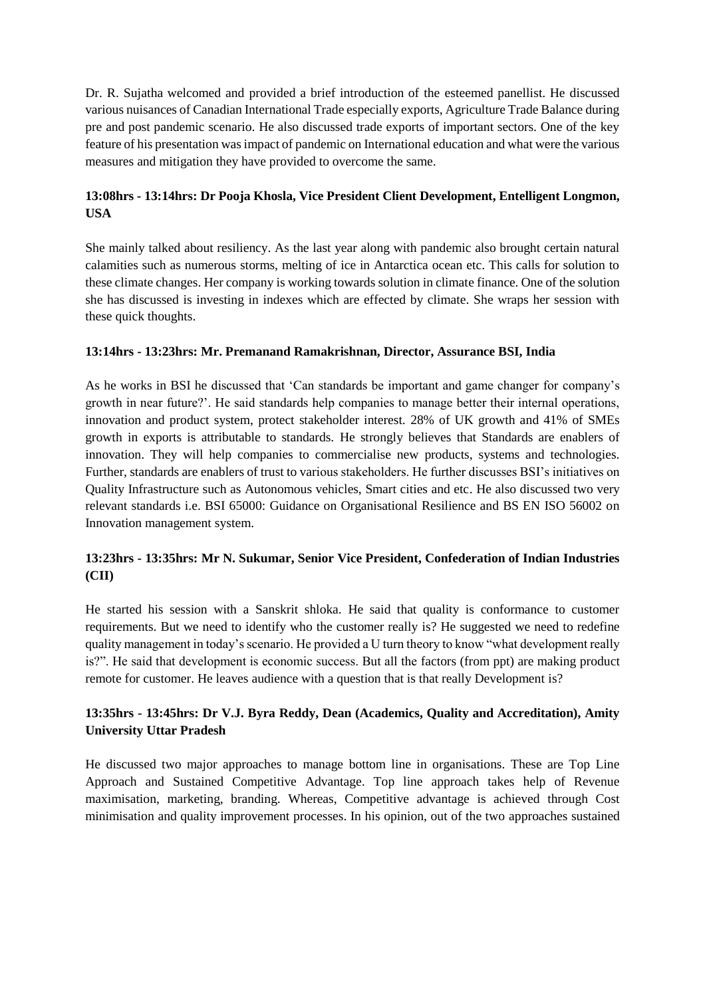Dr. R. Sujatha welcomed and provided a brief introduction of the esteemed panellist. He discussed various nuisances of Canadian International Trade especially exports, Agriculture Trade Balance during pre and post pandemic scenario. He also discussed trade exports of important sectors. One of the key feature of his presentation was impact of pandemic on International education and what were the various measures and mitigation they have provided to overcome the same.

# **13:08hrs - 13:14hrs: Dr Pooja Khosla, Vice President Client Development, Entelligent Longmon, USA**

She mainly talked about resiliency. As the last year along with pandemic also brought certain natural calamities such as numerous storms, melting of ice in Antarctica ocean etc. This calls for solution to these climate changes. Her company is working towards solution in climate finance. One of the solution she has discussed is investing in indexes which are effected by climate. She wraps her session with these quick thoughts.

## **13:14hrs - 13:23hrs: Mr. Premanand Ramakrishnan, Director, Assurance BSI, India**

As he works in BSI he discussed that 'Can standards be important and game changer for company's growth in near future?'. He said standards help companies to manage better their internal operations, innovation and product system, protect stakeholder interest. 28% of UK growth and 41% of SMEs growth in exports is attributable to standards. He strongly believes that Standards are enablers of innovation. They will help companies to commercialise new products, systems and technologies. Further, standards are enablers of trust to various stakeholders. He further discusses BSI's initiatives on Quality Infrastructure such as Autonomous vehicles, Smart cities and etc. He also discussed two very relevant standards i.e. BSI 65000: Guidance on Organisational Resilience and BS EN ISO 56002 on Innovation management system.

# **13:23hrs - 13:35hrs: Mr N. Sukumar, Senior Vice President, Confederation of Indian Industries (CII)**

He started his session with a Sanskrit shloka. He said that quality is conformance to customer requirements. But we need to identify who the customer really is? He suggested we need to redefine quality management in today's scenario. He provided a U turn theory to know "what development really is?". He said that development is economic success. But all the factors (from ppt) are making product remote for customer. He leaves audience with a question that is that really Development is?

# **13:35hrs - 13:45hrs: Dr V.J. Byra Reddy, Dean (Academics, Quality and Accreditation), Amity University Uttar Pradesh**

He discussed two major approaches to manage bottom line in organisations. These are Top Line Approach and Sustained Competitive Advantage. Top line approach takes help of Revenue maximisation, marketing, branding. Whereas, Competitive advantage is achieved through Cost minimisation and quality improvement processes. In his opinion, out of the two approaches sustained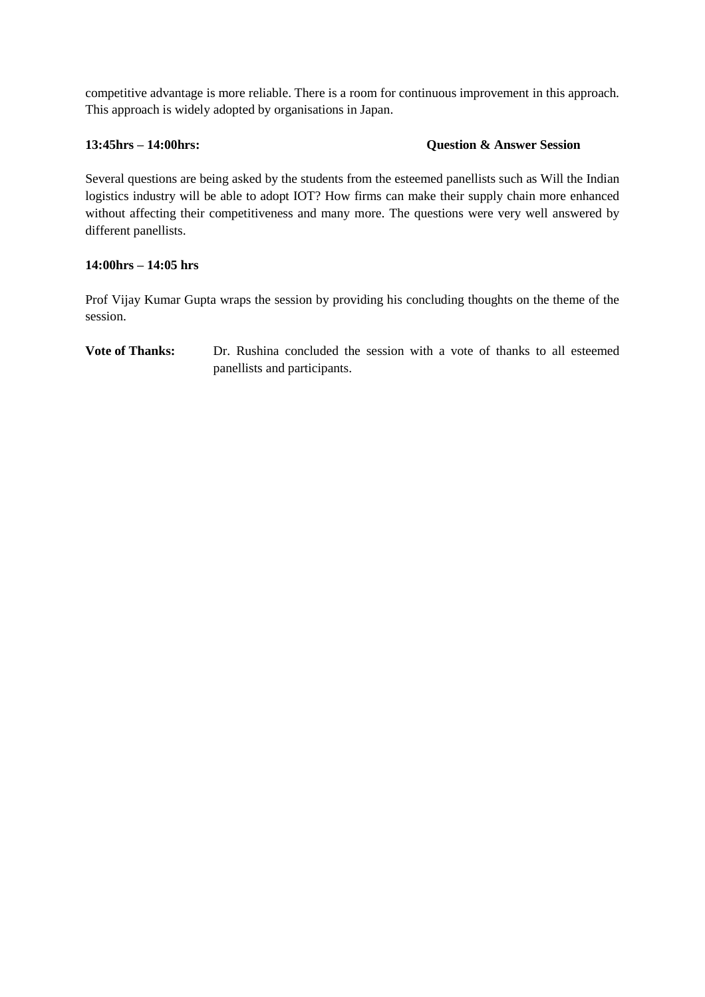competitive advantage is more reliable. There is a room for continuous improvement in this approach. This approach is widely adopted by organisations in Japan.

## **13:45hrs – 14:00hrs: Question & Answer Session**

Several questions are being asked by the students from the esteemed panellists such as Will the Indian logistics industry will be able to adopt IOT? How firms can make their supply chain more enhanced without affecting their competitiveness and many more. The questions were very well answered by different panellists.

## **14:00hrs – 14:05 hrs**

Prof Vijay Kumar Gupta wraps the session by providing his concluding thoughts on the theme of the session.

**Vote of Thanks:** Dr. Rushina concluded the session with a vote of thanks to all esteemed panellists and participants.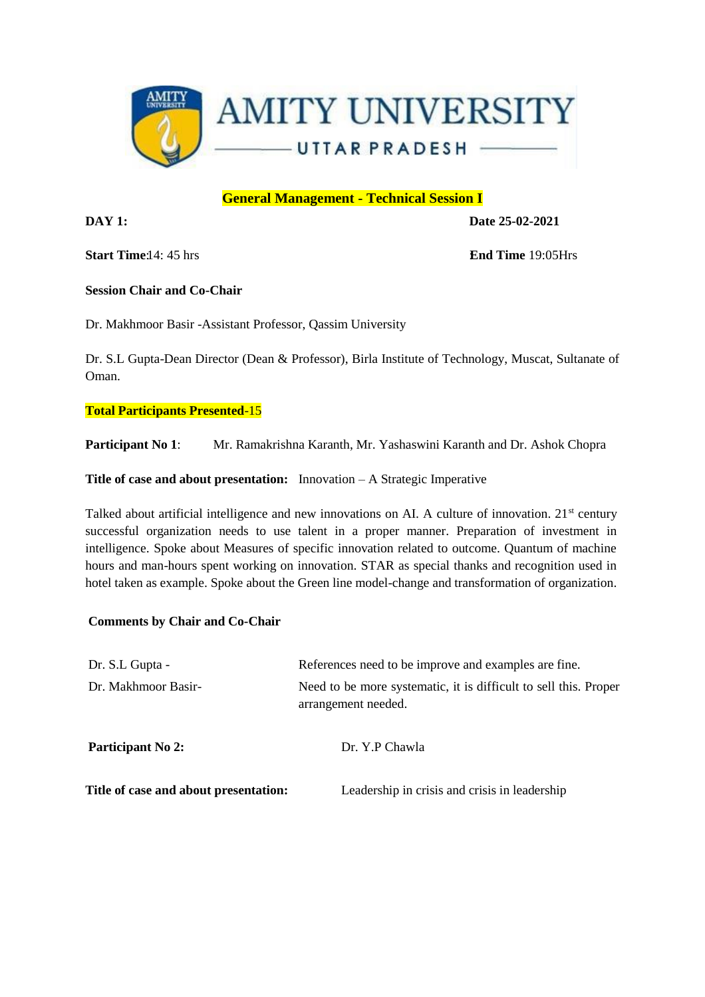

# **General Management - Technical Session I**

**DAY 1: Date 25-02-2021** 

**Start Time**: 14: 45 hrs :**End Time** 19:05Hrs

## **Session Chair and Co-Chair**

Dr. Makhmoor Basir -Assistant Professor, Qassim University

Dr. S.L Gupta-Dean Director (Dean & Professor), Birla Institute of Technology, Muscat, Sultanate of Oman.

# **Total Participants Presented**-15

**Participant No 1**: Mr. Ramakrishna Karanth, Mr. Yashaswini Karanth and Dr. Ashok Chopra

**Title of case and about presentation:** Innovation – A Strategic Imperative

Talked about artificial intelligence and new innovations on AI. A culture of innovation. 21<sup>st</sup> century successful organization needs to use talent in a proper manner. Preparation of investment in intelligence. Spoke about Measures of specific innovation related to outcome. Quantum of machine hours and man-hours spent working on innovation. STAR as special thanks and recognition used in hotel taken as example. Spoke about the Green line model-change and transformation of organization.

# **Comments by Chair and Co-Chair**

| Dr. S.L Gupta -                       | References need to be improve and examples are fine.                                    |  |  |
|---------------------------------------|-----------------------------------------------------------------------------------------|--|--|
| Dr. Makhmoor Basir-                   | Need to be more systematic, it is difficult to sell this. Proper<br>arrangement needed. |  |  |
| Participant No 2:                     | Dr. Y.P Chawla                                                                          |  |  |
| Title of case and about presentation: | Leadership in crisis and crisis in leadership                                           |  |  |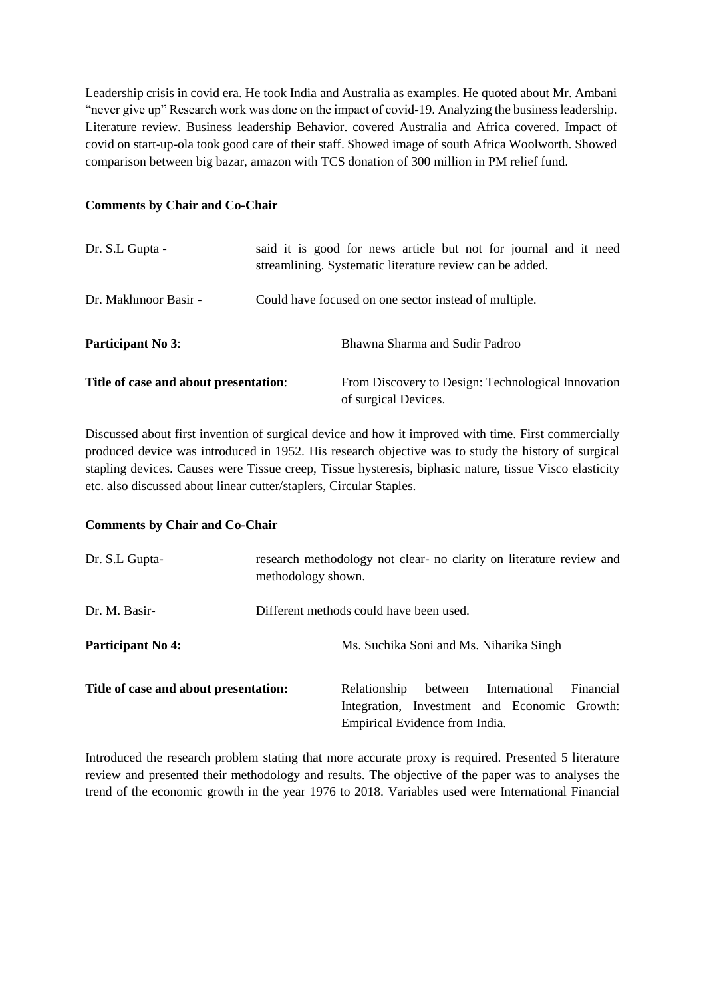Leadership crisis in covid era. He took India and Australia as examples. He quoted about Mr. Ambani "never give up" Research work was done on the impact of covid-19. Analyzing the business leadership. Literature review. Business leadership Behavior. covered Australia and Africa covered. Impact of covid on start-up-ola took good care of their staff. Showed image of south Africa Woolworth. Showed comparison between big bazar, amazon with TCS donation of 300 million in PM relief fund.

#### **Comments by Chair and Co-Chair**

| Dr. S.L Gupta -                       | said it is good for news article but not for journal and it need<br>streamlining. Systematic literature review can be added. |
|---------------------------------------|------------------------------------------------------------------------------------------------------------------------------|
| Dr. Makhmoor Basir -                  | Could have focused on one sector instead of multiple.                                                                        |
| <b>Participant No 3:</b>              | Bhawna Sharma and Sudir Padroo                                                                                               |
| Title of case and about presentation: | From Discovery to Design: Technological Innovation<br>of surgical Devices.                                                   |

Discussed about first invention of surgical device and how it improved with time. First commercially produced device was introduced in 1952. His research objective was to study the history of surgical stapling devices. Causes were Tissue creep, Tissue hysteresis, biphasic nature, tissue Visco elasticity etc. also discussed about linear cutter/staplers, Circular Staples.

## **Comments by Chair and Co-Chair**

| Dr. S.L Gupta-                        | research methodology not clear- no clarity on literature review and<br>methodology shown. |                                                                                |                       |  |           |
|---------------------------------------|-------------------------------------------------------------------------------------------|--------------------------------------------------------------------------------|-----------------------|--|-----------|
| Dr. M. Basir-                         | Different methods could have been used.                                                   |                                                                                |                       |  |           |
| <b>Participant No 4:</b>              |                                                                                           | Ms. Suchika Soni and Ms. Niharika Singh                                        |                       |  |           |
| Title of case and about presentation: |                                                                                           | Relationship                                                                   | between International |  | Financial |
|                                       |                                                                                           | Integration, Investment and Economic Growth:<br>Empirical Evidence from India. |                       |  |           |

Introduced the research problem stating that more accurate proxy is required. Presented 5 literature review and presented their methodology and results. The objective of the paper was to analyses the trend of the economic growth in the year 1976 to 2018. Variables used were International Financial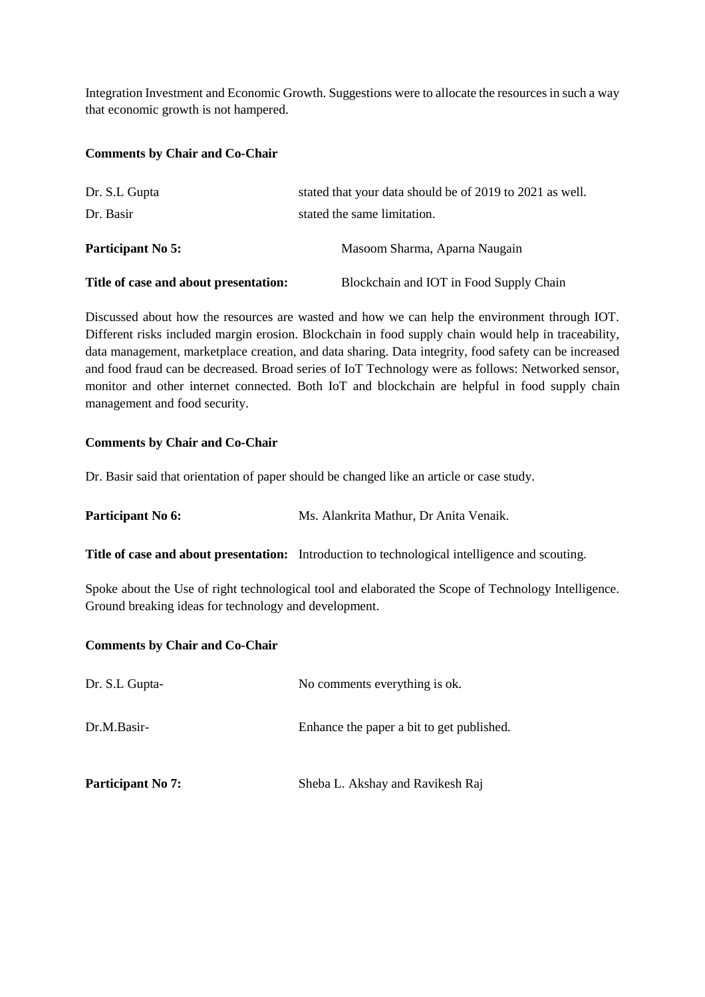Integration Investment and Economic Growth. Suggestions were to allocate the resources in such a way that economic growth is not hampered.

#### **Comments by Chair and Co-Chair**

| Dr. S.L Gupta                         | stated that your data should be of 2019 to 2021 as well. |
|---------------------------------------|----------------------------------------------------------|
| Dr. Basir                             | stated the same limitation.                              |
| <b>Participant No 5:</b>              | Masoom Sharma, Aparna Naugain                            |
| Title of case and about presentation: | Blockchain and IOT in Food Supply Chain                  |

Discussed about how the resources are wasted and how we can help the environment through IOT. Different risks included margin erosion. Blockchain in food supply chain would help in traceability, data management, marketplace creation, and data sharing. Data integrity, food safety can be increased and food fraud can be decreased. Broad series of IoT Technology were as follows: Networked sensor, monitor and other internet connected. Both IoT and blockchain are helpful in food supply chain management and food security.

#### **Comments by Chair and Co-Chair**

Dr. Basir said that orientation of paper should be changed like an article or case study.

**Participant No 6:** Ms. Alankrita Mathur, Dr Anita Venaik.

**Title of case and about presentation:** Introduction to technological intelligence and scouting.

Spoke about the Use of right technological tool and elaborated the Scope of Technology Intelligence. Ground breaking ideas for technology and development.

#### **Comments by Chair and Co-Chair**

| Dr. S.L Gupta-           | No comments everything is ok.             |  |  |
|--------------------------|-------------------------------------------|--|--|
| Dr.M.Basir-              | Enhance the paper a bit to get published. |  |  |
| <b>Participant No 7:</b> | Sheba L. Akshay and Ravikesh Raj          |  |  |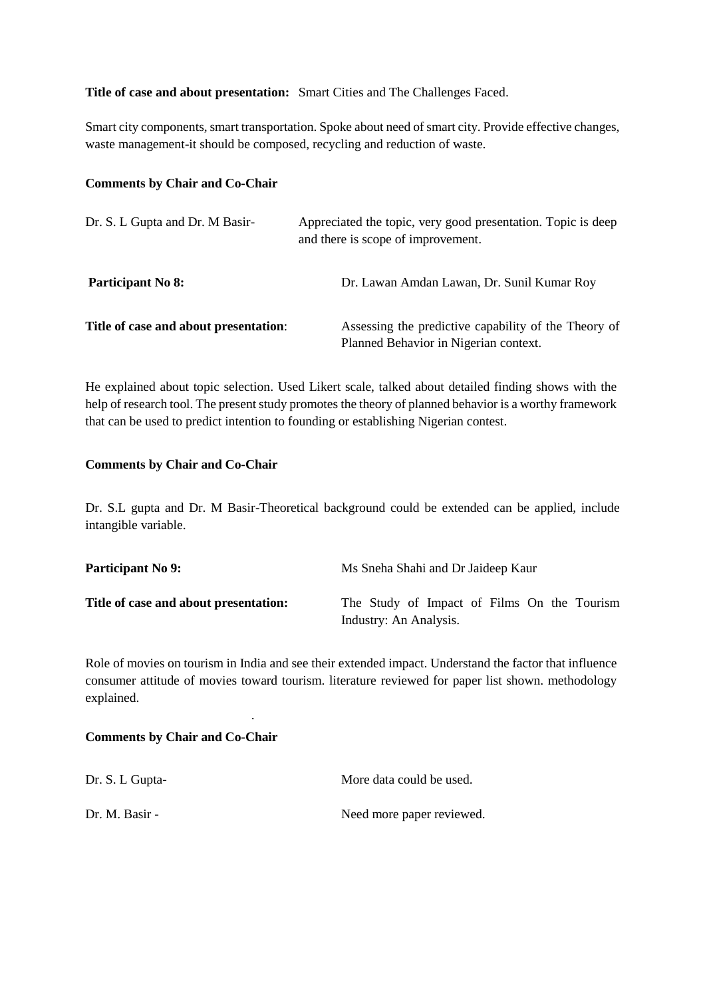## **Title of case and about presentation:** Smart Cities and The Challenges Faced.

Smart city components, smart transportation. Spoke about need of smart city. Provide effective changes, waste management-it should be composed, recycling and reduction of waste.

#### **Comments by Chair and Co-Chair**

| Dr. S. L Gupta and Dr. M Basir-       | Appreciated the topic, very good presentation. Topic is deep<br>and there is scope of improvement. |
|---------------------------------------|----------------------------------------------------------------------------------------------------|
| <b>Participant No 8:</b>              | Dr. Lawan Amdan Lawan, Dr. Sunil Kumar Roy                                                         |
| Title of case and about presentation: | Assessing the predictive capability of the Theory of<br>Planned Behavior in Nigerian context.      |

He explained about topic selection. Used Likert scale, talked about detailed finding shows with the help of research tool. The present study promotes the theory of planned behavior is a worthy framework that can be used to predict intention to founding or establishing Nigerian contest.

#### **Comments by Chair and Co-Chair**

Dr. S.L gupta and Dr. M Basir-Theoretical background could be extended can be applied, include intangible variable.

| <b>Participant No 9:</b>              | Ms Sneha Shahi and Dr Jaideep Kaur                                    |
|---------------------------------------|-----------------------------------------------------------------------|
| Title of case and about presentation: | The Study of Impact of Films On the Tourism<br>Industry: An Analysis. |

Role of movies on tourism in India and see their extended impact. Understand the factor that influence consumer attitude of movies toward tourism. literature reviewed for paper list shown. methodology explained.

#### **Comments by Chair and Co-Chair**

| Dr. S. L Gupta- | More data could be used.  |
|-----------------|---------------------------|
| Dr. M. Basir -  | Need more paper reviewed. |

.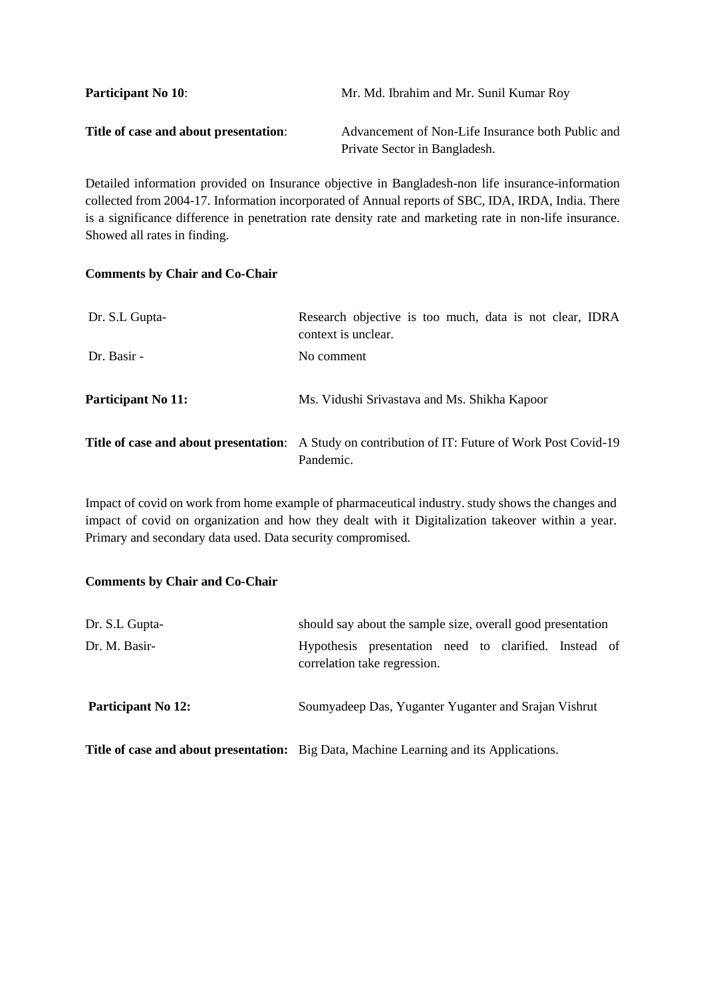| <b>Participant No 10:</b>             | Mr. Md. Ibrahim and Mr. Sunil Kumar Roy           |
|---------------------------------------|---------------------------------------------------|
| Title of case and about presentation: | Advancement of Non-Life Insurance both Public and |
|                                       | Private Sector in Bangladesh.                     |

Detailed information provided on Insurance objective in Bangladesh-non life insurance-information collected from 2004-17. Information incorporated of Annual reports of SBC, IDA, IRDA, India. There is a significance difference in penetration rate density rate and marketing rate in non-life insurance. Showed all rates in finding.

#### **Comments by Chair and Co-Chair**

| Dr. S.L Gupta-            | Research objective is too much, data is not clear, IDRA<br>context is unclear.                                        |
|---------------------------|-----------------------------------------------------------------------------------------------------------------------|
| Dr. Basir -               | No comment                                                                                                            |
| <b>Participant No 11:</b> | Ms. Vidushi Srivastava and Ms. Shikha Kapoor                                                                          |
|                           | <b>Title of case and about presentation:</b> A Study on contribution of IT: Future of Work Post Covid-19<br>Pandemic. |

Impact of covid on work from home example of pharmaceutical industry. study shows the changes and impact of covid on organization and how they dealt with it Digitalization takeover within a year. Primary and secondary data used. Data security compromised.

## **Comments by Chair and Co-Chair**

| Dr. S.L Gupta-            | should say about the sample size, overall good presentation                                   |
|---------------------------|-----------------------------------------------------------------------------------------------|
| Dr. M. Basir-             | Hypothesis presentation need to clarified. Instead of<br>correlation take regression.         |
| <b>Participant No 12:</b> | Soumyadeep Das, Yuganter Yuganter and Srajan Vishrut                                          |
|                           | <b>Title of case and about presentation:</b> Big Data, Machine Learning and its Applications. |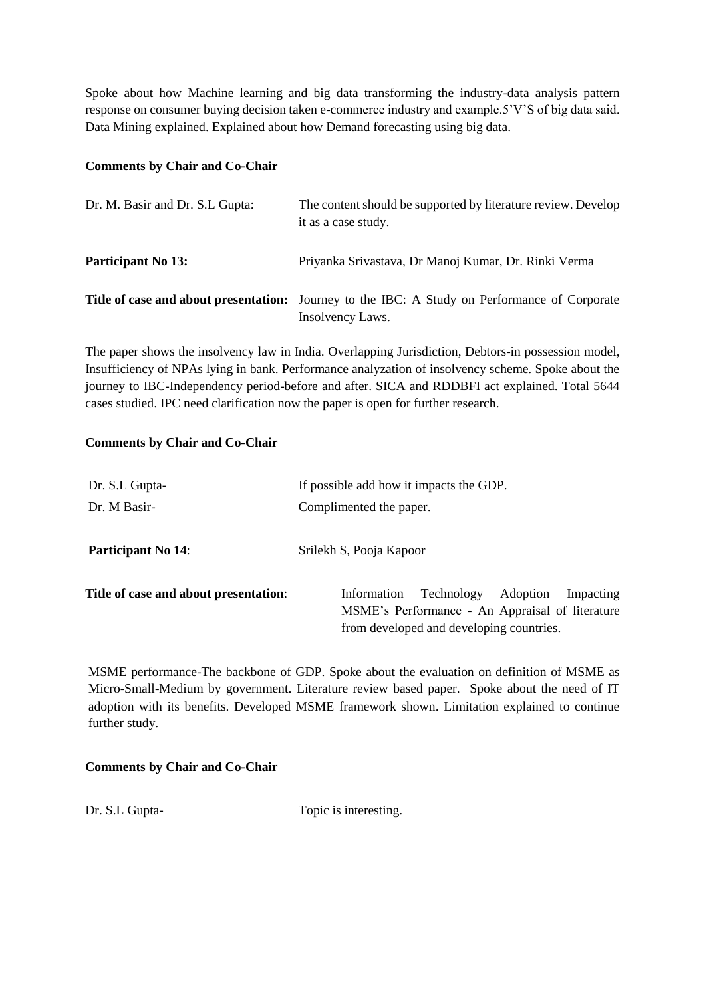Spoke about how Machine learning and big data transforming the industry-data analysis pattern response on consumer buying decision taken e-commerce industry and example.5'V'S of big data said. Data Mining explained. Explained about how Demand forecasting using big data.

#### **Comments by Chair and Co-Chair**

| Dr. M. Basir and Dr. S.L Gupta: | The content should be supported by literature review. Develop<br>it as a case study.                              |
|---------------------------------|-------------------------------------------------------------------------------------------------------------------|
| <b>Participant No 13:</b>       | Priyanka Srivastava, Dr Manoj Kumar, Dr. Rinki Verma                                                              |
|                                 | Title of case and about presentation: Journey to the IBC: A Study on Performance of Corporate<br>Insolvency Laws. |

The paper shows the insolvency law in India. Overlapping Jurisdiction, Debtors-in possession model, Insufficiency of NPAs lying in bank. Performance analyzation of insolvency scheme. Spoke about the journey to IBC-Independency period-before and after. SICA and RDDBFI act explained. Total 5644 cases studied. IPC need clarification now the paper is open for further research.

#### **Comments by Chair and Co-Chair**

| Dr. S.L Gupta-                        | If possible add how it impacts the GDP.                                                                                                           |
|---------------------------------------|---------------------------------------------------------------------------------------------------------------------------------------------------|
| Dr. M Basir-                          | Complimented the paper.                                                                                                                           |
| <b>Participant No 14:</b>             | Srilekh S, Pooja Kapoor                                                                                                                           |
| Title of case and about presentation: | Technology<br>Information<br>Adoption<br>Impacting<br>MSME's Performance - An Appraisal of literature<br>from developed and developing countries. |

MSME performance-The backbone of GDP. Spoke about the evaluation on definition of MSME as Micro-Small-Medium by government. Literature review based paper. Spoke about the need of IT adoption with its benefits. Developed MSME framework shown. Limitation explained to continue further study.

## **Comments by Chair and Co-Chair**

Dr. S.L Gupta- Topic is interesting.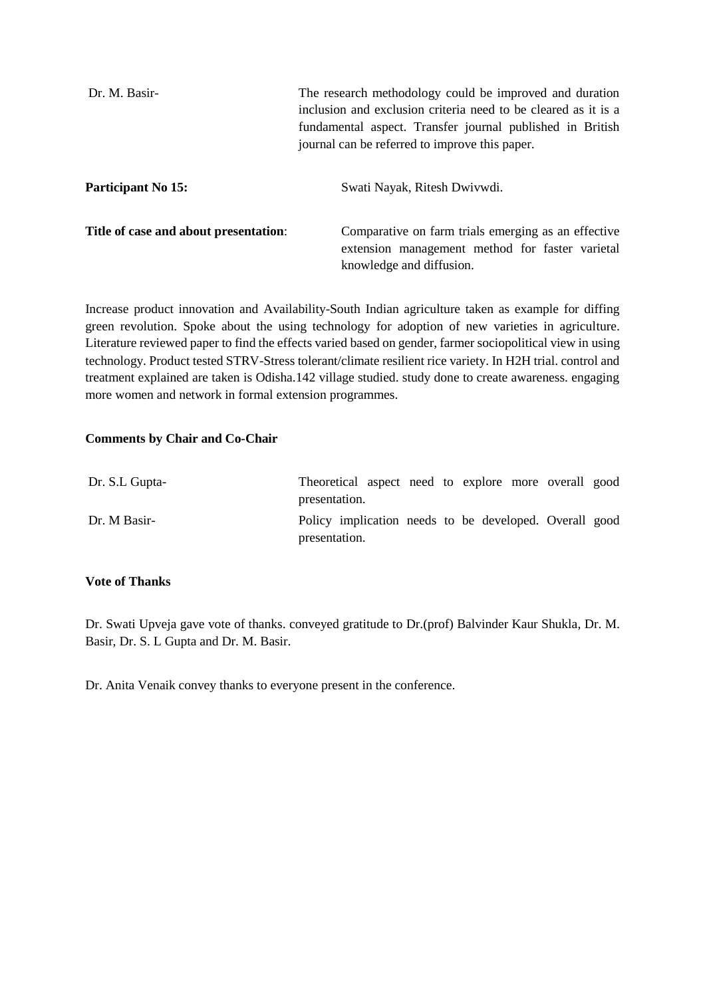| Dr. M. Basir-                         | The research methodology could be improved and duration<br>inclusion and exclusion criteria need to be cleared as it is a<br>fundamental aspect. Transfer journal published in British<br>journal can be referred to improve this paper. |
|---------------------------------------|------------------------------------------------------------------------------------------------------------------------------------------------------------------------------------------------------------------------------------------|
| <b>Participant No 15:</b>             | Swati Nayak, Ritesh Dwiywdi.                                                                                                                                                                                                             |
| Title of case and about presentation: | Comparative on farm trials emerging as an effective<br>extension management method for faster varietal<br>knowledge and diffusion.                                                                                                       |

Increase product innovation and Availability-South Indian agriculture taken as example for diffing green revolution. Spoke about the using technology for adoption of new varieties in agriculture. Literature reviewed paper to find the effects varied based on gender, farmer sociopolitical view in using technology. Product tested STRV-Stress tolerant/climate resilient rice variety. In H2H trial. control and treatment explained are taken is Odisha.142 village studied. study done to create awareness. engaging more women and network in formal extension programmes.

#### **Comments by Chair and Co-Chair**

| Dr. S.L Gupta- | Theoretical aspect need to explore more overall good<br>presentation.   |  |  |  |  |
|----------------|-------------------------------------------------------------------------|--|--|--|--|
| Dr. M Basir-   | Policy implication needs to be developed. Overall good<br>presentation. |  |  |  |  |

#### **Vote of Thanks**

Dr. Swati Upveja gave vote of thanks. conveyed gratitude to Dr.(prof) Balvinder Kaur Shukla, Dr. M. Basir, Dr. S. L Gupta and Dr. M. Basir.

Dr. Anita Venaik convey thanks to everyone present in the conference.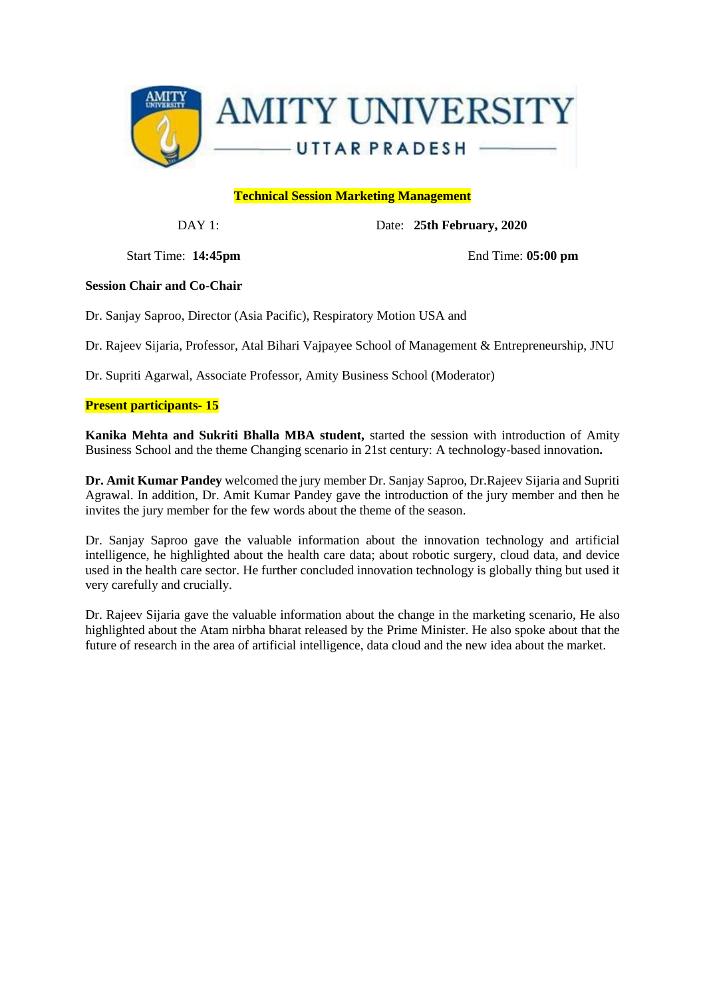

## **Technical Session Marketing Management**

DAY 1: Date: **25th February, 2020**

Start Time: **14:45pm** End Time: **05:00 pm**

#### **Session Chair and Co-Chair**

Dr. Sanjay Saproo, Director (Asia Pacific), Respiratory Motion USA and

Dr. Rajeev Sijaria, Professor, Atal Bihari Vajpayee School of Management & Entrepreneurship, JNU

Dr. Supriti Agarwal, Associate Professor, Amity Business School (Moderator)

## **Present participants- 15**

**Kanika Mehta and Sukriti Bhalla MBA student,** started the session with introduction of Amity Business School and the theme Changing scenario in 21st century: A technology-based innovation**.**

**Dr. Amit Kumar Pandey** welcomed the jury member Dr. Sanjay Saproo, Dr.Rajeev Sijaria and Supriti Agrawal. In addition, Dr. Amit Kumar Pandey gave the introduction of the jury member and then he invites the jury member for the few words about the theme of the season.

Dr. Sanjay Saproo gave the valuable information about the innovation technology and artificial intelligence, he highlighted about the health care data; about robotic surgery, cloud data, and device used in the health care sector. He further concluded innovation technology is globally thing but used it very carefully and crucially.

Dr. Rajeev Sijaria gave the valuable information about the change in the marketing scenario, He also highlighted about the Atam nirbha bharat released by the Prime Minister. He also spoke about that the future of research in the area of artificial intelligence, data cloud and the new idea about the market.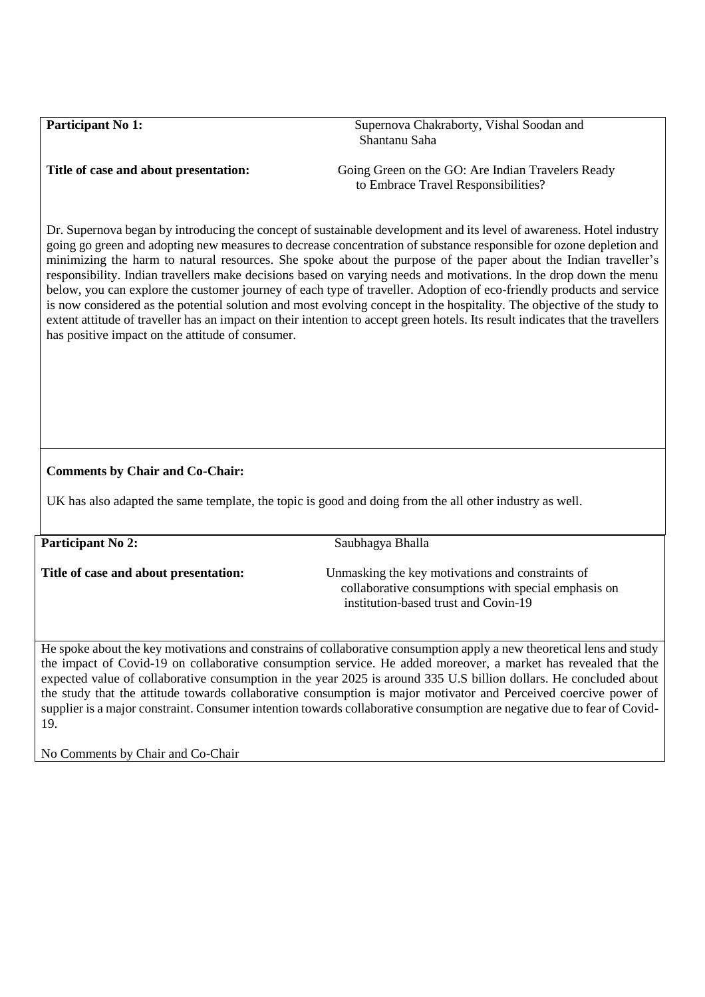**Participant No 1: Supernova Chakraborty, Vishal Soodan and Soupernova Chakraborty, Vishal Soodan and Soupernova Chakraborty, Vishal Soodan and Soupernova Chakraborty, Vishal Soodan and Soupernova Chakraborty, Vishal Soo** Shantanu Saha

**Title of case and about presentation:** Going Green on the GO: Are Indian Travelers Ready to Embrace Travel Responsibilities?

Dr. Supernova began by introducing the concept of sustainable development and its level of awareness. Hotel industry going go green and adopting new measures to decrease concentration of substance responsible for ozone depletion and minimizing the harm to natural resources. She spoke about the purpose of the paper about the Indian traveller's responsibility. Indian travellers make decisions based on varying needs and motivations. In the drop down the menu below, you can explore the customer journey of each type of traveller. Adoption of eco-friendly products and service is now considered as the potential solution and most evolving concept in the hospitality. The objective of the study to extent attitude of traveller has an impact on their intention to accept green hotels. Its result indicates that the travellers has positive impact on the attitude of consumer.

## **Comments by Chair and Co-Chair:**

UK has also adapted the same template, the topic is good and doing from the all other industry as well.

**Participant No 2:** Saubhagya Bhalla

**Title of case and about presentation:** Unmasking the key motivations and constraints of collaborative consumptions with special emphasis on institution-based trust and Covin-19

He spoke about the key motivations and constrains of collaborative consumption apply a new theoretical lens and study the impact of Covid-19 on collaborative consumption service. He added moreover, a market has revealed that the expected value of collaborative consumption in the year 2025 is around 335 U.S billion dollars. He concluded about the study that the attitude towards collaborative consumption is major motivator and Perceived coercive power of supplier is a major constraint. Consumer intention towards collaborative consumption are negative due to fear of Covid-19.

No Comments by Chair and Co-Chair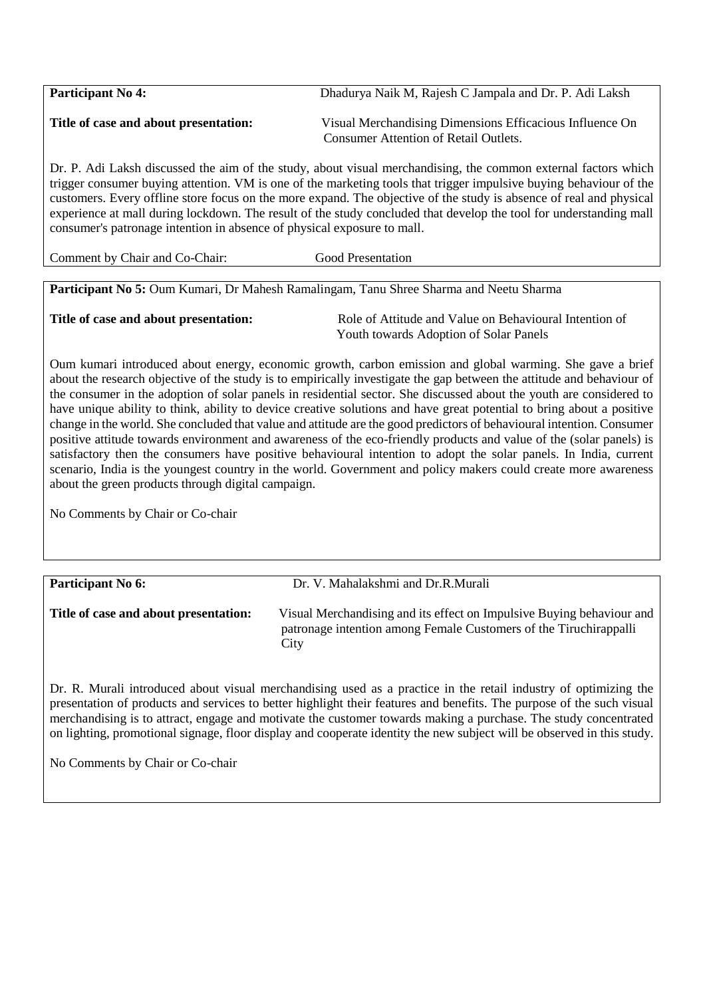| <b>Participant No 4:</b>              | Dhadurya Naik M, Rajesh C Jampala and Dr. P. Adi Laksh   |
|---------------------------------------|----------------------------------------------------------|
| Title of case and about presentation: | Visual Merchandising Dimensions Efficacious Influence On |
|                                       | <b>Consumer Attention of Retail Outlets.</b>             |

Dr. P. Adi Laksh discussed the aim of the study, about visual merchandising, the common external factors which trigger consumer buying attention. VM is one of the marketing tools that trigger impulsive buying behaviour of the customers. Every offline store focus on the more expand. The objective of the study is absence of real and physical experience at mall during lockdown. The result of the study concluded that develop the tool for understanding mall consumer's patronage intention in absence of physical exposure to mall.

Comment by Chair and Co-Chair: Good Presentation

**Participant No 5:** Oum Kumari, Dr Mahesh Ramalingam, Tanu Shree Sharma and Neetu Sharma

**Title of case and about presentation:** Role of Attitude and Value on Behavioural Intention of Youth towards Adoption of Solar Panels

Oum kumari introduced about energy, economic growth, carbon emission and global warming. She gave a brief about the research objective of the study is to empirically investigate the gap between the attitude and behaviour of the consumer in the adoption of solar panels in residential sector. She discussed about the youth are considered to have unique ability to think, ability to device creative solutions and have great potential to bring about a positive change in the world. She concluded that value and attitude are the good predictors of behavioural intention. Consumer positive attitude towards environment and awareness of the eco-friendly products and value of the (solar panels) is satisfactory then the consumers have positive behavioural intention to adopt the solar panels. In India, current scenario, India is the youngest country in the world. Government and policy makers could create more awareness about the green products through digital campaign.

No Comments by Chair or Co-chair

Participant No 6: **Dr. V. Mahalakshmi and Dr.R.Murali Title of case and about presentation:** Visual Merchandising and its effect on Impulsive Buying behaviour and patronage intention among Female Customers of the Tiruchirappalli **City** 

Dr. R. Murali introduced about visual merchandising used as a practice in the retail industry of optimizing the presentation of products and services to better highlight their features and benefits. The purpose of the such visual merchandising is to attract, engage and motivate the customer towards making a purchase. The study concentrated on lighting, promotional signage, floor display and cooperate identity the new subject will be observed in this study.

No Comments by Chair or Co-chair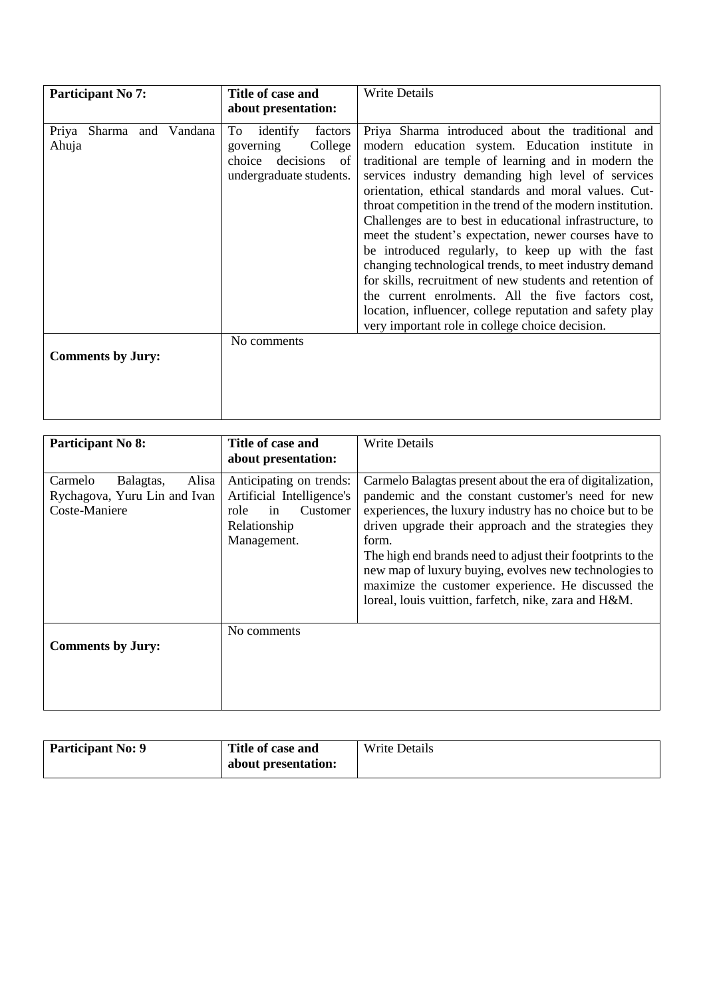| <b>Participant No 7:</b>          | Title of case and<br>about presentation:                                                         | <b>Write Details</b>                                                                                                                                                                                                                                                                                                                                                                                                                                                                                                                                                                                                                                                                                                                                                                                           |
|-----------------------------------|--------------------------------------------------------------------------------------------------|----------------------------------------------------------------------------------------------------------------------------------------------------------------------------------------------------------------------------------------------------------------------------------------------------------------------------------------------------------------------------------------------------------------------------------------------------------------------------------------------------------------------------------------------------------------------------------------------------------------------------------------------------------------------------------------------------------------------------------------------------------------------------------------------------------------|
| Priya Sharma and Vandana<br>Ahuja | To identify<br>factors<br>College<br>governing<br>choice decisions of<br>undergraduate students. | Priya Sharma introduced about the traditional and<br>modern education system. Education institute in<br>traditional are temple of learning and in modern the<br>services industry demanding high level of services<br>orientation, ethical standards and moral values. Cut-<br>throat competition in the trend of the modern institution.<br>Challenges are to best in educational infrastructure, to<br>meet the student's expectation, newer courses have to<br>be introduced regularly, to keep up with the fast<br>changing technological trends, to meet industry demand<br>for skills, recruitment of new students and retention of<br>the current enrolments. All the five factors cost,<br>location, influencer, college reputation and safety play<br>very important role in college choice decision. |
| <b>Comments by Jury:</b>          | No comments                                                                                      |                                                                                                                                                                                                                                                                                                                                                                                                                                                                                                                                                                                                                                                                                                                                                                                                                |

| Participant No 8:                                                              | Title of case and<br>about presentation:                                                                      | <b>Write Details</b>                                                                                                                                                                                                                                                                                                                                                                                                                                                               |
|--------------------------------------------------------------------------------|---------------------------------------------------------------------------------------------------------------|------------------------------------------------------------------------------------------------------------------------------------------------------------------------------------------------------------------------------------------------------------------------------------------------------------------------------------------------------------------------------------------------------------------------------------------------------------------------------------|
| Alisa<br>Carmelo<br>Balagtas,<br>Rychagova, Yuru Lin and Ivan<br>Coste-Maniere | Anticipating on trends:<br>Artificial Intelligence's<br>Customer<br>role<br>in<br>Relationship<br>Management. | Carmelo Balagtas present about the era of digitalization,<br>pandemic and the constant customer's need for new<br>experiences, the luxury industry has no choice but to be<br>driven upgrade their approach and the strategies they<br>form.<br>The high end brands need to adjust their footprints to the<br>new map of luxury buying, evolves new technologies to<br>maximize the customer experience. He discussed the<br>loreal, louis vuittion, farfetch, nike, zara and H&M. |
| <b>Comments by Jury:</b>                                                       | No comments                                                                                                   |                                                                                                                                                                                                                                                                                                                                                                                                                                                                                    |

| <b>Participant No: 9</b> | Title of case and   | <b>Write Details</b> |
|--------------------------|---------------------|----------------------|
|                          | about presentation: |                      |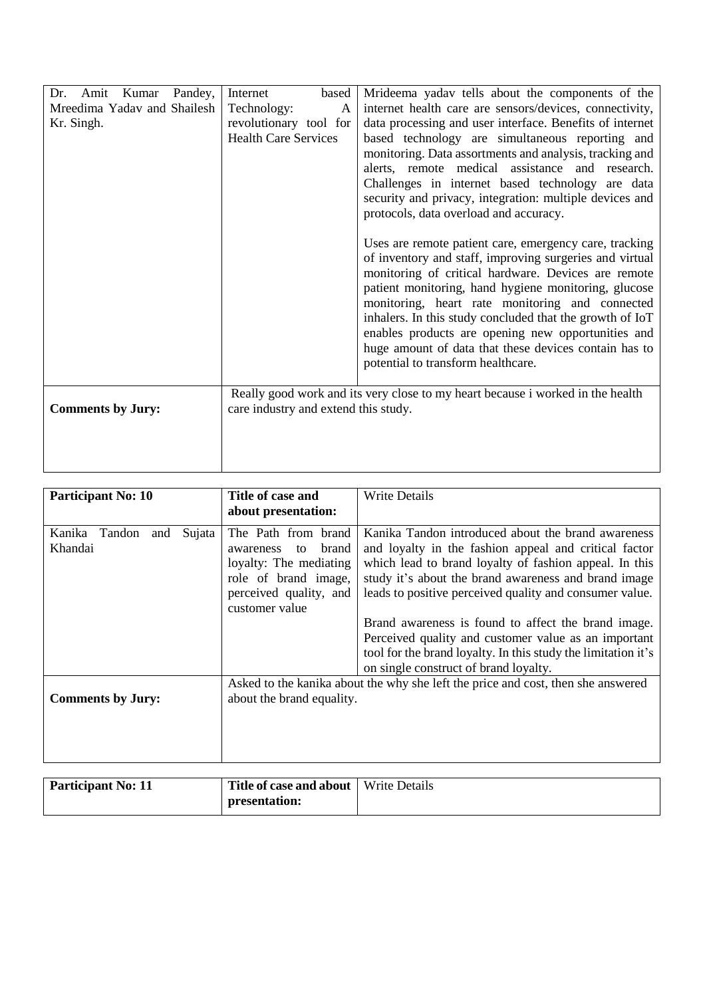| Pandey,<br>Dr.<br>Amit<br>Kumar<br>Mreedima Yadav and Shailesh<br>Kr. Singh. | Internet<br>based<br>Technology:<br>A<br>revolutionary tool for<br><b>Health Care Services</b> | Mrideema yadav tells about the components of the<br>internet health care are sensors/devices, connectivity,<br>data processing and user interface. Benefits of internet<br>based technology are simultaneous reporting and<br>monitoring. Data assortments and analysis, tracking and<br>alerts, remote medical assistance and research.<br>Challenges in internet based technology are data<br>security and privacy, integration: multiple devices and<br>protocols, data overload and accuracy.    |
|------------------------------------------------------------------------------|------------------------------------------------------------------------------------------------|------------------------------------------------------------------------------------------------------------------------------------------------------------------------------------------------------------------------------------------------------------------------------------------------------------------------------------------------------------------------------------------------------------------------------------------------------------------------------------------------------|
|                                                                              |                                                                                                | Uses are remote patient care, emergency care, tracking<br>of inventory and staff, improving surgeries and virtual<br>monitoring of critical hardware. Devices are remote<br>patient monitoring, hand hygiene monitoring, glucose<br>monitoring, heart rate monitoring and connected<br>inhalers. In this study concluded that the growth of IoT<br>enables products are opening new opportunities and<br>huge amount of data that these devices contain has to<br>potential to transform healthcare. |
| <b>Comments by Jury:</b>                                                     | care industry and extend this study.                                                           | Really good work and its very close to my heart because i worked in the health                                                                                                                                                                                                                                                                                                                                                                                                                       |

| <b>Participant No: 10</b>                    | Title of case and<br>about presentation:                                                                                                      | <b>Write Details</b>                                                                                                                                                                                                                                                                                                                                                                                                                                                     |
|----------------------------------------------|-----------------------------------------------------------------------------------------------------------------------------------------------|--------------------------------------------------------------------------------------------------------------------------------------------------------------------------------------------------------------------------------------------------------------------------------------------------------------------------------------------------------------------------------------------------------------------------------------------------------------------------|
| Kanika<br>Sujata<br>Tandon<br>and<br>Khandai | The Path from brand<br>brand<br>to<br>awareness<br>loyalty: The mediating<br>role of brand image,<br>perceived quality, and<br>customer value | Kanika Tandon introduced about the brand awareness<br>and loyalty in the fashion appeal and critical factor<br>which lead to brand loyalty of fashion appeal. In this<br>study it's about the brand awareness and brand image<br>leads to positive perceived quality and consumer value.<br>Brand awareness is found to affect the brand image.<br>Perceived quality and customer value as an important<br>tool for the brand loyalty. In this study the limitation it's |
|                                              |                                                                                                                                               | on single construct of brand loyalty.                                                                                                                                                                                                                                                                                                                                                                                                                                    |
| <b>Comments by Jury:</b>                     | about the brand equality.                                                                                                                     | Asked to the kanika about the why she left the price and cost, then she answered                                                                                                                                                                                                                                                                                                                                                                                         |
| $\mathbf{A}$                                 | $\mathbf{r}$ $\mathbf{r}$ $\mathbf{r}$ $\mathbf{r}$ $\mathbf{r}$<br>$\blacksquare$                                                            | $\mathbf{v}$                                                                                                                                                                                                                                                                                                                                                                                                                                                             |

| <b>Participant No: 11</b> | <b>Title of case and about</b>   Write Details |  |
|---------------------------|------------------------------------------------|--|
|                           | presentation:                                  |  |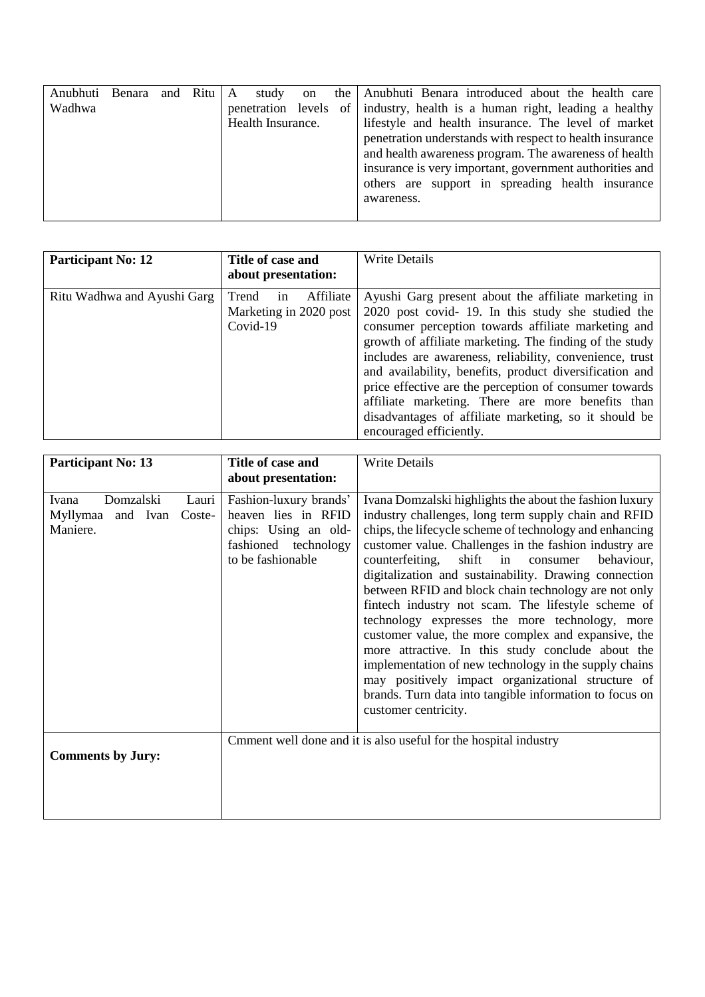| Anubhuti | Benara and Ritu   A |  | study on              |  | the Anubhuti Benara introduced about the health care     |
|----------|---------------------|--|-----------------------|--|----------------------------------------------------------|
| Wadhwa   |                     |  | penetration levels of |  | industry, health is a human right, leading a healthy     |
|          |                     |  | Health Insurance.     |  | lifestyle and health insurance. The level of market      |
|          |                     |  |                       |  | penetration understands with respect to health insurance |
|          |                     |  |                       |  | and health awareness program. The awareness of health    |
|          |                     |  |                       |  | insurance is very important, government authorities and  |
|          |                     |  |                       |  | others are support in spreading health insurance         |
|          |                     |  |                       |  | awareness.                                               |
|          |                     |  |                       |  |                                                          |

| <b>Participant No: 12</b>   | Title of case and<br>about presentation:                       | <b>Write Details</b>                                                                                                                                                                                                                                                                                                                                                                                                                                                                                                                                 |
|-----------------------------|----------------------------------------------------------------|------------------------------------------------------------------------------------------------------------------------------------------------------------------------------------------------------------------------------------------------------------------------------------------------------------------------------------------------------------------------------------------------------------------------------------------------------------------------------------------------------------------------------------------------------|
| Ritu Wadhwa and Ayushi Garg | Trend<br>Affiliate<br>1n<br>Marketing in 2020 post<br>Covid-19 | Ayushi Garg present about the affiliate marketing in<br>2020 post covid-19. In this study she studied the<br>consumer perception towards affiliate marketing and<br>growth of affiliate marketing. The finding of the study<br>includes are awareness, reliability, convenience, trust<br>and availability, benefits, product diversification and<br>price effective are the perception of consumer towards<br>affiliate marketing. There are more benefits than<br>disadvantages of affiliate marketing, so it should be<br>encouraged efficiently. |

| <b>Participant No: 13</b>                                                 | Title of case and                                                                                                  | <b>Write Details</b>                                                                                                                                                                                                                                                                                                                                                                                                                                                                                                                                                                                                                                                                                                                                                                                                             |
|---------------------------------------------------------------------------|--------------------------------------------------------------------------------------------------------------------|----------------------------------------------------------------------------------------------------------------------------------------------------------------------------------------------------------------------------------------------------------------------------------------------------------------------------------------------------------------------------------------------------------------------------------------------------------------------------------------------------------------------------------------------------------------------------------------------------------------------------------------------------------------------------------------------------------------------------------------------------------------------------------------------------------------------------------|
|                                                                           | about presentation:                                                                                                |                                                                                                                                                                                                                                                                                                                                                                                                                                                                                                                                                                                                                                                                                                                                                                                                                                  |
| Domzalski<br>Ivana<br>Lauri<br>Myllymaa<br>and Ivan<br>Coste-<br>Maniere. | Fashion-luxury brands'<br>heaven lies in RFID<br>chips: Using an old-<br>fashioned technology<br>to be fashionable | Ivana Domzalski highlights the about the fashion luxury<br>industry challenges, long term supply chain and RFID<br>chips, the lifecycle scheme of technology and enhancing<br>customer value. Challenges in the fashion industry are<br>shift in consumer<br>counterfeiting,<br>behaviour,<br>digitalization and sustainability. Drawing connection<br>between RFID and block chain technology are not only<br>fintech industry not scam. The lifestyle scheme of<br>technology expresses the more technology, more<br>customer value, the more complex and expansive, the<br>more attractive. In this study conclude about the<br>implementation of new technology in the supply chains<br>may positively impact organizational structure of<br>brands. Turn data into tangible information to focus on<br>customer centricity. |
| <b>Comments by Jury:</b>                                                  |                                                                                                                    | Cmment well done and it is also useful for the hospital industry                                                                                                                                                                                                                                                                                                                                                                                                                                                                                                                                                                                                                                                                                                                                                                 |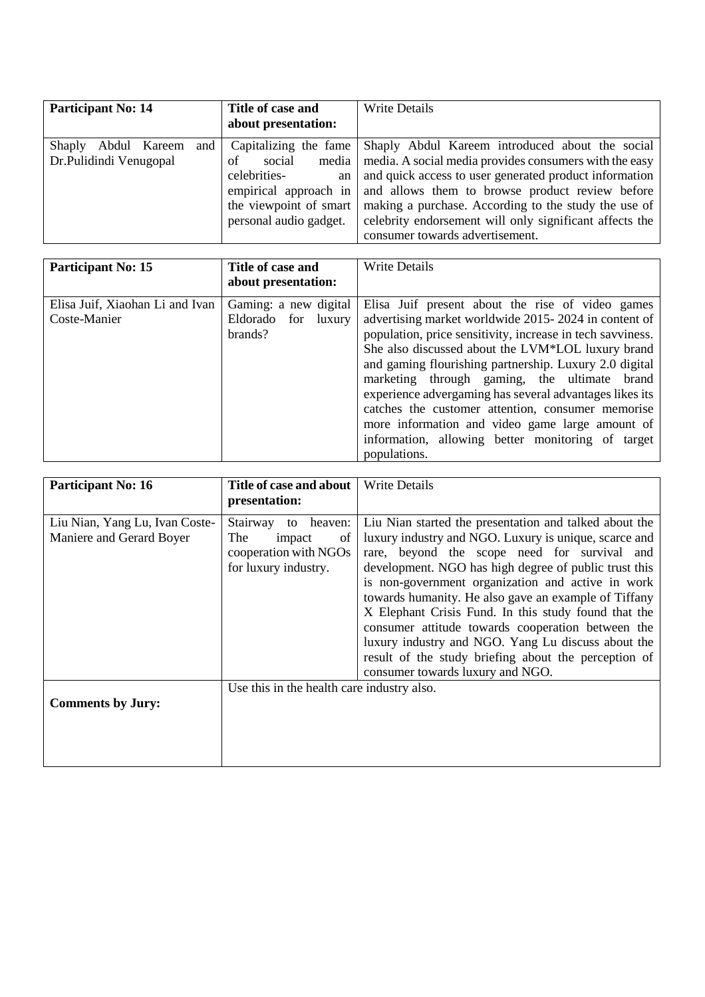| <b>Participant No: 14</b>                               | Title of case and<br>about presentation:                                                                                                          | <b>Write Details</b>                                                                                                                                                                                                                                                                                                                                                         |
|---------------------------------------------------------|---------------------------------------------------------------------------------------------------------------------------------------------------|------------------------------------------------------------------------------------------------------------------------------------------------------------------------------------------------------------------------------------------------------------------------------------------------------------------------------------------------------------------------------|
| and<br>Shaply<br>Abdul Kareem<br>Dr.Pulidindi Venugopal | Capitalizing the fame<br>media<br>social<br>of<br>celebrities-<br>an<br>empirical approach in<br>the viewpoint of smart<br>personal audio gadget. | Shaply Abdul Kareem introduced about the social<br>media. A social media provides consumers with the easy<br>and quick access to user generated product information<br>and allows them to browse product review before<br>making a purchase. According to the study the use of<br>celebrity endorsement will only significant affects the<br>consumer towards advertisement. |

| <b>Participant No: 15</b>                       | Title of case and<br>about presentation:                   | <b>Write Details</b>                                                                                                                                                                                                                                                                                                                                                                                                                                                                                                                                                          |
|-------------------------------------------------|------------------------------------------------------------|-------------------------------------------------------------------------------------------------------------------------------------------------------------------------------------------------------------------------------------------------------------------------------------------------------------------------------------------------------------------------------------------------------------------------------------------------------------------------------------------------------------------------------------------------------------------------------|
| Elisa Juif, Xiaohan Li and Ivan<br>Coste-Manier | Gaming: a new digital<br>Eldorado for<br>luxury<br>brands? | Elisa Juif present about the rise of video games<br>advertising market worldwide 2015-2024 in content of<br>population, price sensitivity, increase in tech savviness.<br>She also discussed about the LVM*LOL luxury brand<br>and gaming flourishing partnership. Luxury 2.0 digital<br>marketing through gaming, the ultimate brand<br>experience advergaming has several advantages likes its<br>catches the customer attention, consumer memorise<br>more information and video game large amount of<br>information, allowing better monitoring of target<br>populations. |

| <b>Participant No: 16</b>                                  | Title of case and about                                                                           | <b>Write Details</b>                                                                                                                                                                                                                                                                                                                                                                                                                                                                                                                                                                                 |
|------------------------------------------------------------|---------------------------------------------------------------------------------------------------|------------------------------------------------------------------------------------------------------------------------------------------------------------------------------------------------------------------------------------------------------------------------------------------------------------------------------------------------------------------------------------------------------------------------------------------------------------------------------------------------------------------------------------------------------------------------------------------------------|
|                                                            | presentation:                                                                                     |                                                                                                                                                                                                                                                                                                                                                                                                                                                                                                                                                                                                      |
| Liu Nian, Yang Lu, Ivan Coste-<br>Maniere and Gerard Boyer | Stairway<br>heaven:<br>to<br>The<br>impact<br>of<br>cooperation with NGOs<br>for luxury industry. | Liu Nian started the presentation and talked about the<br>luxury industry and NGO. Luxury is unique, scarce and<br>rare, beyond the scope need for survival and<br>development. NGO has high degree of public trust this<br>is non-government organization and active in work<br>towards humanity. He also gave an example of Tiffany<br>X Elephant Crisis Fund. In this study found that the<br>consumer attitude towards cooperation between the<br>luxury industry and NGO. Yang Lu discuss about the<br>result of the study briefing about the perception of<br>consumer towards luxury and NGO. |
| <b>Comments by Jury:</b>                                   | Use this in the health care industry also.                                                        |                                                                                                                                                                                                                                                                                                                                                                                                                                                                                                                                                                                                      |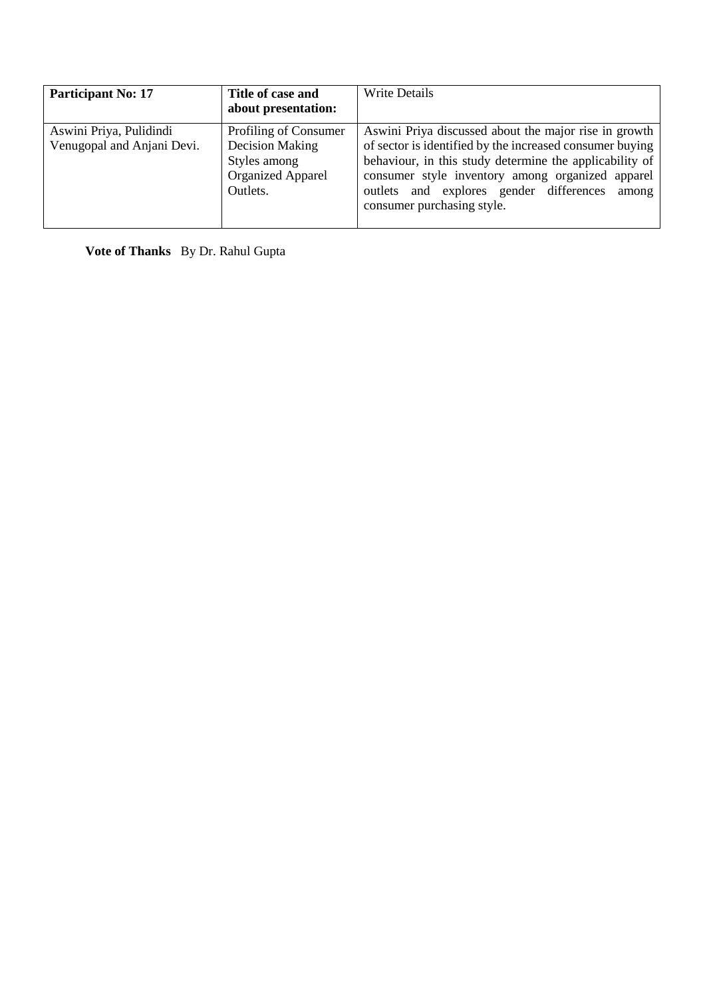| <b>Participant No: 17</b>                             | Title of case and<br>about presentation:                                                         | <b>Write Details</b>                                                                                                                                                                                                                                                                                               |
|-------------------------------------------------------|--------------------------------------------------------------------------------------------------|--------------------------------------------------------------------------------------------------------------------------------------------------------------------------------------------------------------------------------------------------------------------------------------------------------------------|
| Aswini Priya, Pulidindi<br>Venugopal and Anjani Devi. | Profiling of Consumer<br>Decision Making<br>Styles among<br><b>Organized Apparel</b><br>Outlets. | Aswini Priya discussed about the major rise in growth<br>of sector is identified by the increased consumer buying<br>behaviour, in this study determine the applicability of<br>consumer style inventory among organized apparel<br>outlets and explores gender differences<br>among<br>consumer purchasing style. |

**Vote of Thanks** By Dr. Rahul Gupta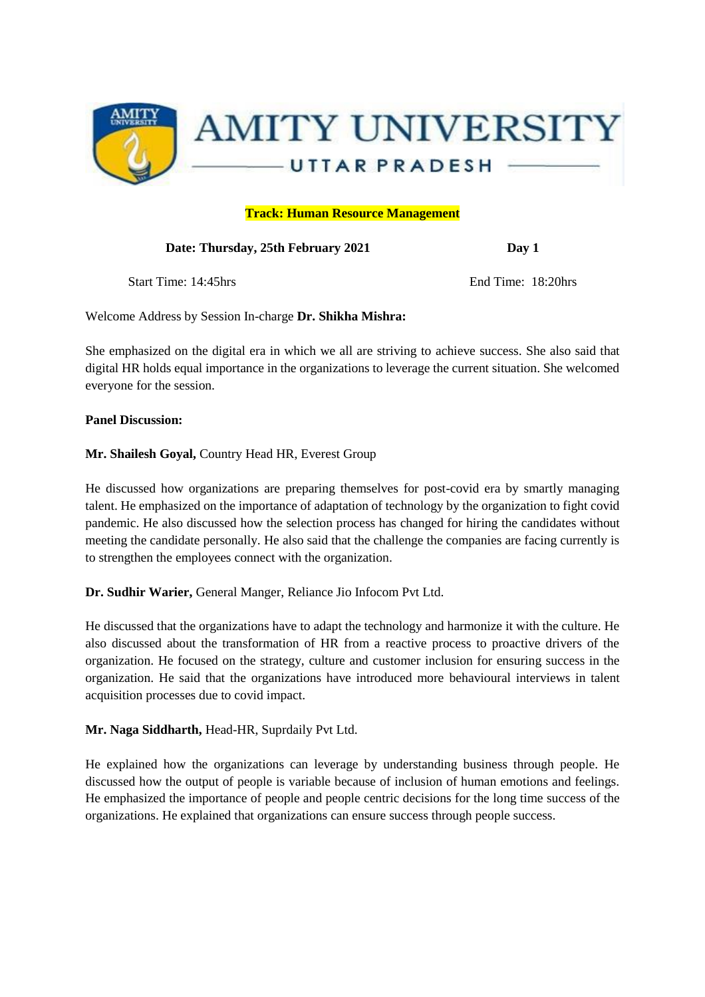

## **Track: Human Resource Management**

Date: Thursday, 25th February 2021 Day 1

Start Time: 14:45hrs End Time: 18:20hrs

Welcome Address by Session In-charge **Dr. Shikha Mishra:** 

She emphasized on the digital era in which we all are striving to achieve success. She also said that digital HR holds equal importance in the organizations to leverage the current situation. She welcomed everyone for the session.

#### **Panel Discussion:**

#### **Mr. Shailesh Goyal,** Country Head HR, Everest Group

He discussed how organizations are preparing themselves for post-covid era by smartly managing talent. He emphasized on the importance of adaptation of technology by the organization to fight covid pandemic. He also discussed how the selection process has changed for hiring the candidates without meeting the candidate personally. He also said that the challenge the companies are facing currently is to strengthen the employees connect with the organization.

**Dr. Sudhir Warier,** General Manger, Reliance Jio Infocom Pvt Ltd.

He discussed that the organizations have to adapt the technology and harmonize it with the culture. He also discussed about the transformation of HR from a reactive process to proactive drivers of the organization. He focused on the strategy, culture and customer inclusion for ensuring success in the organization. He said that the organizations have introduced more behavioural interviews in talent acquisition processes due to covid impact.

**Mr. Naga Siddharth,** Head-HR, Suprdaily Pvt Ltd.

He explained how the organizations can leverage by understanding business through people. He discussed how the output of people is variable because of inclusion of human emotions and feelings. He emphasized the importance of people and people centric decisions for the long time success of the organizations. He explained that organizations can ensure success through people success.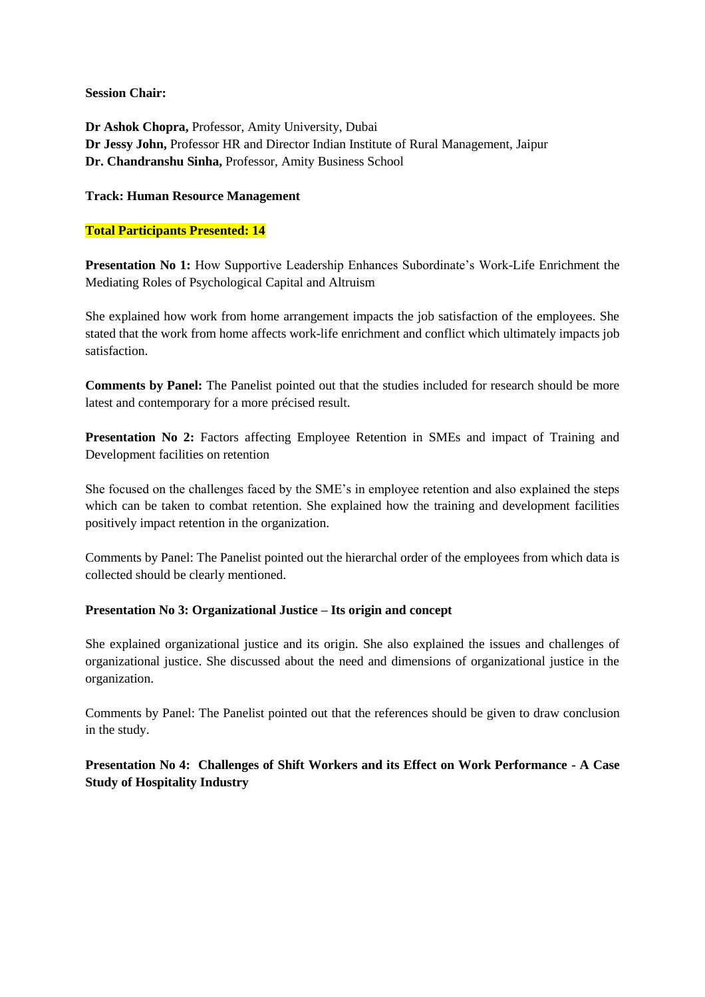**Session Chair:** 

**Dr Ashok Chopra,** Professor, Amity University, Dubai **Dr Jessy John,** Professor HR and Director Indian Institute of Rural Management, Jaipur **Dr. Chandranshu Sinha,** Professor, Amity Business School

#### **Track: Human Resource Management**

#### **Total Participants Presented: 14**

**Presentation No 1:** How Supportive Leadership Enhances Subordinate's Work-Life Enrichment the Mediating Roles of Psychological Capital and Altruism

She explained how work from home arrangement impacts the job satisfaction of the employees. She stated that the work from home affects work-life enrichment and conflict which ultimately impacts job satisfaction.

**Comments by Panel:** The Panelist pointed out that the studies included for research should be more latest and contemporary for a more précised result.

**Presentation No 2:** Factors affecting Employee Retention in SMEs and impact of Training and Development facilities on retention

She focused on the challenges faced by the SME's in employee retention and also explained the steps which can be taken to combat retention. She explained how the training and development facilities positively impact retention in the organization.

Comments by Panel: The Panelist pointed out the hierarchal order of the employees from which data is collected should be clearly mentioned.

#### **Presentation No 3: Organizational Justice – Its origin and concept**

She explained organizational justice and its origin. She also explained the issues and challenges of organizational justice. She discussed about the need and dimensions of organizational justice in the organization.

Comments by Panel: The Panelist pointed out that the references should be given to draw conclusion in the study.

**Presentation No 4: Challenges of Shift Workers and its Effect on Work Performance - A Case Study of Hospitality Industry**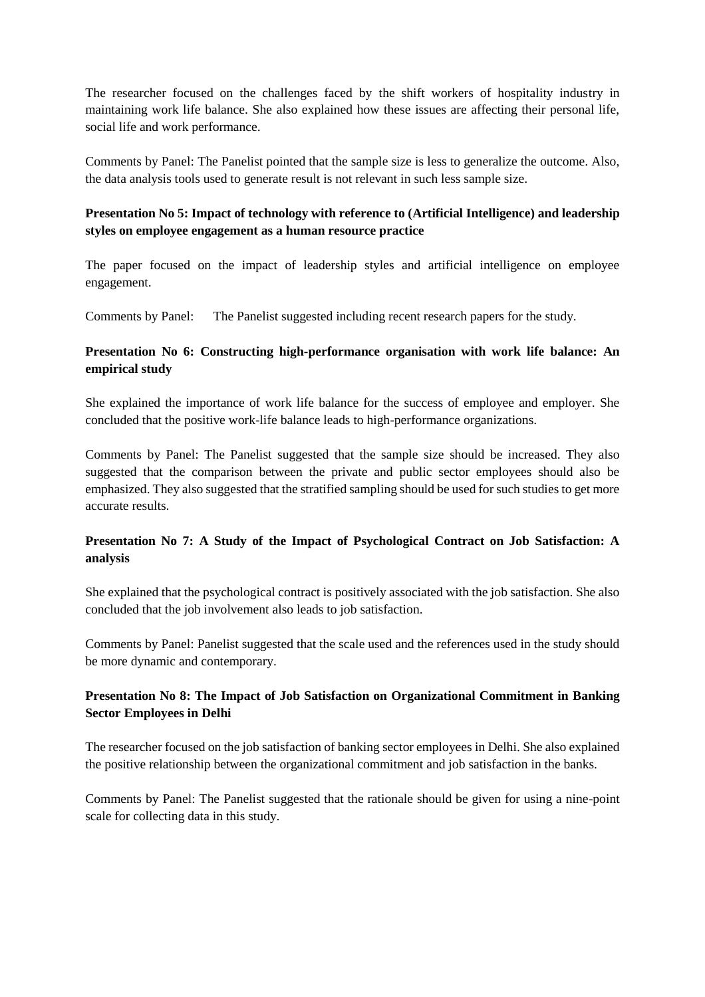The researcher focused on the challenges faced by the shift workers of hospitality industry in maintaining work life balance. She also explained how these issues are affecting their personal life, social life and work performance.

Comments by Panel: The Panelist pointed that the sample size is less to generalize the outcome. Also, the data analysis tools used to generate result is not relevant in such less sample size.

# **Presentation No 5: Impact of technology with reference to (Artificial Intelligence) and leadership styles on employee engagement as a human resource practice**

The paper focused on the impact of leadership styles and artificial intelligence on employee engagement.

Comments by Panel: The Panelist suggested including recent research papers for the study.

# **Presentation No 6: Constructing high-performance organisation with work life balance: An empirical study**

She explained the importance of work life balance for the success of employee and employer. She concluded that the positive work-life balance leads to high-performance organizations.

Comments by Panel: The Panelist suggested that the sample size should be increased. They also suggested that the comparison between the private and public sector employees should also be emphasized. They also suggested that the stratified sampling should be used for such studies to get more accurate results.

# **Presentation No 7: A Study of the Impact of Psychological Contract on Job Satisfaction: A analysis**

She explained that the psychological contract is positively associated with the job satisfaction. She also concluded that the job involvement also leads to job satisfaction.

Comments by Panel: Panelist suggested that the scale used and the references used in the study should be more dynamic and contemporary.

# **Presentation No 8: The Impact of Job Satisfaction on Organizational Commitment in Banking Sector Employees in Delhi**

The researcher focused on the job satisfaction of banking sector employees in Delhi. She also explained the positive relationship between the organizational commitment and job satisfaction in the banks.

Comments by Panel: The Panelist suggested that the rationale should be given for using a nine-point scale for collecting data in this study.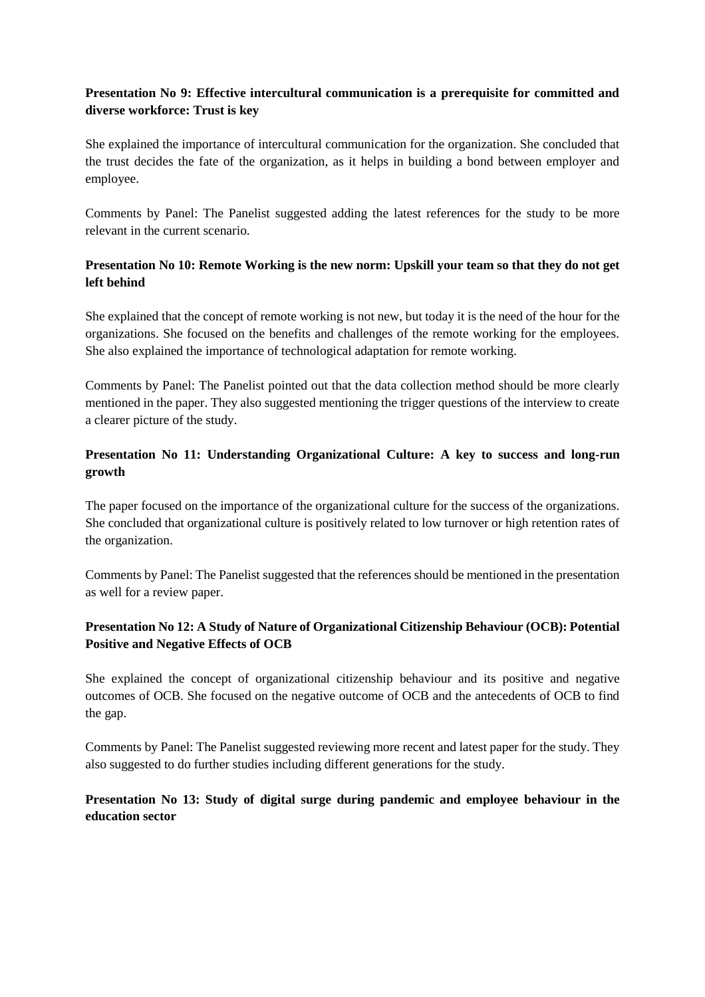# **Presentation No 9: Effective intercultural communication is a prerequisite for committed and diverse workforce: Trust is key**

She explained the importance of intercultural communication for the organization. She concluded that the trust decides the fate of the organization, as it helps in building a bond between employer and employee.

Comments by Panel: The Panelist suggested adding the latest references for the study to be more relevant in the current scenario.

# **Presentation No 10: Remote Working is the new norm: Upskill your team so that they do not get left behind**

She explained that the concept of remote working is not new, but today it is the need of the hour for the organizations. She focused on the benefits and challenges of the remote working for the employees. She also explained the importance of technological adaptation for remote working.

Comments by Panel: The Panelist pointed out that the data collection method should be more clearly mentioned in the paper. They also suggested mentioning the trigger questions of the interview to create a clearer picture of the study.

# **Presentation No 11: Understanding Organizational Culture: A key to success and long-run growth**

The paper focused on the importance of the organizational culture for the success of the organizations. She concluded that organizational culture is positively related to low turnover or high retention rates of the organization.

Comments by Panel: The Panelist suggested that the references should be mentioned in the presentation as well for a review paper.

# **Presentation No 12: A Study of Nature of Organizational Citizenship Behaviour (OCB): Potential Positive and Negative Effects of OCB**

She explained the concept of organizational citizenship behaviour and its positive and negative outcomes of OCB. She focused on the negative outcome of OCB and the antecedents of OCB to find the gap.

Comments by Panel: The Panelist suggested reviewing more recent and latest paper for the study. They also suggested to do further studies including different generations for the study.

# **Presentation No 13: Study of digital surge during pandemic and employee behaviour in the education sector**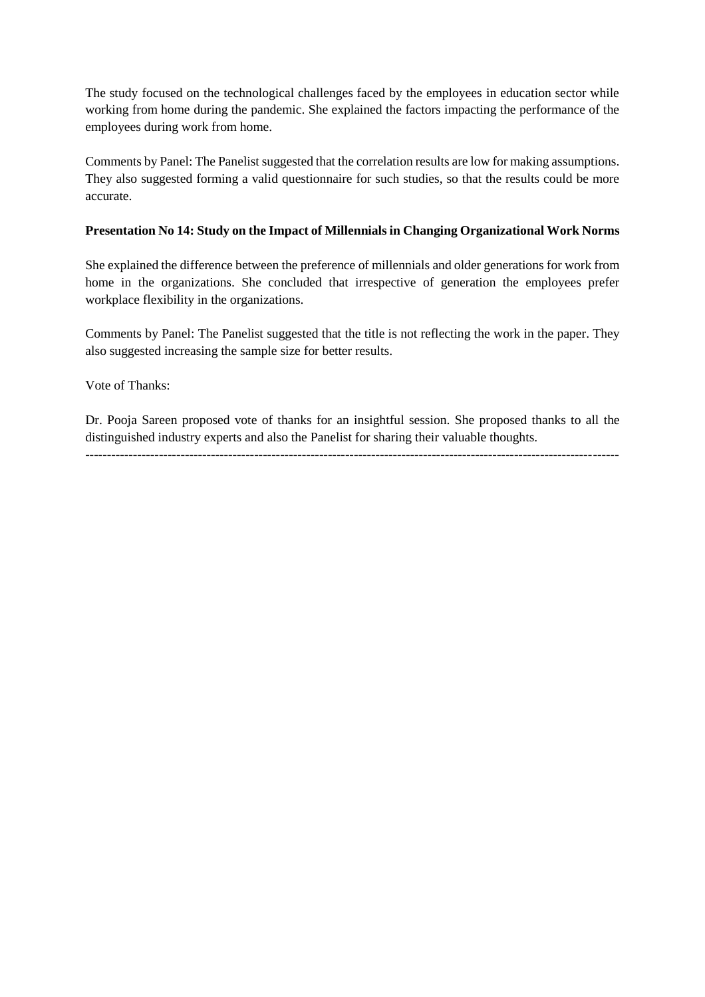The study focused on the technological challenges faced by the employees in education sector while working from home during the pandemic. She explained the factors impacting the performance of the employees during work from home.

Comments by Panel: The Panelist suggested that the correlation results are low for making assumptions. They also suggested forming a valid questionnaire for such studies, so that the results could be more accurate.

## **Presentation No 14: Study on the Impact of Millennials in Changing Organizational Work Norms**

She explained the difference between the preference of millennials and older generations for work from home in the organizations. She concluded that irrespective of generation the employees prefer workplace flexibility in the organizations.

Comments by Panel: The Panelist suggested that the title is not reflecting the work in the paper. They also suggested increasing the sample size for better results.

Vote of Thanks:

Dr. Pooja Sareen proposed vote of thanks for an insightful session. She proposed thanks to all the distinguished industry experts and also the Panelist for sharing their valuable thoughts.

---------------------------------------------------------------------------------------------------------------------------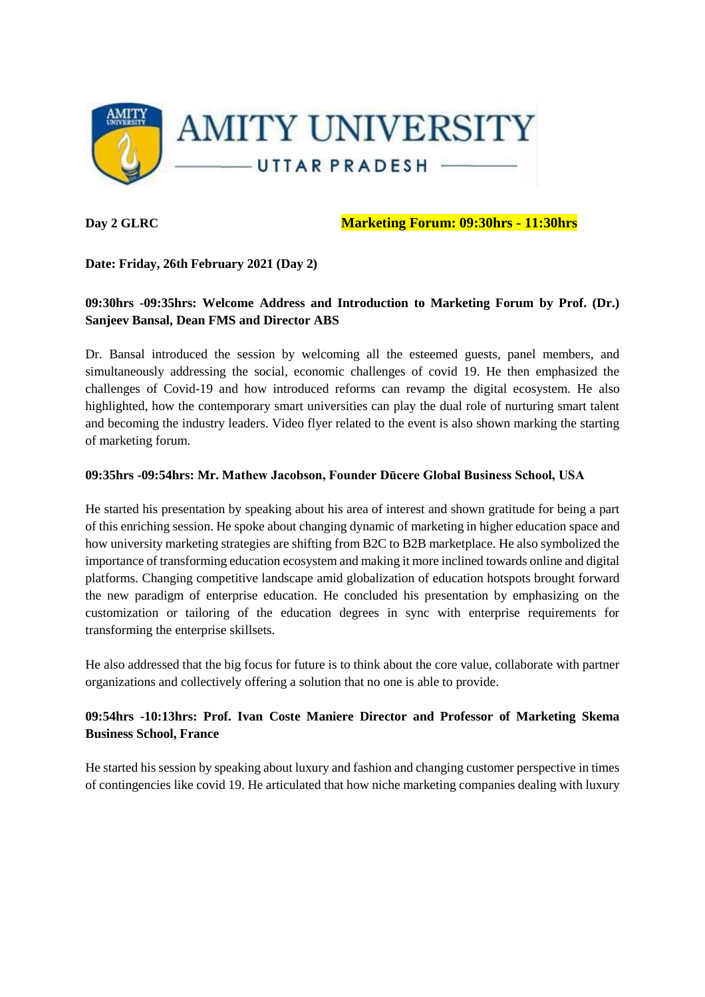

**Day 2 GLRC Marketing Forum: 09:30hrs - 11:30hrs**

## **Date: Friday, 26th February 2021 (Day 2)**

# **09:30hrs -09:35hrs: Welcome Address and Introduction to Marketing Forum by Prof. (Dr.) Sanjeev Bansal, Dean FMS and Director ABS**

Dr. Bansal introduced the session by welcoming all the esteemed guests, panel members, and simultaneously addressing the social, economic challenges of covid 19. He then emphasized the challenges of Covid-19 and how introduced reforms can revamp the digital ecosystem. He also highlighted, how the contemporary smart universities can play the dual role of nurturing smart talent and becoming the industry leaders. Video flyer related to the event is also shown marking the starting of marketing forum.

#### **09:35hrs -09:54hrs: Mr. Mathew Jacobson, Founder Dūcere Global Business School, USA**

He started his presentation by speaking about his area of interest and shown gratitude for being a part of this enriching session. He spoke about changing dynamic of marketing in higher education space and how university marketing strategies are shifting from B2C to B2B marketplace. He also symbolized the importance of transforming education ecosystem and making it more inclined towards online and digital platforms. Changing competitive landscape amid globalization of education hotspots brought forward the new paradigm of enterprise education. He concluded his presentation by emphasizing on the customization or tailoring of the education degrees in sync with enterprise requirements for transforming the enterprise skillsets.

He also addressed that the big focus for future is to think about the core value, collaborate with partner organizations and collectively offering a solution that no one is able to provide.

# **09:54hrs -10:13hrs: Prof. Ivan Coste Maniere Director and Professor of Marketing Skema Business School, France**

He started his session by speaking about luxury and fashion and changing customer perspective in times of contingencies like covid 19. He articulated that how niche marketing companies dealing with luxury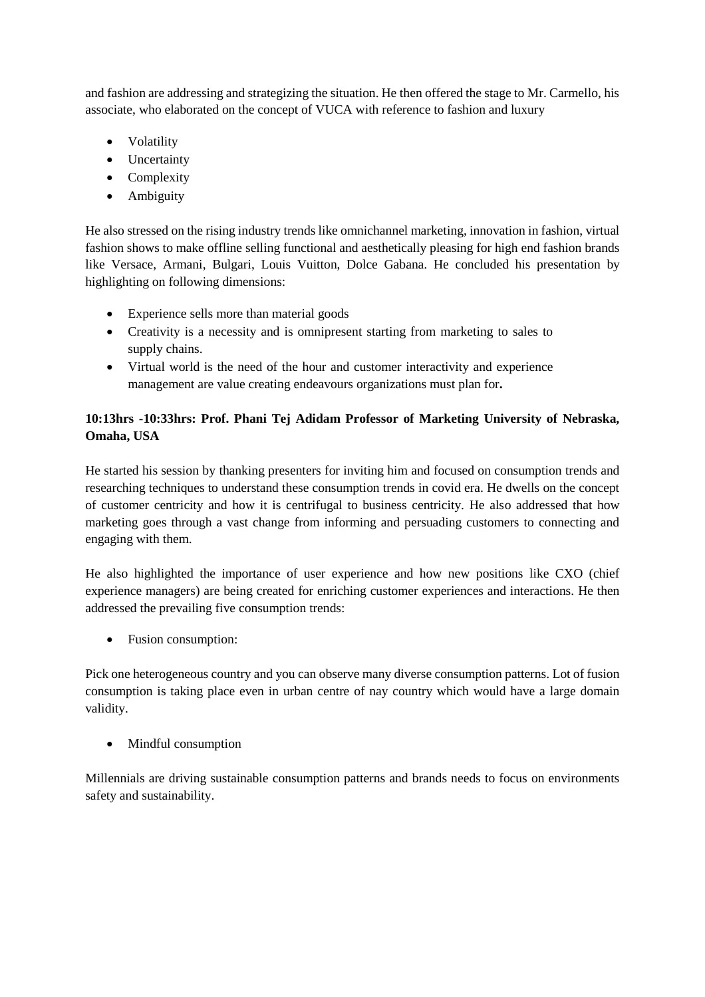and fashion are addressing and strategizing the situation. He then offered the stage to Mr. Carmello, his associate, who elaborated on the concept of VUCA with reference to fashion and luxury

- Volatility
- Uncertainty
- Complexity
- Ambiguity

He also stressed on the rising industry trends like omnichannel marketing, innovation in fashion, virtual fashion shows to make offline selling functional and aesthetically pleasing for high end fashion brands like Versace, Armani, Bulgari, Louis Vuitton, Dolce Gabana. He concluded his presentation by highlighting on following dimensions:

- Experience sells more than material goods
- Creativity is a necessity and is omnipresent starting from marketing to sales to supply chains.
- Virtual world is the need of the hour and customer interactivity and experience management are value creating endeavours organizations must plan for**.**

# **10:13hrs -10:33hrs: Prof. Phani Tej Adidam Professor of Marketing University of Nebraska, Omaha, USA**

He started his session by thanking presenters for inviting him and focused on consumption trends and researching techniques to understand these consumption trends in covid era. He dwells on the concept of customer centricity and how it is centrifugal to business centricity. He also addressed that how marketing goes through a vast change from informing and persuading customers to connecting and engaging with them.

He also highlighted the importance of user experience and how new positions like CXO (chief experience managers) are being created for enriching customer experiences and interactions. He then addressed the prevailing five consumption trends:

• Fusion consumption:

Pick one heterogeneous country and you can observe many diverse consumption patterns. Lot of fusion consumption is taking place even in urban centre of nay country which would have a large domain validity.

• Mindful consumption

Millennials are driving sustainable consumption patterns and brands needs to focus on environments safety and sustainability.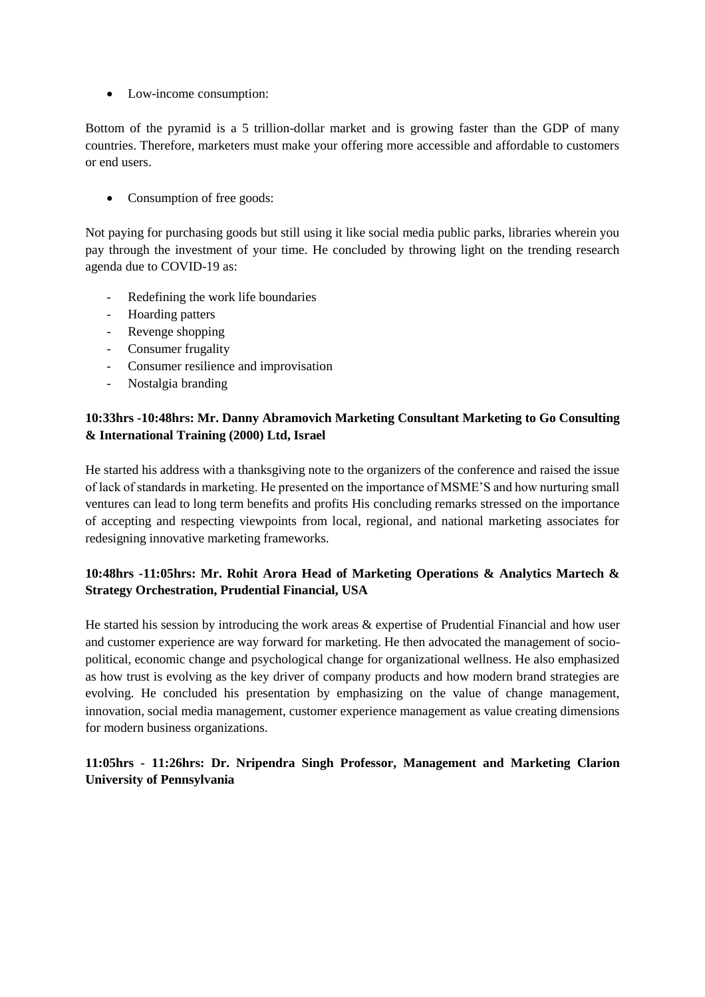• Low-income consumption:

Bottom of the pyramid is a 5 trillion-dollar market and is growing faster than the GDP of many countries. Therefore, marketers must make your offering more accessible and affordable to customers or end users.

• Consumption of free goods:

Not paying for purchasing goods but still using it like social media public parks, libraries wherein you pay through the investment of your time. He concluded by throwing light on the trending research agenda due to COVID-19 as:

- Redefining the work life boundaries
- Hoarding patters
- Revenge shopping
- Consumer frugality
- Consumer resilience and improvisation
- Nostalgia branding

# **10:33hrs -10:48hrs: Mr. Danny Abramovich Marketing Consultant Marketing to Go Consulting & International Training (2000) Ltd, Israel**

He started his address with a thanksgiving note to the organizers of the conference and raised the issue of lack of standards in marketing. He presented on the importance of MSME'S and how nurturing small ventures can lead to long term benefits and profits His concluding remarks stressed on the importance of accepting and respecting viewpoints from local, regional, and national marketing associates for redesigning innovative marketing frameworks.

# **10:48hrs -11:05hrs: Mr. Rohit Arora Head of Marketing Operations & Analytics Martech & Strategy Orchestration, Prudential Financial, USA**

He started his session by introducing the work areas & expertise of Prudential Financial and how user and customer experience are way forward for marketing. He then advocated the management of sociopolitical, economic change and psychological change for organizational wellness. He also emphasized as how trust is evolving as the key driver of company products and how modern brand strategies are evolving. He concluded his presentation by emphasizing on the value of change management, innovation, social media management, customer experience management as value creating dimensions for modern business organizations.

**11:05hrs - 11:26hrs: Dr. Nripendra Singh Professor, Management and Marketing Clarion University of Pennsylvania**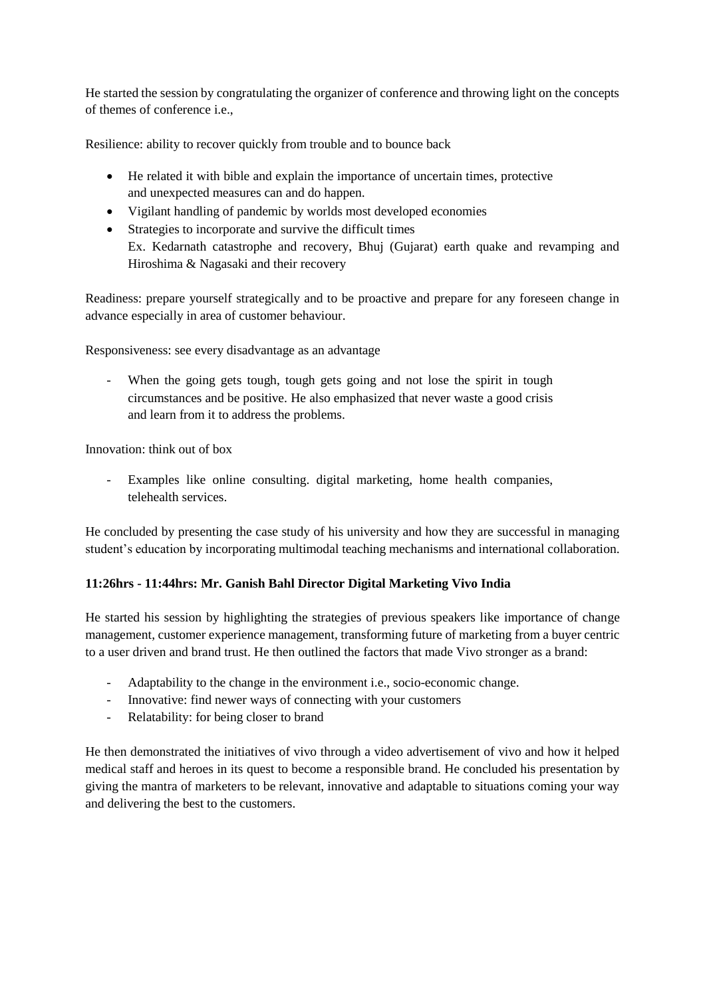He started the session by congratulating the organizer of conference and throwing light on the concepts of themes of conference i.e.,

Resilience: ability to recover quickly from trouble and to bounce back

- He related it with bible and explain the importance of uncertain times, protective and unexpected measures can and do happen.
- Vigilant handling of pandemic by worlds most developed economies
- Strategies to incorporate and survive the difficult times Ex. Kedarnath catastrophe and recovery, Bhuj (Gujarat) earth quake and revamping and Hiroshima & Nagasaki and their recovery

Readiness: prepare yourself strategically and to be proactive and prepare for any foreseen change in advance especially in area of customer behaviour.

Responsiveness: see every disadvantage as an advantage

- When the going gets tough, tough gets going and not lose the spirit in tough circumstances and be positive. He also emphasized that never waste a good crisis and learn from it to address the problems.

Innovation: think out of box

- Examples like online consulting. digital marketing, home health companies, telehealth services.

He concluded by presenting the case study of his university and how they are successful in managing student's education by incorporating multimodal teaching mechanisms and international collaboration.

## **11:26hrs - 11:44hrs: Mr. Ganish Bahl Director Digital Marketing Vivo India**

He started his session by highlighting the strategies of previous speakers like importance of change management, customer experience management, transforming future of marketing from a buyer centric to a user driven and brand trust. He then outlined the factors that made Vivo stronger as a brand:

- Adaptability to the change in the environment i.e., socio-economic change.
- Innovative: find newer ways of connecting with your customers
- Relatability: for being closer to brand

He then demonstrated the initiatives of vivo through a video advertisement of vivo and how it helped medical staff and heroes in its quest to become a responsible brand. He concluded his presentation by giving the mantra of marketers to be relevant, innovative and adaptable to situations coming your way and delivering the best to the customers.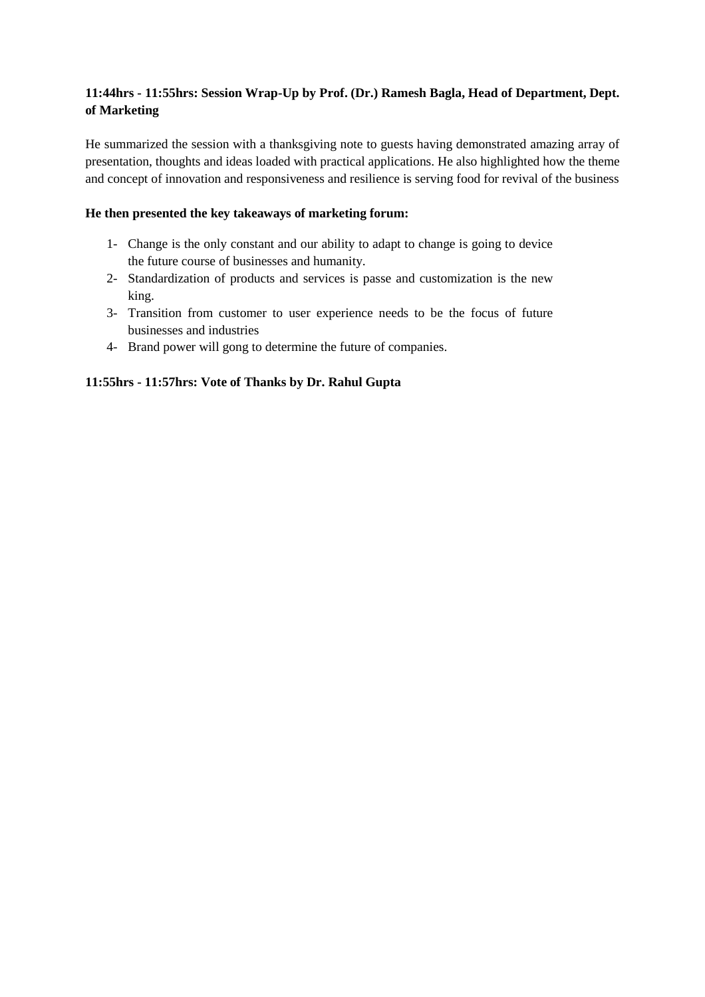# **11:44hrs - 11:55hrs: Session Wrap-Up by Prof. (Dr.) Ramesh Bagla, Head of Department, Dept. of Marketing**

He summarized the session with a thanksgiving note to guests having demonstrated amazing array of presentation, thoughts and ideas loaded with practical applications. He also highlighted how the theme and concept of innovation and responsiveness and resilience is serving food for revival of the business

## **He then presented the key takeaways of marketing forum:**

- 1- Change is the only constant and our ability to adapt to change is going to device the future course of businesses and humanity.
- 2- Standardization of products and services is passe and customization is the new king.
- 3- Transition from customer to user experience needs to be the focus of future businesses and industries
- 4- Brand power will gong to determine the future of companies.

## **11:55hrs - 11:57hrs: Vote of Thanks by Dr. Rahul Gupta**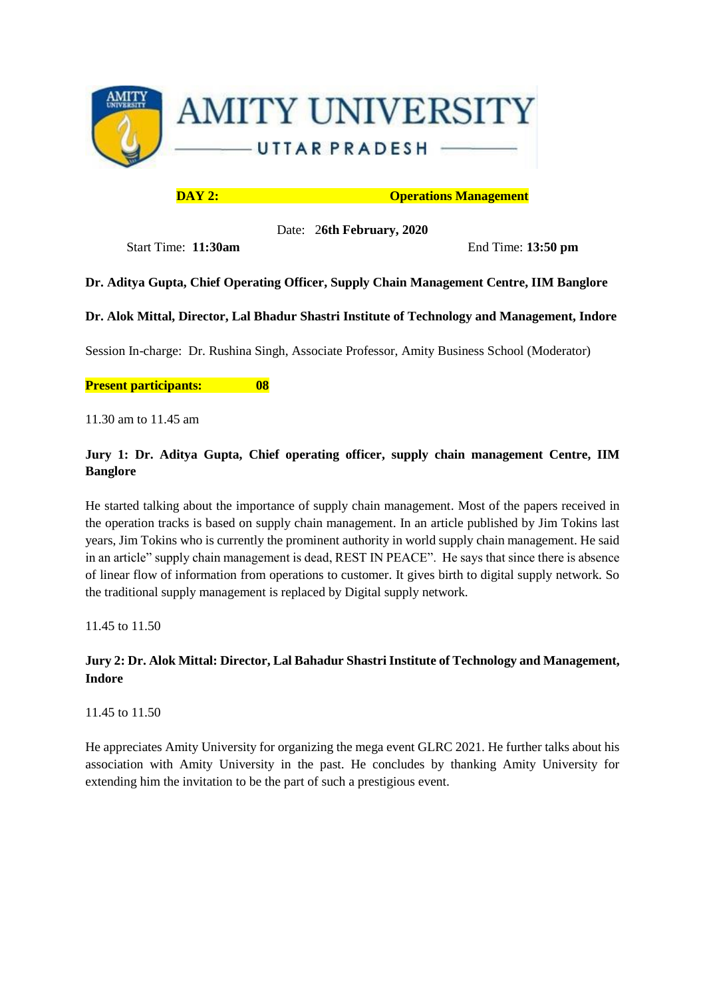

**DAY 2:** Operations Management

Date: 2**6th February, 2020**

Start Time: **11:30am** End Time: **13:50 pm**

# **Dr. Aditya Gupta, Chief Operating Officer, Supply Chain Management Centre, IIM Banglore**

**Dr. Alok Mittal, Director, Lal Bhadur Shastri Institute of Technology and Management, Indore**

Session In-charge: Dr. Rushina Singh, Associate Professor, Amity Business School (Moderator)

#### **Present participants: 08**

11.30 am to 11.45 am

# **Jury 1: Dr. Aditya Gupta, Chief operating officer, supply chain management Centre, IIM Banglore**

He started talking about the importance of supply chain management. Most of the papers received in the operation tracks is based on supply chain management. In an article published by Jim Tokins last years, Jim Tokins who is currently the prominent authority in world supply chain management. He said in an article" supply chain management is dead, REST IN PEACE". He says that since there is absence of linear flow of information from operations to customer. It gives birth to digital supply network. So the traditional supply management is replaced by Digital supply network.

11.45 to 11.50

# **Jury 2: Dr. Alok Mittal: Director, Lal Bahadur Shastri Institute of Technology and Management, Indore**

11.45 to 11.50

He appreciates Amity University for organizing the mega event GLRC 2021. He further talks about his association with Amity University in the past. He concludes by thanking Amity University for extending him the invitation to be the part of such a prestigious event.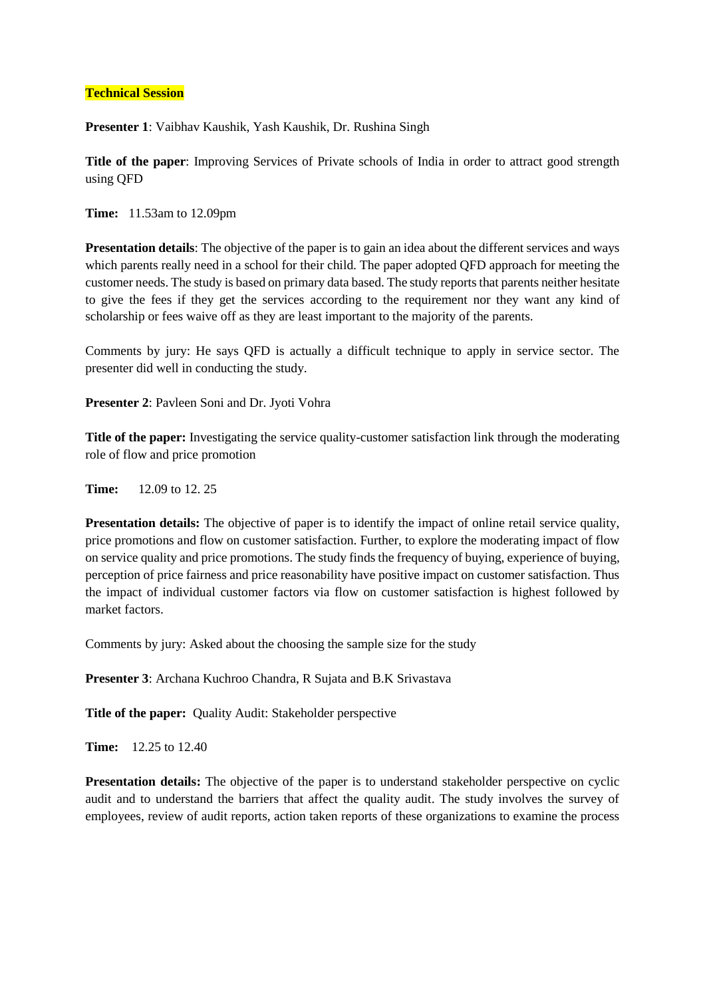#### **Technical Session**

**Presenter 1**: Vaibhav Kaushik, Yash Kaushik, Dr. Rushina Singh

**Title of the paper**: Improving Services of Private schools of India in order to attract good strength using QFD

**Time:** 11.53am to 12.09pm

**Presentation details**: The objective of the paper is to gain an idea about the different services and ways which parents really need in a school for their child. The paper adopted QFD approach for meeting the customer needs. The study is based on primary data based. The study reports that parents neither hesitate to give the fees if they get the services according to the requirement nor they want any kind of scholarship or fees waive off as they are least important to the majority of the parents.

Comments by jury: He says QFD is actually a difficult technique to apply in service sector. The presenter did well in conducting the study.

**Presenter 2**: Pavleen Soni and Dr. Jyoti Vohra

**Title of the paper:** Investigating the service quality-customer satisfaction link through the moderating role of flow and price promotion

**Time:** 12.09 to 12. 25

**Presentation details:** The objective of paper is to identify the impact of online retail service quality, price promotions and flow on customer satisfaction. Further, to explore the moderating impact of flow on service quality and price promotions. The study finds the frequency of buying, experience of buying, perception of price fairness and price reasonability have positive impact on customer satisfaction. Thus the impact of individual customer factors via flow on customer satisfaction is highest followed by market factors.

Comments by jury: Asked about the choosing the sample size for the study

**Presenter 3**: Archana Kuchroo Chandra, R Sujata and B.K Srivastava

**Title of the paper:** Quality Audit: Stakeholder perspective

**Time:** 12.25 to 12.40

**Presentation details:** The objective of the paper is to understand stakeholder perspective on cyclic audit and to understand the barriers that affect the quality audit. The study involves the survey of employees, review of audit reports, action taken reports of these organizations to examine the process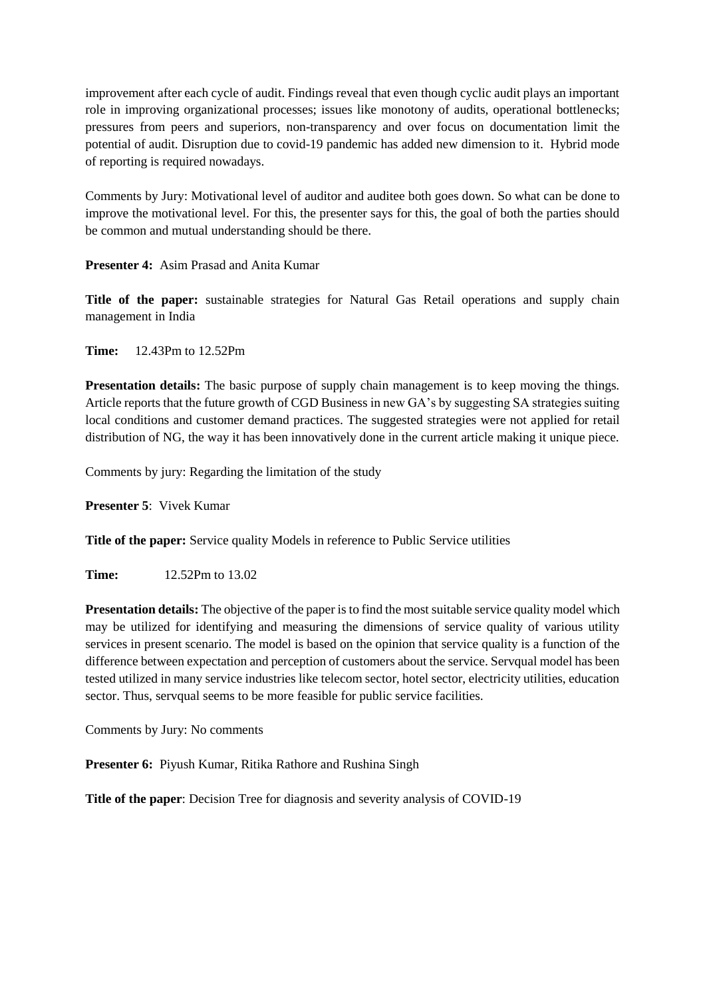improvement after each cycle of audit. Findings reveal that even though cyclic audit plays an important role in improving organizational processes; issues like monotony of audits, operational bottlenecks; pressures from peers and superiors, non-transparency and over focus on documentation limit the potential of audit. Disruption due to covid-19 pandemic has added new dimension to it. Hybrid mode of reporting is required nowadays.

Comments by Jury: Motivational level of auditor and auditee both goes down. So what can be done to improve the motivational level. For this, the presenter says for this, the goal of both the parties should be common and mutual understanding should be there.

**Presenter 4:** Asim Prasad and Anita Kumar

**Title of the paper:** sustainable strategies for Natural Gas Retail operations and supply chain management in India

**Time:** 12.43Pm to 12.52Pm

**Presentation details:** The basic purpose of supply chain management is to keep moving the things. Article reports that the future growth of CGD Business in new GA's by suggesting SA strategies suiting local conditions and customer demand practices. The suggested strategies were not applied for retail distribution of NG, the way it has been innovatively done in the current article making it unique piece.

Comments by jury: Regarding the limitation of the study

**Presenter 5**: Vivek Kumar

**Title of the paper:** Service quality Models in reference to Public Service utilities

**Time:** 12.52Pm to 13.02

**Presentation details:** The objective of the paper is to find the most suitable service quality model which may be utilized for identifying and measuring the dimensions of service quality of various utility services in present scenario. The model is based on the opinion that service quality is a function of the difference between expectation and perception of customers about the service. Servqual model has been tested utilized in many service industries like telecom sector, hotel sector, electricity utilities, education sector. Thus, servqual seems to be more feasible for public service facilities.

Comments by Jury: No comments

**Presenter 6:** Piyush Kumar, Ritika Rathore and Rushina Singh

**Title of the paper**: Decision Tree for diagnosis and severity analysis of COVID-19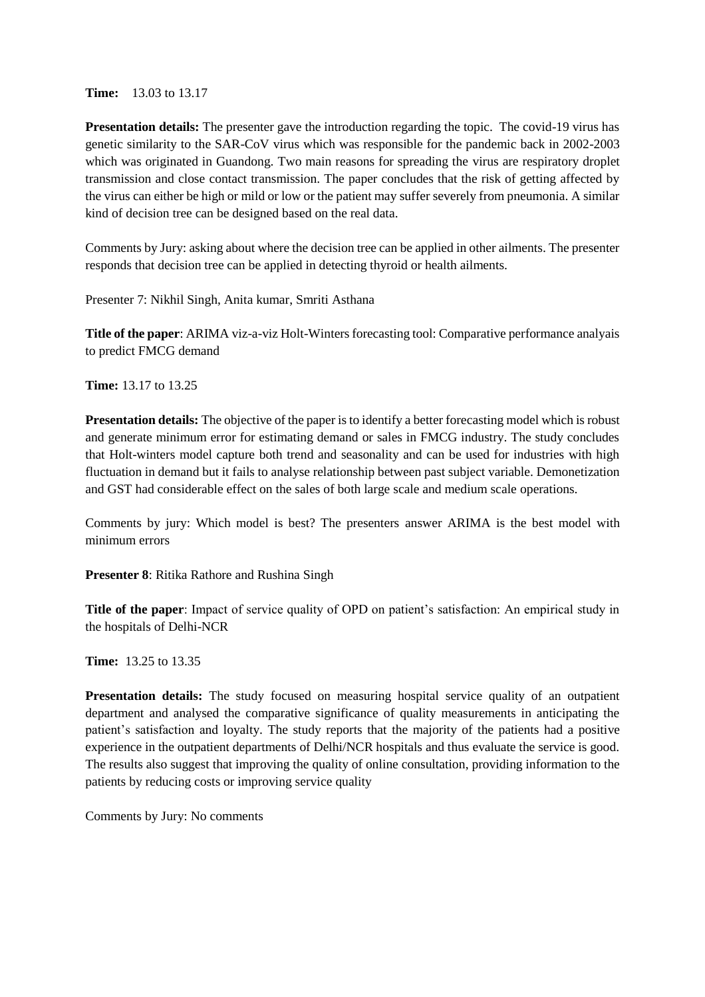**Time:** 13.03 to 13.17

**Presentation details:** The presenter gave the introduction regarding the topic. The covid-19 virus has genetic similarity to the SAR-CoV virus which was responsible for the pandemic back in 2002-2003 which was originated in Guandong. Two main reasons for spreading the virus are respiratory droplet transmission and close contact transmission. The paper concludes that the risk of getting affected by the virus can either be high or mild or low or the patient may suffer severely from pneumonia. A similar kind of decision tree can be designed based on the real data.

Comments by Jury: asking about where the decision tree can be applied in other ailments. The presenter responds that decision tree can be applied in detecting thyroid or health ailments.

Presenter 7: Nikhil Singh, Anita kumar, Smriti Asthana

**Title of the paper**: ARIMA viz-a-viz Holt-Winters forecasting tool: Comparative performance analyais to predict FMCG demand

**Time:** 13.17 to 13.25

**Presentation details:** The objective of the paper is to identify a better forecasting model which is robust and generate minimum error for estimating demand or sales in FMCG industry. The study concludes that Holt-winters model capture both trend and seasonality and can be used for industries with high fluctuation in demand but it fails to analyse relationship between past subject variable. Demonetization and GST had considerable effect on the sales of both large scale and medium scale operations.

Comments by jury: Which model is best? The presenters answer ARIMA is the best model with minimum errors

**Presenter 8**: Ritika Rathore and Rushina Singh

**Title of the paper**: Impact of service quality of OPD on patient's satisfaction: An empirical study in the hospitals of Delhi-NCR

**Time:** 13.25 to 13.35

Presentation details: The study focused on measuring hospital service quality of an outpatient department and analysed the comparative significance of quality measurements in anticipating the patient's satisfaction and loyalty. The study reports that the majority of the patients had a positive experience in the outpatient departments of Delhi/NCR hospitals and thus evaluate the service is good. The results also suggest that improving the quality of online consultation, providing information to the patients by reducing costs or improving service quality

Comments by Jury: No comments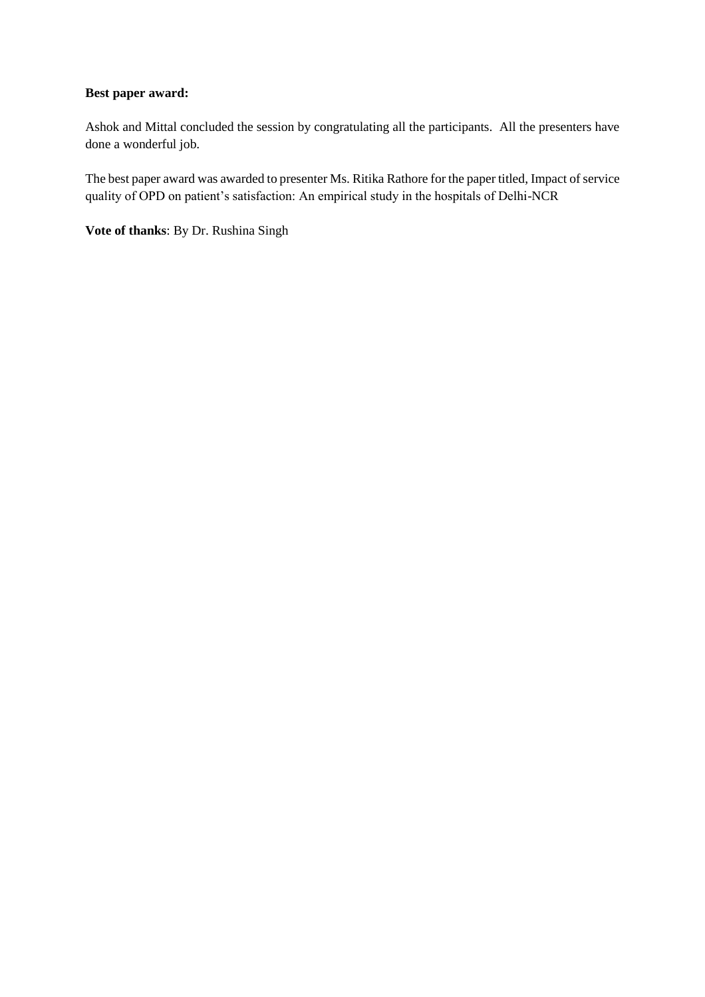#### **Best paper award:**

Ashok and Mittal concluded the session by congratulating all the participants. All the presenters have done a wonderful job.

The best paper award was awarded to presenter Ms. Ritika Rathore for the paper titled, Impact of service quality of OPD on patient's satisfaction: An empirical study in the hospitals of Delhi-NCR

**Vote of thanks**: By Dr. Rushina Singh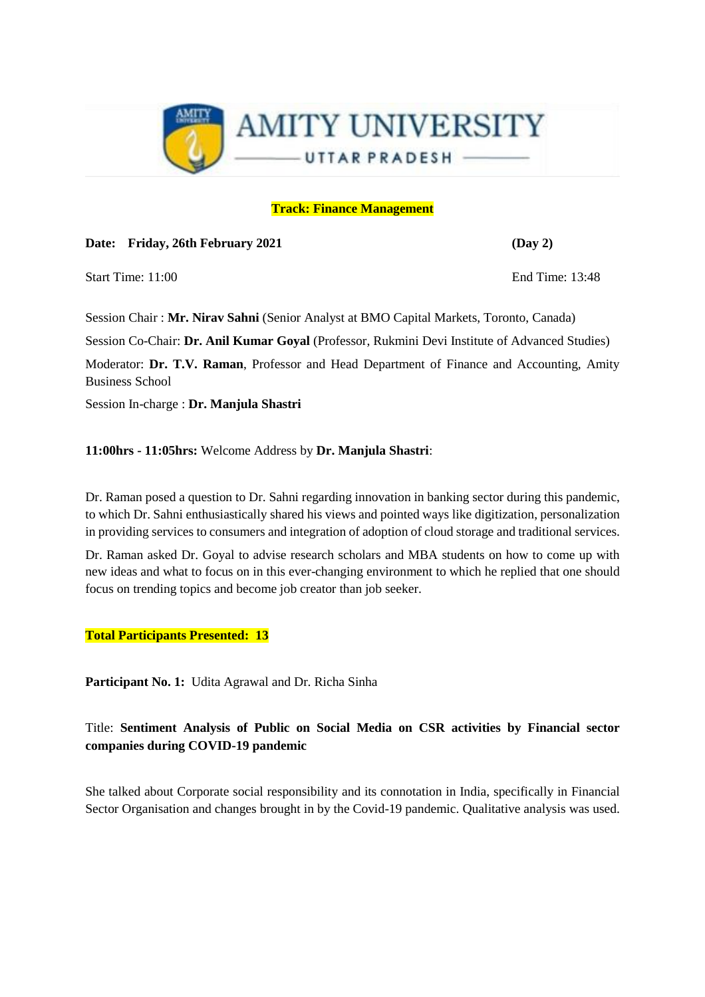

#### **Track: Finance Management**

**Date: Friday, 26th February 2021 (Day 2)**

Start Time: 11:00 End Time: 13:48

Session Chair : **Mr. Nirav Sahni** (Senior Analyst at BMO Capital Markets, Toronto, Canada)

Session Co-Chair: **Dr. Anil Kumar Goyal** (Professor, Rukmini Devi Institute of Advanced Studies)

Moderator: **Dr. T.V. Raman**, Professor and Head Department of Finance and Accounting, Amity Business School

Session In-charge : **Dr. Manjula Shastri**

**11:00hrs - 11:05hrs:** Welcome Address by **Dr. Manjula Shastri**:

Dr. Raman posed a question to Dr. Sahni regarding innovation in banking sector during this pandemic, to which Dr. Sahni enthusiastically shared his views and pointed ways like digitization, personalization in providing services to consumers and integration of adoption of cloud storage and traditional services.

Dr. Raman asked Dr. Goyal to advise research scholars and MBA students on how to come up with new ideas and what to focus on in this ever-changing environment to which he replied that one should focus on trending topics and become job creator than job seeker.

**Total Participants Presented: 13**

**Participant No. 1:** Udita Agrawal and Dr. Richa Sinha

Title: **Sentiment Analysis of Public on Social Media on CSR activities by Financial sector companies during COVID-19 pandemic**

She talked about Corporate social responsibility and its connotation in India, specifically in Financial Sector Organisation and changes brought in by the Covid-19 pandemic. Qualitative analysis was used.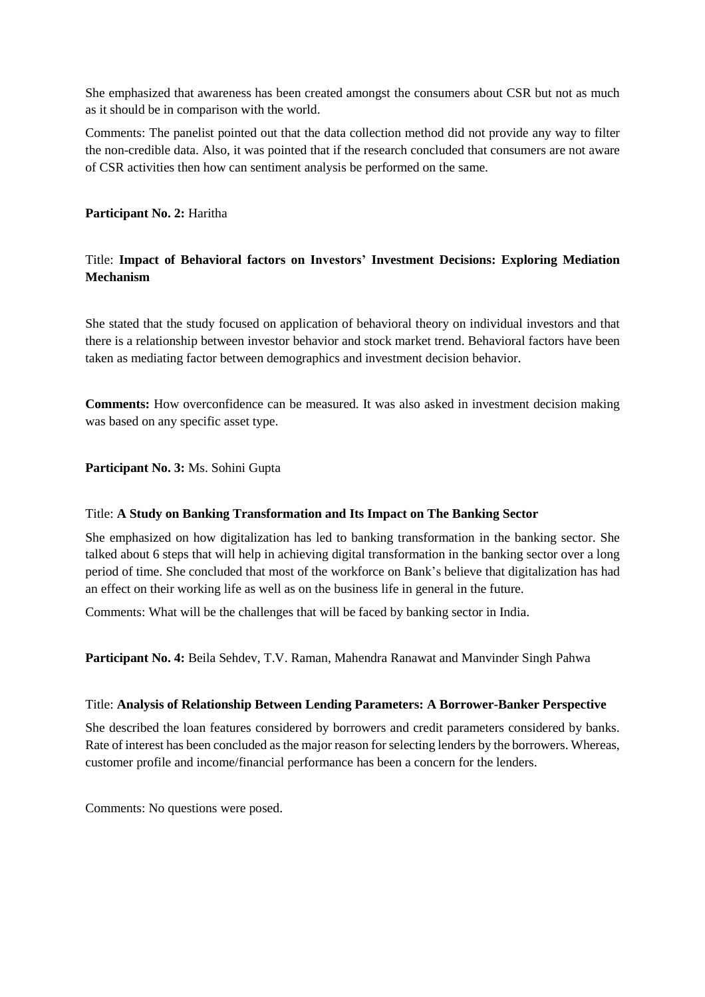She emphasized that awareness has been created amongst the consumers about CSR but not as much as it should be in comparison with the world.

Comments: The panelist pointed out that the data collection method did not provide any way to filter the non-credible data. Also, it was pointed that if the research concluded that consumers are not aware of CSR activities then how can sentiment analysis be performed on the same.

#### **Participant No. 2:** Haritha

# Title: **Impact of Behavioral factors on Investors' Investment Decisions: Exploring Mediation Mechanism**

She stated that the study focused on application of behavioral theory on individual investors and that there is a relationship between investor behavior and stock market trend. Behavioral factors have been taken as mediating factor between demographics and investment decision behavior.

**Comments:** How overconfidence can be measured. It was also asked in investment decision making was based on any specific asset type.

**Participant No. 3:** Ms. Sohini Gupta

#### Title: **A Study on Banking Transformation and Its Impact on The Banking Sector**

She emphasized on how digitalization has led to banking transformation in the banking sector. She talked about 6 steps that will help in achieving digital transformation in the banking sector over a long period of time. She concluded that most of the workforce on Bank's believe that digitalization has had an effect on their working life as well as on the business life in general in the future.

Comments: What will be the challenges that will be faced by banking sector in India.

**Participant No. 4:** Beila Sehdev, T.V. Raman, Mahendra Ranawat and Manvinder Singh Pahwa

#### Title: **Analysis of Relationship Between Lending Parameters: A Borrower-Banker Perspective**

She described the loan features considered by borrowers and credit parameters considered by banks. Rate of interest has been concluded as the major reason for selecting lenders by the borrowers. Whereas, customer profile and income/financial performance has been a concern for the lenders.

Comments: No questions were posed.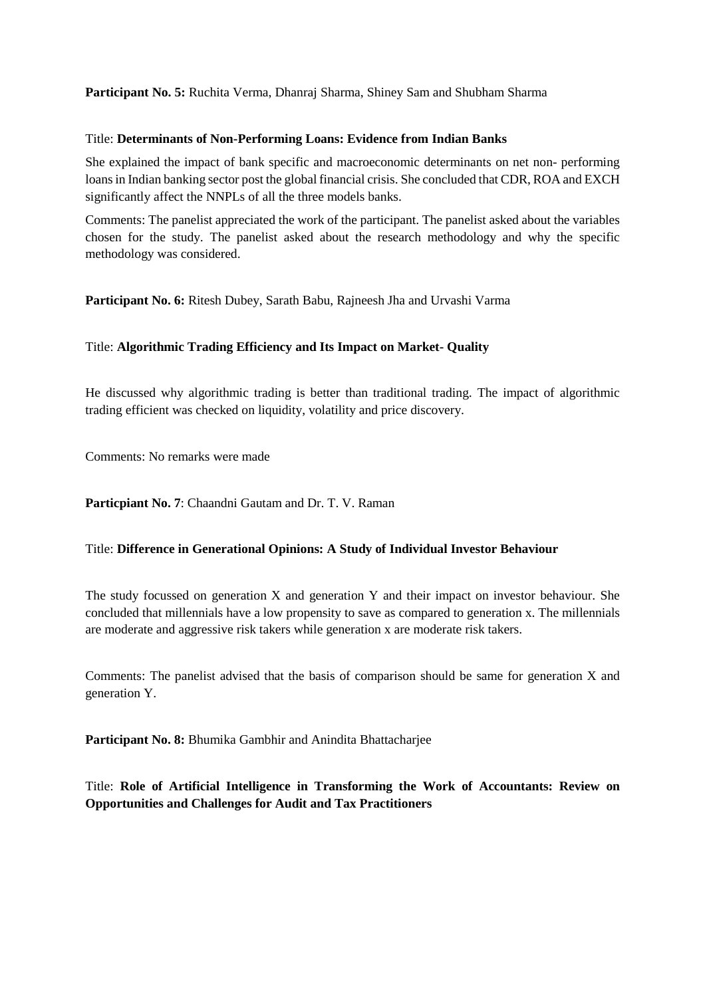**Participant No. 5:** Ruchita Verma, Dhanraj Sharma, Shiney Sam and Shubham Sharma

#### Title: **Determinants of Non-Performing Loans: Evidence from Indian Banks**

She explained the impact of bank specific and macroeconomic determinants on net non- performing loans in Indian banking sector post the global financial crisis. She concluded that CDR, ROA and EXCH significantly affect the NNPLs of all the three models banks.

Comments: The panelist appreciated the work of the participant. The panelist asked about the variables chosen for the study. The panelist asked about the research methodology and why the specific methodology was considered.

**Participant No. 6:** Ritesh Dubey, Sarath Babu, Rajneesh Jha and Urvashi Varma

## Title: **Algorithmic Trading Efficiency and Its Impact on Market- Quality**

He discussed why algorithmic trading is better than traditional trading. The impact of algorithmic trading efficient was checked on liquidity, volatility and price discovery.

Comments: No remarks were made

**Particpiant No. 7**: Chaandni Gautam and Dr. T. V. Raman

#### Title: **Difference in Generational Opinions: A Study of Individual Investor Behaviour**

The study focussed on generation X and generation Y and their impact on investor behaviour. She concluded that millennials have a low propensity to save as compared to generation x. The millennials are moderate and aggressive risk takers while generation x are moderate risk takers.

Comments: The panelist advised that the basis of comparison should be same for generation X and generation Y.

**Participant No. 8:** Bhumika Gambhir and Anindita Bhattacharjee

Title: **Role of Artificial Intelligence in Transforming the Work of Accountants: Review on Opportunities and Challenges for Audit and Tax Practitioners**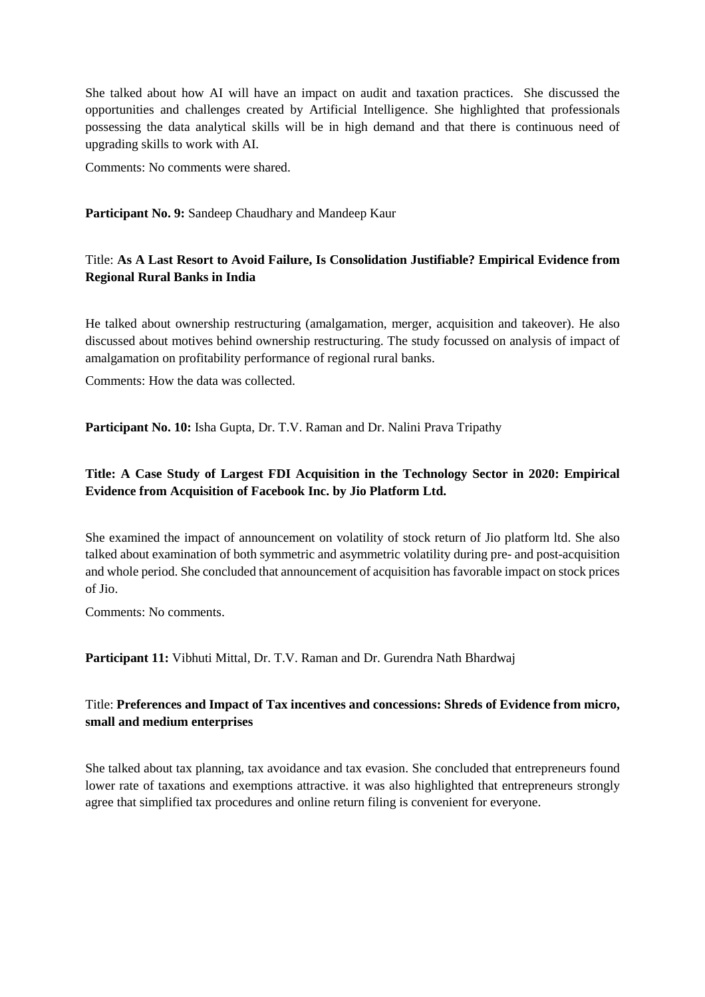She talked about how AI will have an impact on audit and taxation practices. She discussed the opportunities and challenges created by Artificial Intelligence. She highlighted that professionals possessing the data analytical skills will be in high demand and that there is continuous need of upgrading skills to work with AI.

Comments: No comments were shared.

**Participant No. 9:** Sandeep Chaudhary and Mandeep Kaur

## Title: **As A Last Resort to Avoid Failure, Is Consolidation Justifiable? Empirical Evidence from Regional Rural Banks in India**

He talked about ownership restructuring (amalgamation, merger, acquisition and takeover). He also discussed about motives behind ownership restructuring. The study focussed on analysis of impact of amalgamation on profitability performance of regional rural banks.

Comments: How the data was collected.

**Participant No. 10:** Isha Gupta, Dr. T.V. Raman and Dr. Nalini Prava Tripathy

# **Title: A Case Study of Largest FDI Acquisition in the Technology Sector in 2020: Empirical Evidence from Acquisition of Facebook Inc. by Jio Platform Ltd.**

She examined the impact of announcement on volatility of stock return of Jio platform ltd. She also talked about examination of both symmetric and asymmetric volatility during pre- and post-acquisition and whole period. She concluded that announcement of acquisition has favorable impact on stock prices of Jio.

Comments: No comments.

**Participant 11:** Vibhuti Mittal, Dr. T.V. Raman and Dr. Gurendra Nath Bhardwaj

## Title: **Preferences and Impact of Tax incentives and concessions: Shreds of Evidence from micro, small and medium enterprises**

She talked about tax planning, tax avoidance and tax evasion. She concluded that entrepreneurs found lower rate of taxations and exemptions attractive. it was also highlighted that entrepreneurs strongly agree that simplified tax procedures and online return filing is convenient for everyone.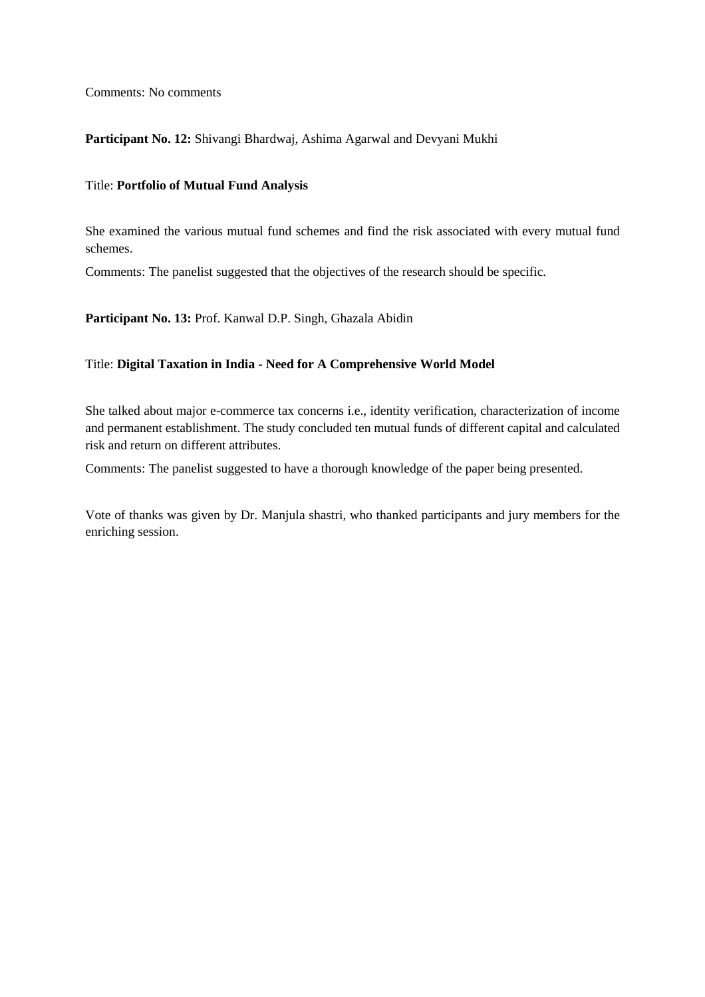Comments: No comments

#### **Participant No. 12:** Shivangi Bhardwaj, Ashima Agarwal and Devyani Mukhi

#### Title: **Portfolio of Mutual Fund Analysis**

She examined the various mutual fund schemes and find the risk associated with every mutual fund schemes.

Comments: The panelist suggested that the objectives of the research should be specific.

**Participant No. 13:** Prof. Kanwal D.P. Singh, Ghazala Abidin

#### Title: **Digital Taxation in India - Need for A Comprehensive World Model**

She talked about major e-commerce tax concerns i.e., identity verification, characterization of income and permanent establishment. The study concluded ten mutual funds of different capital and calculated risk and return on different attributes.

Comments: The panelist suggested to have a thorough knowledge of the paper being presented.

Vote of thanks was given by Dr. Manjula shastri, who thanked participants and jury members for the enriching session.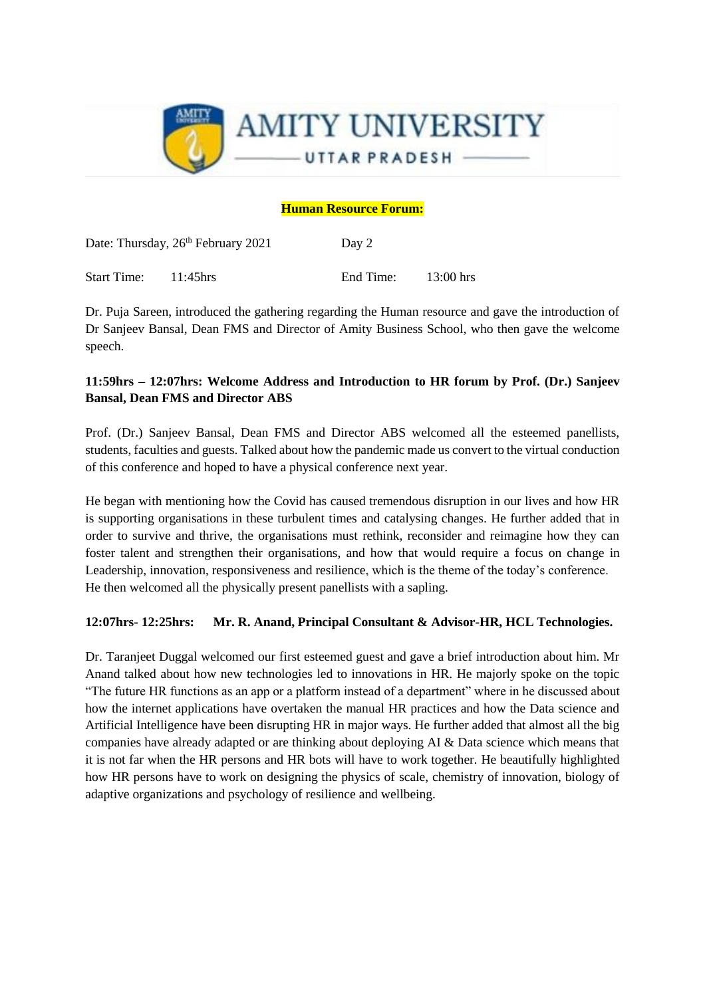

## **Human Resource Forum:**

|             | Date: Thursday, 26 <sup>th</sup> February 2021 | Day 2     |             |  |
|-------------|------------------------------------------------|-----------|-------------|--|
| Start Time: | $11:45$ hrs                                    | End Time: | $13:00$ hrs |  |

Dr. Puja Sareen, introduced the gathering regarding the Human resource and gave the introduction of Dr Sanjeev Bansal, Dean FMS and Director of Amity Business School, who then gave the welcome speech.

# **11:59hrs – 12:07hrs: Welcome Address and Introduction to HR forum by Prof. (Dr.) Sanjeev Bansal, Dean FMS and Director ABS**

Prof. (Dr.) Sanjeev Bansal, Dean FMS and Director ABS welcomed all the esteemed panellists, students, faculties and guests. Talked about how the pandemic made us convert to the virtual conduction of this conference and hoped to have a physical conference next year.

He began with mentioning how the Covid has caused tremendous disruption in our lives and how HR is supporting organisations in these turbulent times and catalysing changes. He further added that in order to survive and thrive, the organisations must rethink, reconsider and reimagine how they can foster talent and strengthen their organisations, and how that would require a focus on change in Leadership, innovation, responsiveness and resilience, which is the theme of the today's conference. He then welcomed all the physically present panellists with a sapling.

## **12:07hrs- 12:25hrs: Mr. R. Anand, Principal Consultant & Advisor-HR, HCL Technologies.**

Dr. Taranjeet Duggal welcomed our first esteemed guest and gave a brief introduction about him. Mr Anand talked about how new technologies led to innovations in HR. He majorly spoke on the topic "The future HR functions as an app or a platform instead of a department" where in he discussed about how the internet applications have overtaken the manual HR practices and how the Data science and Artificial Intelligence have been disrupting HR in major ways. He further added that almost all the big companies have already adapted or are thinking about deploying AI & Data science which means that it is not far when the HR persons and HR bots will have to work together. He beautifully highlighted how HR persons have to work on designing the physics of scale, chemistry of innovation, biology of adaptive organizations and psychology of resilience and wellbeing.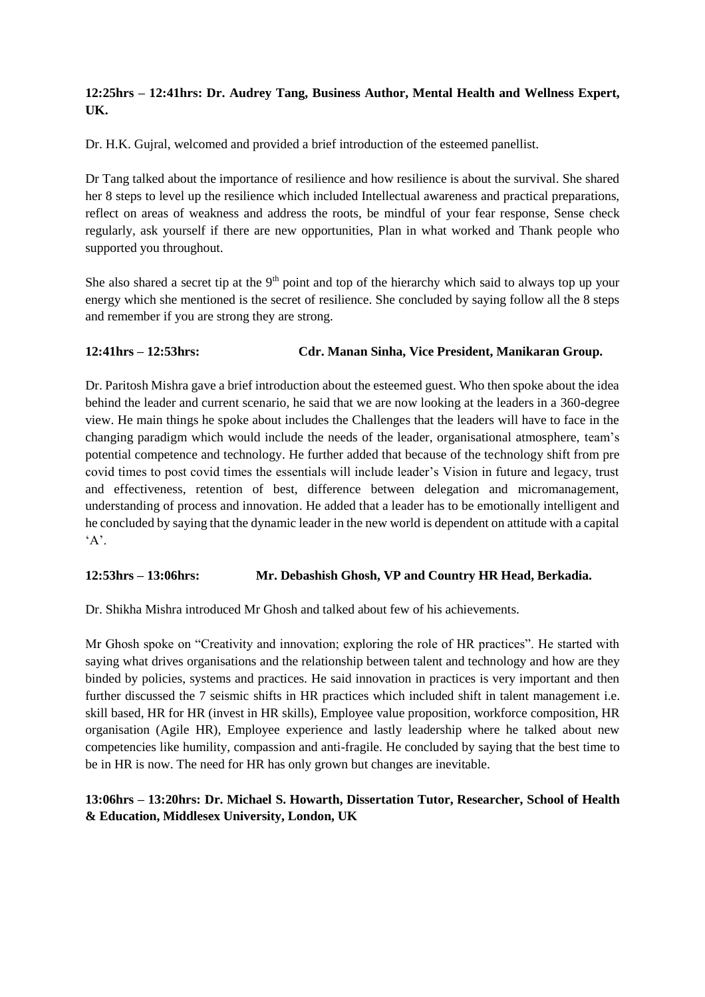# **12:25hrs – 12:41hrs: Dr. Audrey Tang, Business Author, Mental Health and Wellness Expert, UK.**

Dr. H.K. Gujral, welcomed and provided a brief introduction of the esteemed panellist.

Dr Tang talked about the importance of resilience and how resilience is about the survival. She shared her 8 steps to level up the resilience which included Intellectual awareness and practical preparations, reflect on areas of weakness and address the roots, be mindful of your fear response, Sense check regularly, ask yourself if there are new opportunities, Plan in what worked and Thank people who supported you throughout.

She also shared a secret tip at the 9<sup>th</sup> point and top of the hierarchy which said to always top up your energy which she mentioned is the secret of resilience. She concluded by saying follow all the 8 steps and remember if you are strong they are strong.

# **12:41hrs – 12:53hrs: Cdr. Manan Sinha, Vice President, Manikaran Group.**

Dr. Paritosh Mishra gave a brief introduction about the esteemed guest. Who then spoke about the idea behind the leader and current scenario, he said that we are now looking at the leaders in a 360-degree view. He main things he spoke about includes the Challenges that the leaders will have to face in the changing paradigm which would include the needs of the leader, organisational atmosphere, team's potential competence and technology. He further added that because of the technology shift from pre covid times to post covid times the essentials will include leader's Vision in future and legacy, trust and effectiveness, retention of best, difference between delegation and micromanagement, understanding of process and innovation. He added that a leader has to be emotionally intelligent and he concluded by saying that the dynamic leader in the new world is dependent on attitude with a capital  $A$ .

## **12:53hrs – 13:06hrs: Mr. Debashish Ghosh, VP and Country HR Head, Berkadia.**

Dr. Shikha Mishra introduced Mr Ghosh and talked about few of his achievements.

Mr Ghosh spoke on "Creativity and innovation; exploring the role of HR practices". He started with saying what drives organisations and the relationship between talent and technology and how are they binded by policies, systems and practices. He said innovation in practices is very important and then further discussed the 7 seismic shifts in HR practices which included shift in talent management i.e. skill based, HR for HR (invest in HR skills), Employee value proposition, workforce composition, HR organisation (Agile HR), Employee experience and lastly leadership where he talked about new competencies like humility, compassion and anti-fragile. He concluded by saying that the best time to be in HR is now. The need for HR has only grown but changes are inevitable.

# **13:06hrs – 13:20hrs: Dr. Michael S. Howarth, Dissertation Tutor, Researcher, School of Health & Education, Middlesex University, London, UK**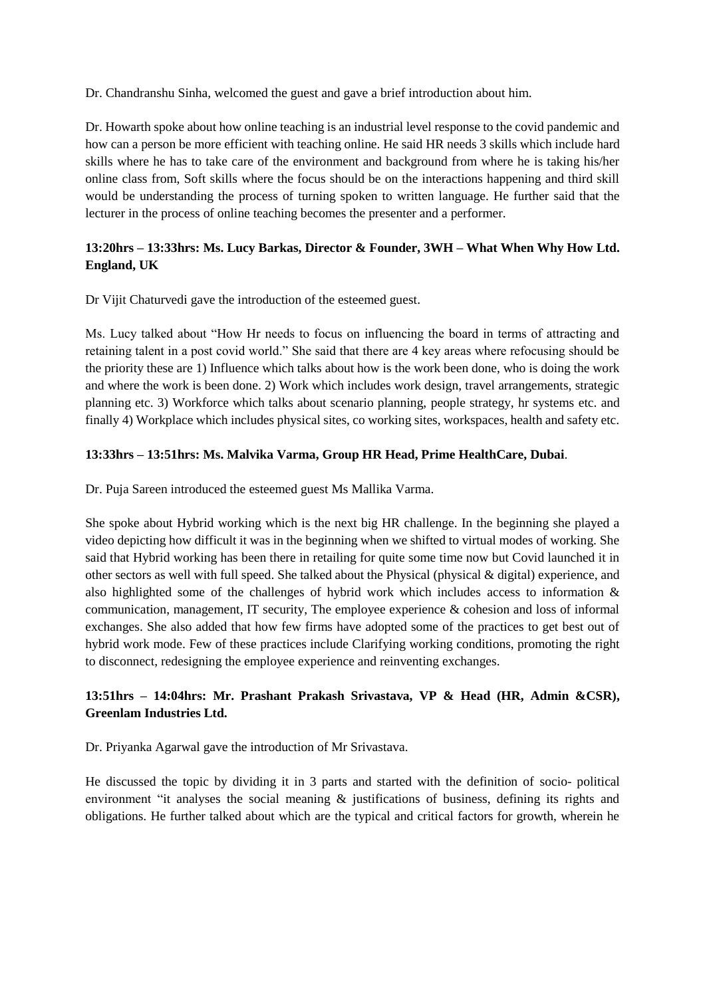Dr. Chandranshu Sinha, welcomed the guest and gave a brief introduction about him.

Dr. Howarth spoke about how online teaching is an industrial level response to the covid pandemic and how can a person be more efficient with teaching online. He said HR needs 3 skills which include hard skills where he has to take care of the environment and background from where he is taking his/her online class from, Soft skills where the focus should be on the interactions happening and third skill would be understanding the process of turning spoken to written language. He further said that the lecturer in the process of online teaching becomes the presenter and a performer.

# **13:20hrs – 13:33hrs: Ms. Lucy Barkas, Director & Founder, 3WH – What When Why How Ltd. England, UK**

Dr Vijit Chaturvedi gave the introduction of the esteemed guest.

Ms. Lucy talked about "How Hr needs to focus on influencing the board in terms of attracting and retaining talent in a post covid world." She said that there are 4 key areas where refocusing should be the priority these are 1) Influence which talks about how is the work been done, who is doing the work and where the work is been done. 2) Work which includes work design, travel arrangements, strategic planning etc. 3) Workforce which talks about scenario planning, people strategy, hr systems etc. and finally 4) Workplace which includes physical sites, co working sites, workspaces, health and safety etc.

## **13:33hrs – 13:51hrs: Ms. Malvika Varma, Group HR Head, Prime HealthCare, Dubai**.

Dr. Puja Sareen introduced the esteemed guest Ms Mallika Varma.

She spoke about Hybrid working which is the next big HR challenge. In the beginning she played a video depicting how difficult it was in the beginning when we shifted to virtual modes of working. She said that Hybrid working has been there in retailing for quite some time now but Covid launched it in other sectors as well with full speed. She talked about the Physical (physical & digital) experience, and also highlighted some of the challenges of hybrid work which includes access to information & communication, management, IT security, The employee experience & cohesion and loss of informal exchanges. She also added that how few firms have adopted some of the practices to get best out of hybrid work mode. Few of these practices include Clarifying working conditions, promoting the right to disconnect, redesigning the employee experience and reinventing exchanges.

# **13:51hrs – 14:04hrs: Mr. Prashant Prakash Srivastava, VP & Head (HR, Admin &CSR), Greenlam Industries Ltd.**

Dr. Priyanka Agarwal gave the introduction of Mr Srivastava.

He discussed the topic by dividing it in 3 parts and started with the definition of socio- political environment "it analyses the social meaning  $\&$  justifications of business, defining its rights and obligations. He further talked about which are the typical and critical factors for growth, wherein he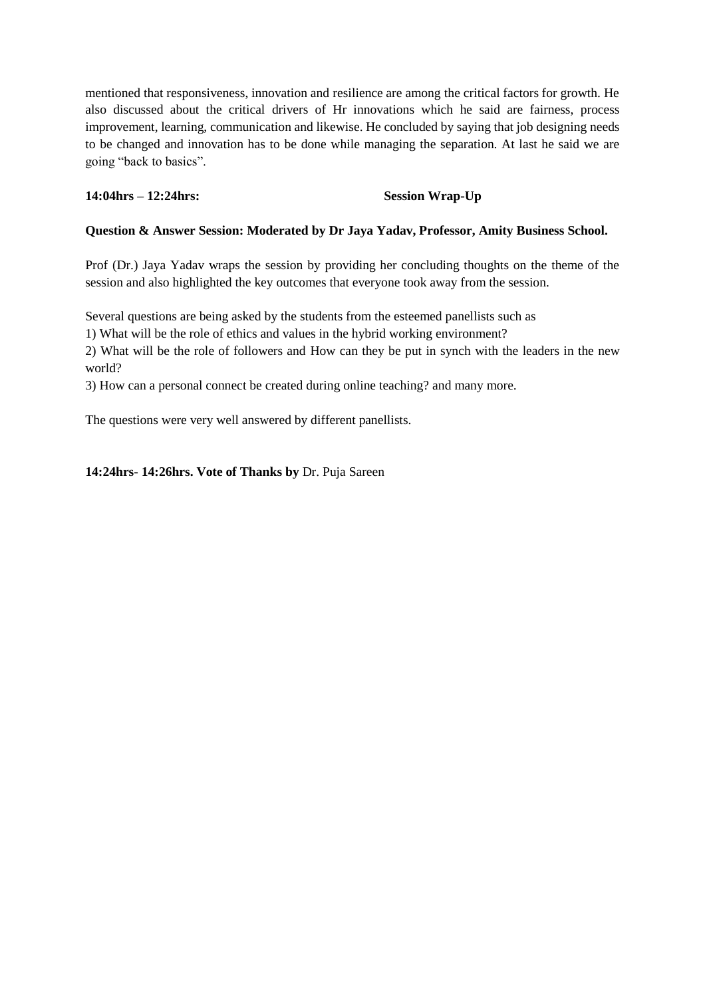mentioned that responsiveness, innovation and resilience are among the critical factors for growth. He also discussed about the critical drivers of Hr innovations which he said are fairness, process improvement, learning, communication and likewise. He concluded by saying that job designing needs to be changed and innovation has to be done while managing the separation. At last he said we are going "back to basics".

#### **14:04hrs – 12:24hrs: Session Wrap-Up**

#### **Question & Answer Session: Moderated by Dr Jaya Yadav, Professor, Amity Business School.**

Prof (Dr.) Jaya Yadav wraps the session by providing her concluding thoughts on the theme of the session and also highlighted the key outcomes that everyone took away from the session.

Several questions are being asked by the students from the esteemed panellists such as

1) What will be the role of ethics and values in the hybrid working environment?

2) What will be the role of followers and How can they be put in synch with the leaders in the new world?

3) How can a personal connect be created during online teaching? and many more.

The questions were very well answered by different panellists.

**14:24hrs- 14:26hrs. Vote of Thanks by** Dr. Puja Sareen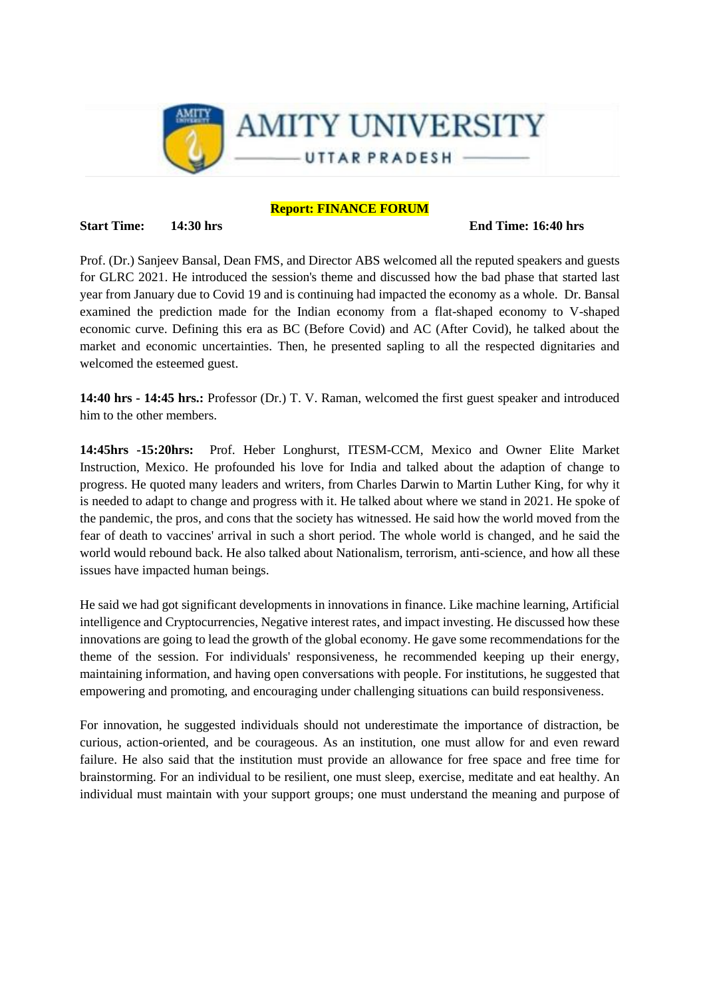

#### **Report: FINANCE FORUM**

#### **Start Time:** 14:30 hrs **End Time:** 16:40 hrs **End Time:** 16:40 hrs

Prof. (Dr.) Sanjeev Bansal, Dean FMS, and Director ABS welcomed all the reputed speakers and guests for GLRC 2021. He introduced the session's theme and discussed how the bad phase that started last year from January due to Covid 19 and is continuing had impacted the economy as a whole. Dr. Bansal examined the prediction made for the Indian economy from a flat-shaped economy to V-shaped economic curve. Defining this era as BC (Before Covid) and AC (After Covid), he talked about the market and economic uncertainties. Then, he presented sapling to all the respected dignitaries and welcomed the esteemed guest.

**14:40 hrs - 14:45 hrs.:** Professor (Dr.) T. V. Raman, welcomed the first guest speaker and introduced him to the other members.

**14:45hrs -15:20hrs:** Prof. Heber Longhurst, ITESM-CCM, Mexico and Owner Elite Market Instruction, Mexico. He profounded his love for India and talked about the adaption of change to progress. He quoted many leaders and writers, from Charles Darwin to Martin Luther King, for why it is needed to adapt to change and progress with it. He talked about where we stand in 2021. He spoke of the pandemic, the pros, and cons that the society has witnessed. He said how the world moved from the fear of death to vaccines' arrival in such a short period. The whole world is changed, and he said the world would rebound back. He also talked about Nationalism, terrorism, anti-science, and how all these issues have impacted human beings.

He said we had got significant developments in innovations in finance. Like machine learning, Artificial intelligence and Cryptocurrencies, Negative interest rates, and impact investing. He discussed how these innovations are going to lead the growth of the global economy. He gave some recommendations for the theme of the session. For individuals' responsiveness, he recommended keeping up their energy, maintaining information, and having open conversations with people. For institutions, he suggested that empowering and promoting, and encouraging under challenging situations can build responsiveness.

For innovation, he suggested individuals should not underestimate the importance of distraction, be curious, action-oriented, and be courageous. As an institution, one must allow for and even reward failure. He also said that the institution must provide an allowance for free space and free time for brainstorming. For an individual to be resilient, one must sleep, exercise, meditate and eat healthy. An individual must maintain with your support groups; one must understand the meaning and purpose of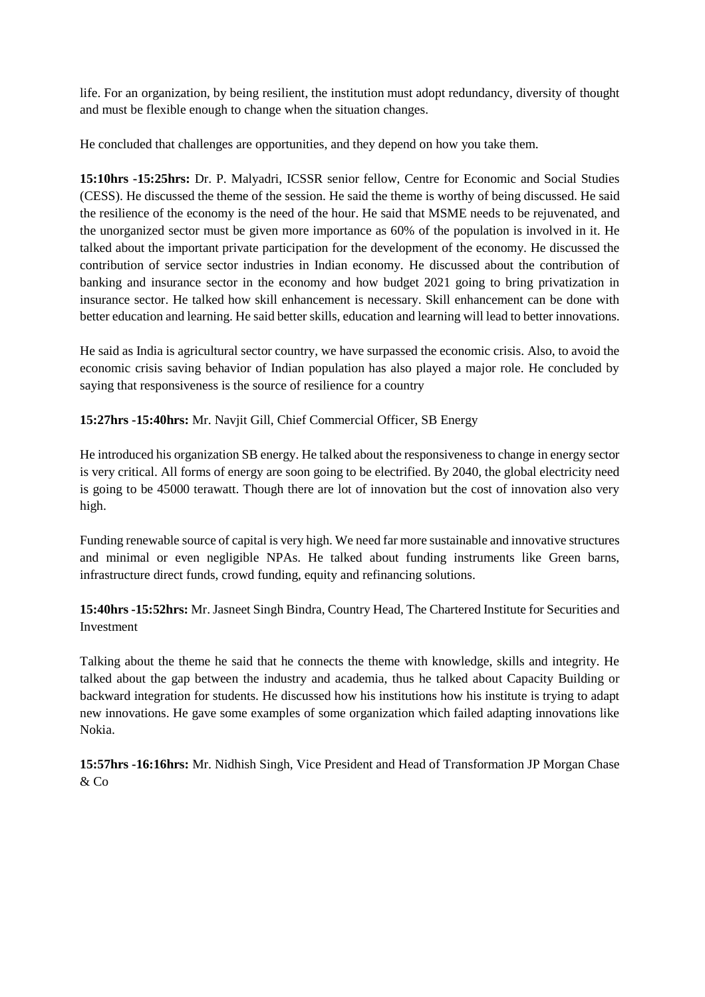life. For an organization, by being resilient, the institution must adopt redundancy, diversity of thought and must be flexible enough to change when the situation changes.

He concluded that challenges are opportunities, and they depend on how you take them.

**15:10hrs -15:25hrs:** Dr. P. Malyadri, ICSSR senior fellow, Centre for Economic and Social Studies (CESS). He discussed the theme of the session. He said the theme is worthy of being discussed. He said the resilience of the economy is the need of the hour. He said that MSME needs to be rejuvenated, and the unorganized sector must be given more importance as 60% of the population is involved in it. He talked about the important private participation for the development of the economy. He discussed the contribution of service sector industries in Indian economy. He discussed about the contribution of banking and insurance sector in the economy and how budget 2021 going to bring privatization in insurance sector. He talked how skill enhancement is necessary. Skill enhancement can be done with better education and learning. He said better skills, education and learning will lead to better innovations.

He said as India is agricultural sector country, we have surpassed the economic crisis. Also, to avoid the economic crisis saving behavior of Indian population has also played a major role. He concluded by saying that responsiveness is the source of resilience for a country

**15:27hrs -15:40hrs:** Mr. Navjit Gill, Chief Commercial Officer, SB Energy

He introduced his organization SB energy. He talked about the responsiveness to change in energy sector is very critical. All forms of energy are soon going to be electrified. By 2040, the global electricity need is going to be 45000 terawatt. Though there are lot of innovation but the cost of innovation also very high.

Funding renewable source of capital is very high. We need far more sustainable and innovative structures and minimal or even negligible NPAs. He talked about funding instruments like Green barns, infrastructure direct funds, crowd funding, equity and refinancing solutions.

**15:40hrs -15:52hrs:** Mr. Jasneet Singh Bindra, Country Head, The Chartered Institute for Securities and Investment

Talking about the theme he said that he connects the theme with knowledge, skills and integrity. He talked about the gap between the industry and academia, thus he talked about Capacity Building or backward integration for students. He discussed how his institutions how his institute is trying to adapt new innovations. He gave some examples of some organization which failed adapting innovations like Nokia.

**15:57hrs -16:16hrs:** Mr. Nidhish Singh, Vice President and Head of Transformation JP Morgan Chase & Co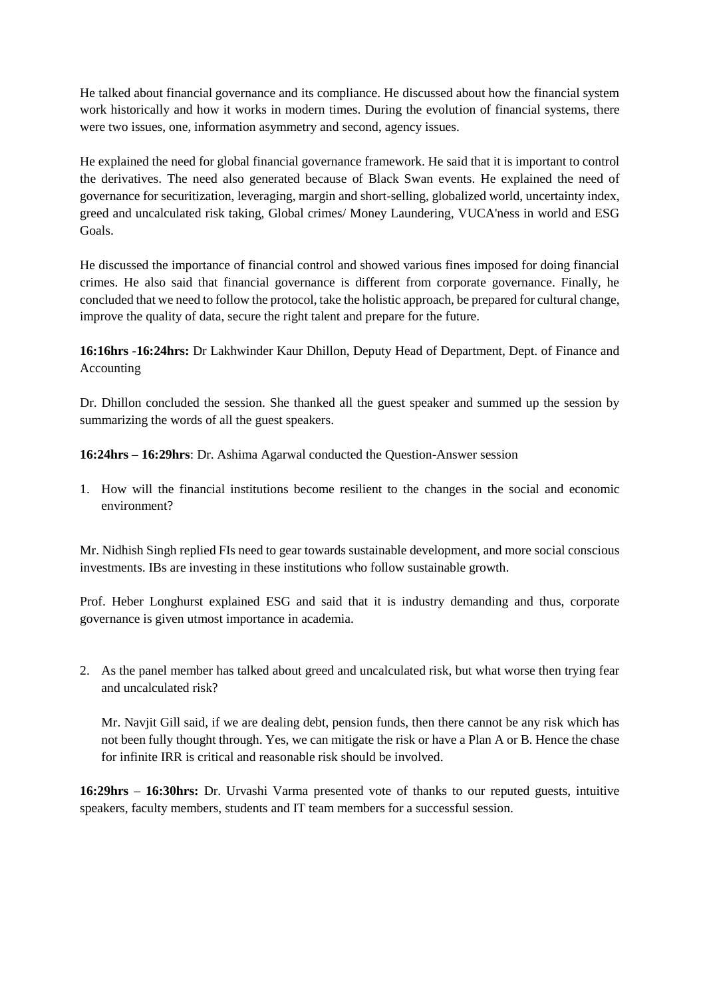He talked about financial governance and its compliance. He discussed about how the financial system work historically and how it works in modern times. During the evolution of financial systems, there were two issues, one, information asymmetry and second, agency issues.

He explained the need for global financial governance framework. He said that it is important to control the derivatives. The need also generated because of Black Swan events. He explained the need of governance for securitization, leveraging, margin and short-selling, globalized world, uncertainty index, greed and uncalculated risk taking, Global crimes/ Money Laundering, VUCA'ness in world and ESG Goals.

He discussed the importance of financial control and showed various fines imposed for doing financial crimes. He also said that financial governance is different from corporate governance. Finally, he concluded that we need to follow the protocol, take the holistic approach, be prepared for cultural change, improve the quality of data, secure the right talent and prepare for the future.

**16:16hrs -16:24hrs:** Dr Lakhwinder Kaur Dhillon, Deputy Head of Department, Dept. of Finance and Accounting

Dr. Dhillon concluded the session. She thanked all the guest speaker and summed up the session by summarizing the words of all the guest speakers.

**16:24hrs – 16:29hrs**: Dr. Ashima Agarwal conducted the Question-Answer session

1. How will the financial institutions become resilient to the changes in the social and economic environment?

Mr. Nidhish Singh replied FIs need to gear towards sustainable development, and more social conscious investments. IBs are investing in these institutions who follow sustainable growth.

Prof. Heber Longhurst explained ESG and said that it is industry demanding and thus, corporate governance is given utmost importance in academia.

2. As the panel member has talked about greed and uncalculated risk, but what worse then trying fear and uncalculated risk?

Mr. Navjit Gill said, if we are dealing debt, pension funds, then there cannot be any risk which has not been fully thought through. Yes, we can mitigate the risk or have a Plan A or B. Hence the chase for infinite IRR is critical and reasonable risk should be involved.

**16:29hrs – 16:30hrs:** Dr. Urvashi Varma presented vote of thanks to our reputed guests, intuitive speakers, faculty members, students and IT team members for a successful session.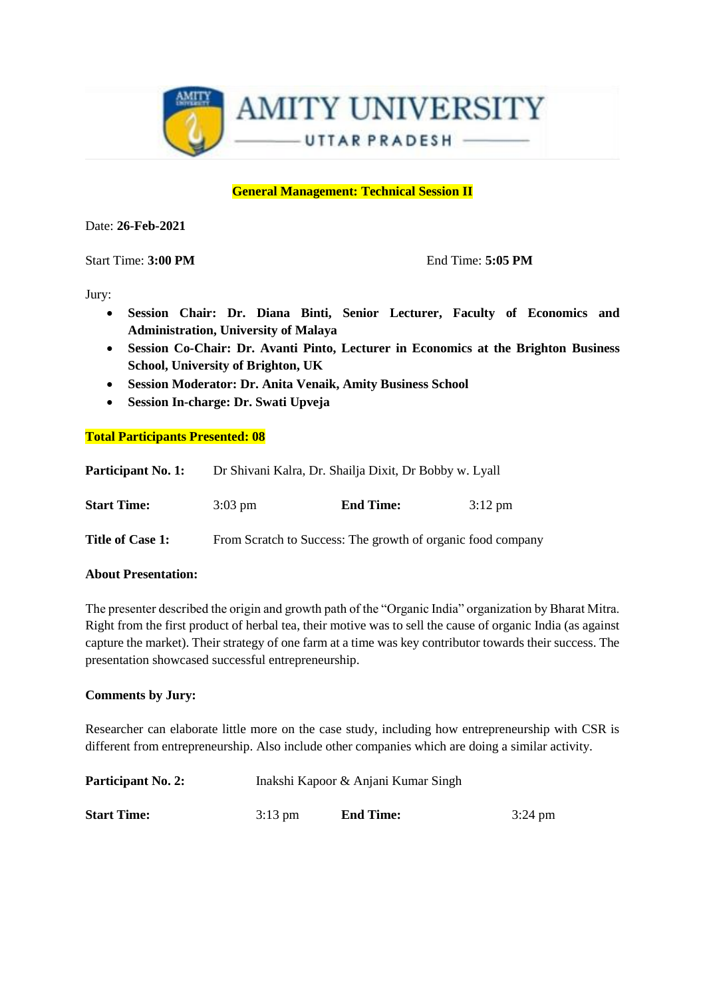

#### **General Management: Technical Session II**

Date: **26-Feb-2021**

**Start Time: 3:00 PM** End Time: 5:05 PM

Jury:

- **Session Chair: Dr. Diana Binti, Senior Lecturer, Faculty of Economics and Administration, University of Malaya**
- **Session Co-Chair: Dr. Avanti Pinto, Lecturer in Economics at the Brighton Business School, University of Brighton, UK**
- **Session Moderator: Dr. Anita Venaik, Amity Business School**
- **Session In-charge: Dr. Swati Upveja**

#### **Total Participants Presented: 08**

| <b>Participant No. 1:</b> |                   |                                                             | Dr Shivani Kalra, Dr. Shailja Dixit, Dr Bobby w. Lyall |  |  |
|---------------------------|-------------------|-------------------------------------------------------------|--------------------------------------------------------|--|--|
| <b>Start Time:</b>        | $3:03 \text{ pm}$ | <b>End Time:</b>                                            | $3:12 \text{ pm}$                                      |  |  |
| Title of Case 1:          |                   | From Scratch to Success: The growth of organic food company |                                                        |  |  |

#### **About Presentation:**

The presenter described the origin and growth path of the "Organic India" organization by Bharat Mitra. Right from the first product of herbal tea, their motive was to sell the cause of organic India (as against capture the market). Their strategy of one farm at a time was key contributor towards their success. The presentation showcased successful entrepreneurship.

#### **Comments by Jury:**

Researcher can elaborate little more on the case study, including how entrepreneurship with CSR is different from entrepreneurship. Also include other companies which are doing a similar activity.

| <b>Participant No. 2:</b> | Inakshi Kapoor & Anjani Kumar Singh |                  |                   |  |
|---------------------------|-------------------------------------|------------------|-------------------|--|
| <b>Start Time:</b>        | $3:13 \text{ pm}$                   | <b>End Time:</b> | $3:24 \text{ pm}$ |  |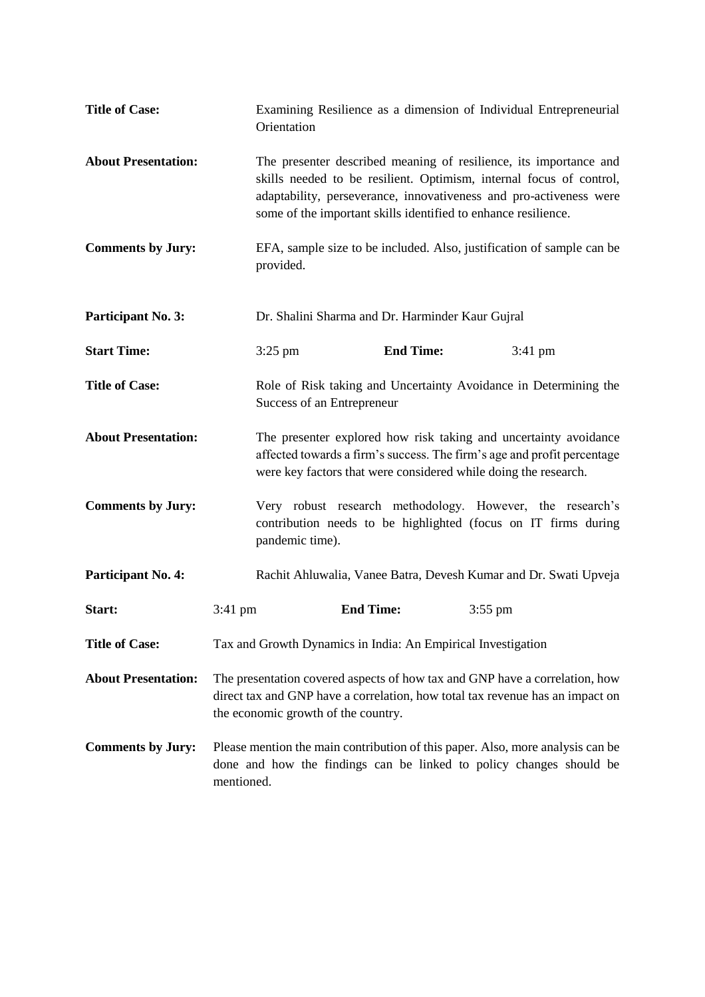| <b>Title of Case:</b>      |                                                                                                                                                                                                     | Examining Resilience as a dimension of Individual Entrepreneurial<br>Orientation                                                                                                                                                                                                 |  |                                                                                                                             |
|----------------------------|-----------------------------------------------------------------------------------------------------------------------------------------------------------------------------------------------------|----------------------------------------------------------------------------------------------------------------------------------------------------------------------------------------------------------------------------------------------------------------------------------|--|-----------------------------------------------------------------------------------------------------------------------------|
| <b>About Presentation:</b> |                                                                                                                                                                                                     | The presenter described meaning of resilience, its importance and<br>skills needed to be resilient. Optimism, internal focus of control,<br>adaptability, perseverance, innovativeness and pro-activeness were<br>some of the important skills identified to enhance resilience. |  |                                                                                                                             |
| <b>Comments by Jury:</b>   |                                                                                                                                                                                                     | EFA, sample size to be included. Also, justification of sample can be<br>provided.                                                                                                                                                                                               |  |                                                                                                                             |
| Participant No. 3:         |                                                                                                                                                                                                     | Dr. Shalini Sharma and Dr. Harminder Kaur Gujral                                                                                                                                                                                                                                 |  |                                                                                                                             |
| <b>Start Time:</b>         | $3:25$ pm                                                                                                                                                                                           | <b>End Time:</b>                                                                                                                                                                                                                                                                 |  | 3:41 pm                                                                                                                     |
| <b>Title of Case:</b>      |                                                                                                                                                                                                     | Role of Risk taking and Uncertainty Avoidance in Determining the<br>Success of an Entrepreneur                                                                                                                                                                                   |  |                                                                                                                             |
| <b>About Presentation:</b> |                                                                                                                                                                                                     | The presenter explored how risk taking and uncertainty avoidance<br>affected towards a firm's success. The firm's age and profit percentage<br>were key factors that were considered while doing the research.                                                                   |  |                                                                                                                             |
| <b>Comments by Jury:</b>   | pandemic time).                                                                                                                                                                                     |                                                                                                                                                                                                                                                                                  |  | Very robust research methodology. However, the research's<br>contribution needs to be highlighted (focus on IT firms during |
| Participant No. 4:         |                                                                                                                                                                                                     |                                                                                                                                                                                                                                                                                  |  | Rachit Ahluwalia, Vanee Batra, Devesh Kumar and Dr. Swati Upveja                                                            |
| Start:                     | $3:41$ pm                                                                                                                                                                                           | <b>End Time:</b>                                                                                                                                                                                                                                                                 |  | $3:55$ pm                                                                                                                   |
| <b>Title of Case:</b>      |                                                                                                                                                                                                     | Tax and Growth Dynamics in India: An Empirical Investigation                                                                                                                                                                                                                     |  |                                                                                                                             |
| <b>About Presentation:</b> | The presentation covered aspects of how tax and GNP have a correlation, how<br>direct tax and GNP have a correlation, how total tax revenue has an impact on<br>the economic growth of the country. |                                                                                                                                                                                                                                                                                  |  |                                                                                                                             |
| <b>Comments by Jury:</b>   | mentioned.                                                                                                                                                                                          | Please mention the main contribution of this paper. Also, more analysis can be<br>done and how the findings can be linked to policy changes should be                                                                                                                            |  |                                                                                                                             |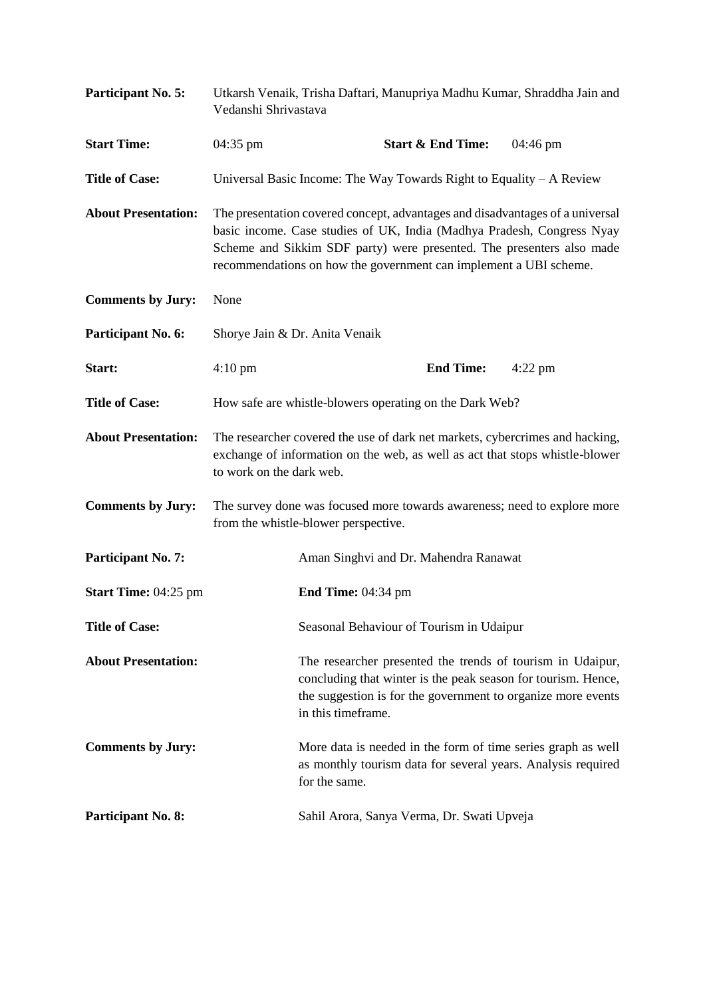| Participant No. 5:          | Utkarsh Venaik, Trisha Daftari, Manupriya Madhu Kumar, Shraddha Jain and<br>Vedanshi Shrivastava                                                                                                                                                                                                      |                    |                                                                       |                                                                                                                                                                                             |
|-----------------------------|-------------------------------------------------------------------------------------------------------------------------------------------------------------------------------------------------------------------------------------------------------------------------------------------------------|--------------------|-----------------------------------------------------------------------|---------------------------------------------------------------------------------------------------------------------------------------------------------------------------------------------|
| <b>Start Time:</b>          | 04:35 pm                                                                                                                                                                                                                                                                                              |                    | <b>Start &amp; End Time:</b>                                          | 04:46 pm                                                                                                                                                                                    |
| <b>Title of Case:</b>       |                                                                                                                                                                                                                                                                                                       |                    | Universal Basic Income: The Way Towards Right to Equality $-A$ Review |                                                                                                                                                                                             |
| <b>About Presentation:</b>  | The presentation covered concept, advantages and disadvantages of a universal<br>basic income. Case studies of UK, India (Madhya Pradesh, Congress Nyay<br>Scheme and Sikkim SDF party) were presented. The presenters also made<br>recommendations on how the government can implement a UBI scheme. |                    |                                                                       |                                                                                                                                                                                             |
| <b>Comments by Jury:</b>    | None                                                                                                                                                                                                                                                                                                  |                    |                                                                       |                                                                                                                                                                                             |
| Participant No. 6:          | Shorye Jain & Dr. Anita Venaik                                                                                                                                                                                                                                                                        |                    |                                                                       |                                                                                                                                                                                             |
| Start:                      | $4:10 \text{ pm}$                                                                                                                                                                                                                                                                                     |                    | <b>End Time:</b>                                                      | $4:22$ pm                                                                                                                                                                                   |
| <b>Title of Case:</b>       | How safe are whistle-blowers operating on the Dark Web?                                                                                                                                                                                                                                               |                    |                                                                       |                                                                                                                                                                                             |
| <b>About Presentation:</b>  | The researcher covered the use of dark net markets, cybercrimes and hacking,<br>exchange of information on the web, as well as act that stops whistle-blower<br>to work on the dark web.                                                                                                              |                    |                                                                       |                                                                                                                                                                                             |
| <b>Comments by Jury:</b>    | The survey done was focused more towards awareness; need to explore more<br>from the whistle-blower perspective.                                                                                                                                                                                      |                    |                                                                       |                                                                                                                                                                                             |
| Participant No. 7:          |                                                                                                                                                                                                                                                                                                       |                    | Aman Singhvi and Dr. Mahendra Ranawat                                 |                                                                                                                                                                                             |
| <b>Start Time: 04:25 pm</b> |                                                                                                                                                                                                                                                                                                       | End Time: 04:34 pm |                                                                       |                                                                                                                                                                                             |
| <b>Title of Case:</b>       |                                                                                                                                                                                                                                                                                                       |                    | Seasonal Behaviour of Tourism in Udaipur                              |                                                                                                                                                                                             |
| <b>About Presentation:</b>  |                                                                                                                                                                                                                                                                                                       | in this timeframe. |                                                                       | The researcher presented the trends of tourism in Udaipur,<br>concluding that winter is the peak season for tourism. Hence,<br>the suggestion is for the government to organize more events |
| <b>Comments by Jury:</b>    |                                                                                                                                                                                                                                                                                                       | for the same.      |                                                                       | More data is needed in the form of time series graph as well<br>as monthly tourism data for several years. Analysis required                                                                |
| Participant No. 8:          |                                                                                                                                                                                                                                                                                                       |                    | Sahil Arora, Sanya Verma, Dr. Swati Upveja                            |                                                                                                                                                                                             |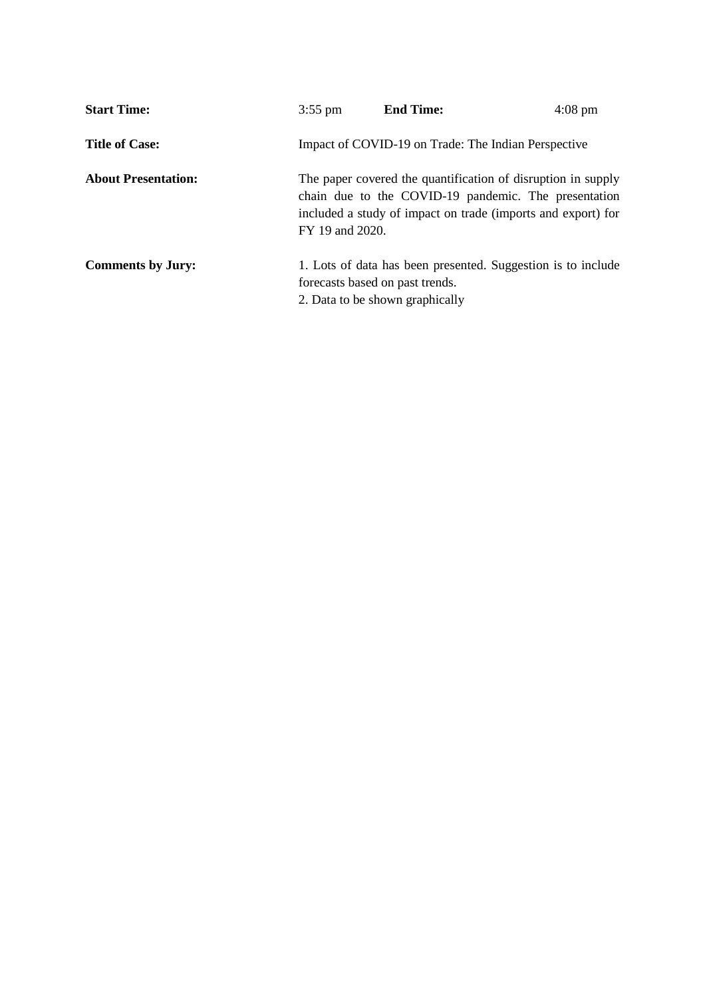| <b>Start Time:</b>         | $3:55$ pm       | <b>End Time:</b>                                                                                                                                                                     | $4:08 \text{ pm}$ |
|----------------------------|-----------------|--------------------------------------------------------------------------------------------------------------------------------------------------------------------------------------|-------------------|
| <b>Title of Case:</b>      |                 | Impact of COVID-19 on Trade: The Indian Perspective                                                                                                                                  |                   |
| <b>About Presentation:</b> | FY 19 and 2020. | The paper covered the quantification of disruption in supply<br>chain due to the COVID-19 pandemic. The presentation<br>included a study of impact on trade (imports and export) for |                   |
| <b>Comments by Jury:</b>   |                 | 1. Lots of data has been presented. Suggestion is to include<br>forecasts based on past trends.<br>2. Data to be shown graphically                                                   |                   |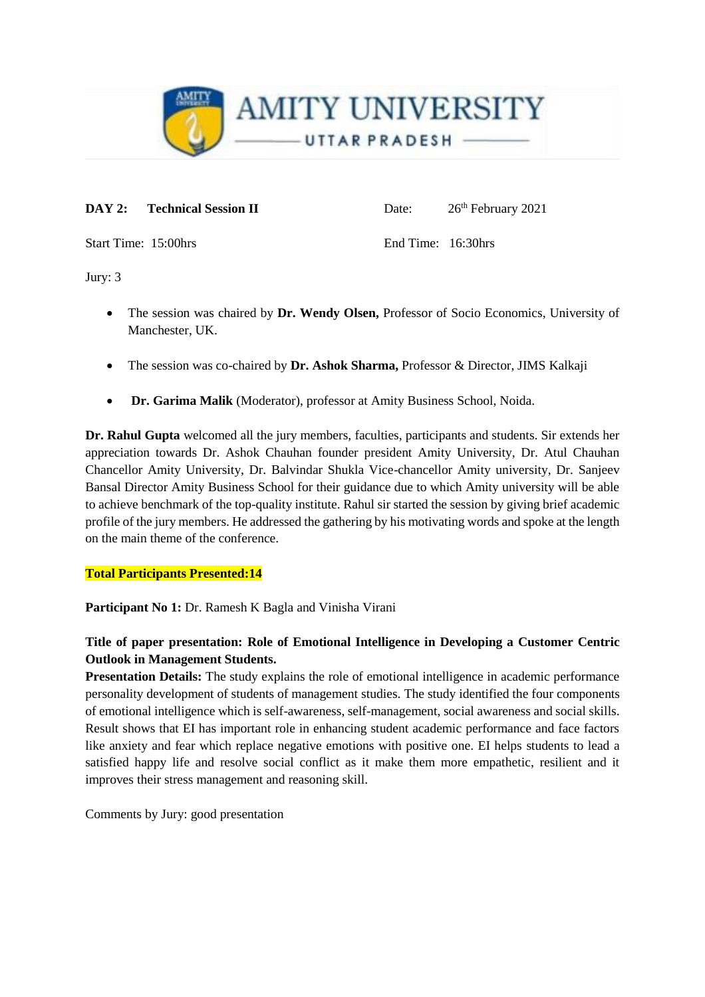

**DAY 2:** Technical Session II Date:  $26^{\text{th}}$  February 2021

Start Time: 15:00hrs End Time: 16:30hrs

Jury: 3

- The session was chaired by **Dr. Wendy Olsen,** Professor of Socio Economics, University of Manchester, UK.
- The session was co-chaired by **Dr. Ashok Sharma,** Professor & Director, JIMS Kalkaji
- **Dr. Garima Malik** (Moderator), professor at Amity Business School, Noida.

**Dr. Rahul Gupta** welcomed all the jury members, faculties, participants and students. Sir extends her appreciation towards Dr. Ashok Chauhan founder president Amity University, Dr. Atul Chauhan Chancellor Amity University, Dr. Balvindar Shukla Vice-chancellor Amity university, Dr. Sanjeev Bansal Director Amity Business School for their guidance due to which Amity university will be able to achieve benchmark of the top-quality institute. Rahul sir started the session by giving brief academic profile of the jury members. He addressed the gathering by his motivating words and spoke at the length on the main theme of the conference.

## **Total Participants Presented:14**

**Participant No 1:** Dr. Ramesh K Bagla and Vinisha Virani

# **Title of paper presentation: Role of Emotional Intelligence in Developing a Customer Centric Outlook in Management Students.**

**Presentation Details:** The study explains the role of emotional intelligence in academic performance personality development of students of management studies. The study identified the four components of emotional intelligence which is self-awareness, self-management, social awareness and social skills. Result shows that EI has important role in enhancing student academic performance and face factors like anxiety and fear which replace negative emotions with positive one. EI helps students to lead a satisfied happy life and resolve social conflict as it make them more empathetic, resilient and it improves their stress management and reasoning skill.

Comments by Jury: good presentation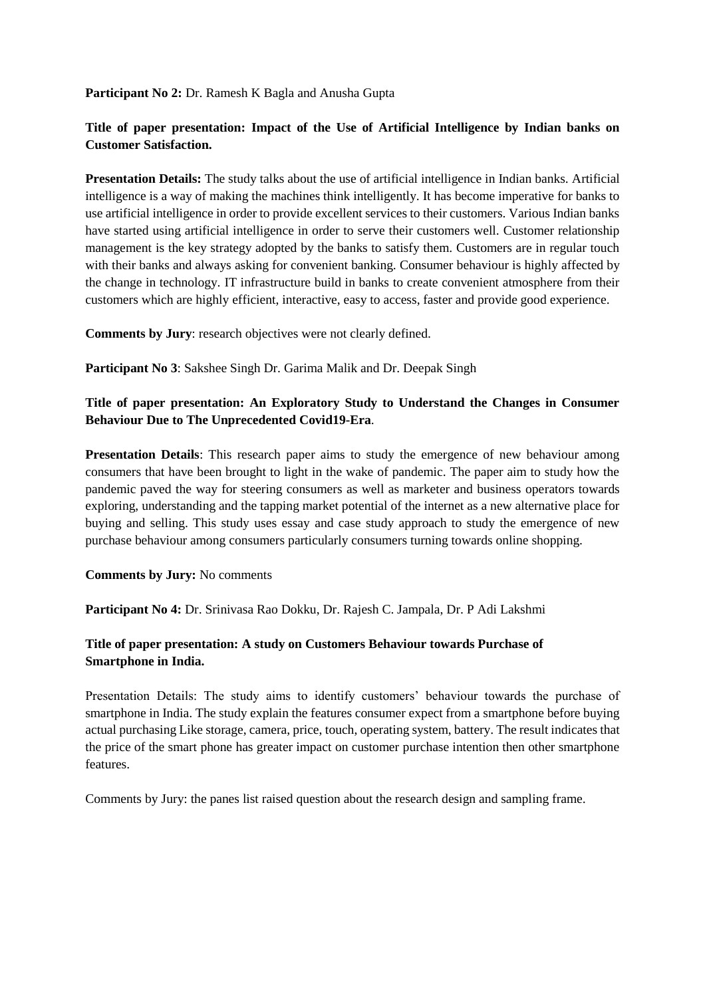**Participant No 2:** Dr. Ramesh K Bagla and Anusha Gupta

# **Title of paper presentation: Impact of the Use of Artificial Intelligence by Indian banks on Customer Satisfaction.**

**Presentation Details:** The study talks about the use of artificial intelligence in Indian banks. Artificial intelligence is a way of making the machines think intelligently. It has become imperative for banks to use artificial intelligence in order to provide excellent services to their customers. Various Indian banks have started using artificial intelligence in order to serve their customers well. Customer relationship management is the key strategy adopted by the banks to satisfy them. Customers are in regular touch with their banks and always asking for convenient banking. Consumer behaviour is highly affected by the change in technology. IT infrastructure build in banks to create convenient atmosphere from their customers which are highly efficient, interactive, easy to access, faster and provide good experience.

**Comments by Jury**: research objectives were not clearly defined.

**Participant No 3**: Sakshee Singh Dr. Garima Malik and Dr. Deepak Singh

# **Title of paper presentation: An Exploratory Study to Understand the Changes in Consumer Behaviour Due to The Unprecedented Covid19-Era**.

**Presentation Details**: This research paper aims to study the emergence of new behaviour among consumers that have been brought to light in the wake of pandemic. The paper aim to study how the pandemic paved the way for steering consumers as well as marketer and business operators towards exploring, understanding and the tapping market potential of the internet as a new alternative place for buying and selling. This study uses essay and case study approach to study the emergence of new purchase behaviour among consumers particularly consumers turning towards online shopping.

#### **Comments by Jury:** No comments

**Participant No 4:** Dr. Srinivasa Rao Dokku, Dr. Rajesh C. Jampala, Dr. P Adi Lakshmi

# **Title of paper presentation: A study on Customers Behaviour towards Purchase of Smartphone in India.**

Presentation Details: The study aims to identify customers' behaviour towards the purchase of smartphone in India. The study explain the features consumer expect from a smartphone before buying actual purchasing Like storage, camera, price, touch, operating system, battery. The result indicates that the price of the smart phone has greater impact on customer purchase intention then other smartphone features.

Comments by Jury: the panes list raised question about the research design and sampling frame.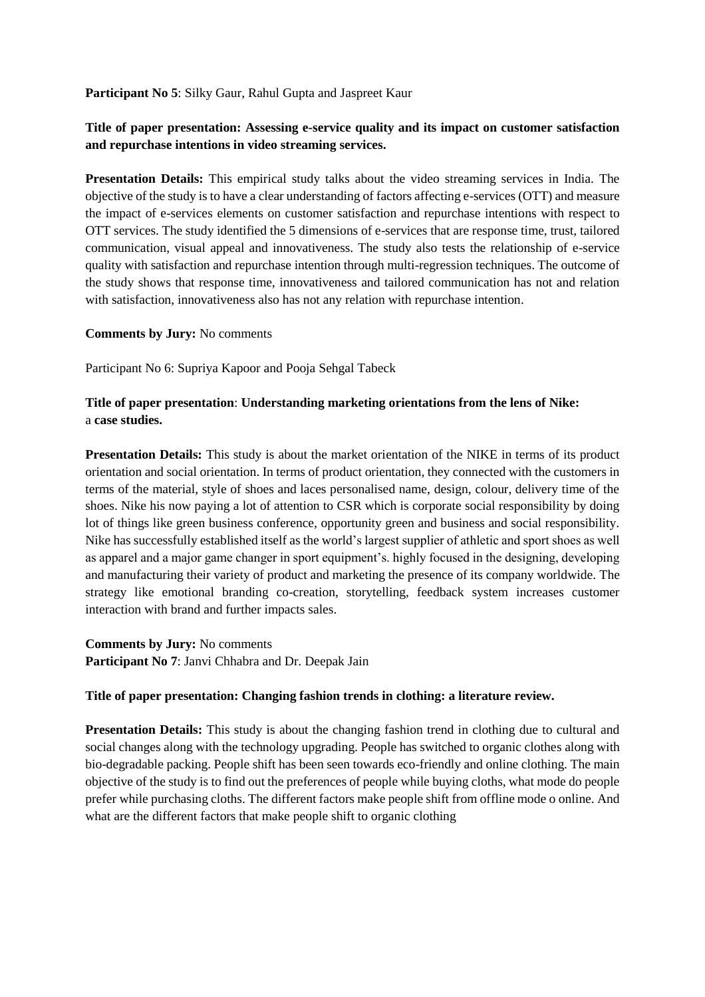#### **Participant No 5**: Silky Gaur, Rahul Gupta and Jaspreet Kaur

# **Title of paper presentation: Assessing e-service quality and its impact on customer satisfaction and repurchase intentions in video streaming services.**

**Presentation Details:** This empirical study talks about the video streaming services in India. The objective of the study is to have a clear understanding of factors affecting e-services (OTT) and measure the impact of e-services elements on customer satisfaction and repurchase intentions with respect to OTT services. The study identified the 5 dimensions of e-services that are response time, trust, tailored communication, visual appeal and innovativeness. The study also tests the relationship of e-service quality with satisfaction and repurchase intention through multi-regression techniques. The outcome of the study shows that response time, innovativeness and tailored communication has not and relation with satisfaction, innovativeness also has not any relation with repurchase intention.

#### **Comments by Jury:** No comments

Participant No 6: Supriya Kapoor and Pooja Sehgal Tabeck

## **Title of paper presentation**: **Understanding marketing orientations from the lens of Nike:**  a **case studies.**

**Presentation Details:** This study is about the market orientation of the NIKE in terms of its product orientation and social orientation. In terms of product orientation, they connected with the customers in terms of the material, style of shoes and laces personalised name, design, colour, delivery time of the shoes. Nike his now paying a lot of attention to CSR which is corporate social responsibility by doing lot of things like green business conference, opportunity green and business and social responsibility. Nike has successfully established itself as the world's largest supplier of athletic and sport shoes as well as apparel and a major game changer in sport equipment's. highly focused in the designing, developing and manufacturing their variety of product and marketing the presence of its company worldwide. The strategy like emotional branding co-creation, storytelling, feedback system increases customer interaction with brand and further impacts sales.

**Comments by Jury:** No comments **Participant No 7**: Janvi Chhabra and Dr. Deepak Jain

#### **Title of paper presentation: Changing fashion trends in clothing: a literature review.**

**Presentation Details:** This study is about the changing fashion trend in clothing due to cultural and social changes along with the technology upgrading. People has switched to organic clothes along with bio-degradable packing. People shift has been seen towards eco-friendly and online clothing. The main objective of the study is to find out the preferences of people while buying cloths, what mode do people prefer while purchasing cloths. The different factors make people shift from offline mode o online. And what are the different factors that make people shift to organic clothing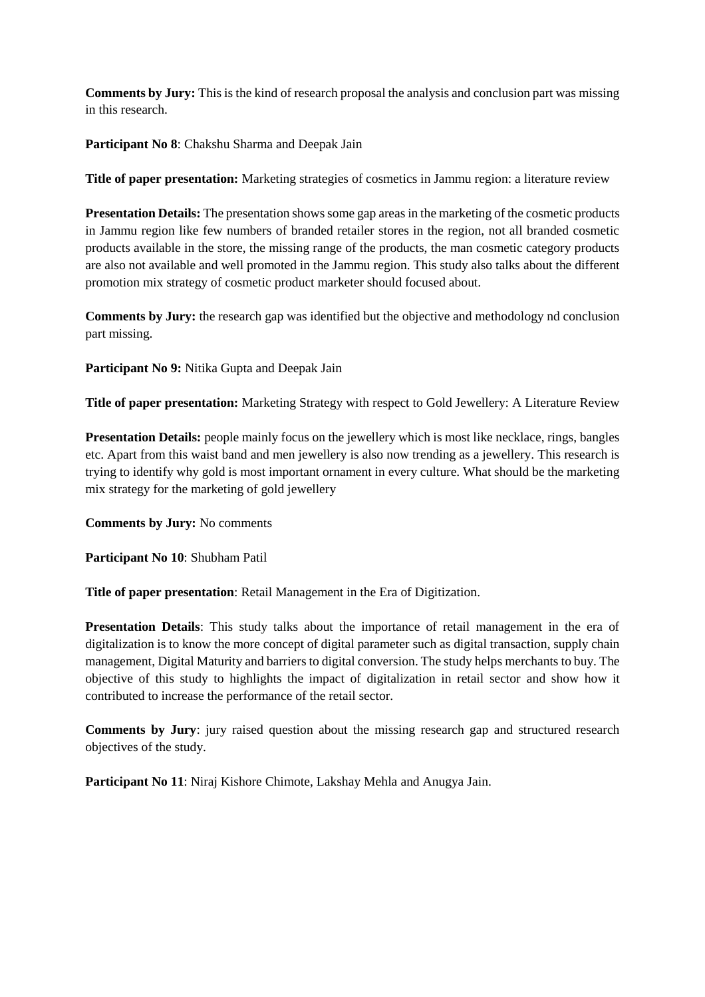**Comments by Jury:** This is the kind of research proposal the analysis and conclusion part was missing in this research.

**Participant No 8**: Chakshu Sharma and Deepak Jain

**Title of paper presentation:** Marketing strategies of cosmetics in Jammu region: a literature review

**Presentation Details:** The presentation shows some gap areas in the marketing of the cosmetic products in Jammu region like few numbers of branded retailer stores in the region, not all branded cosmetic products available in the store, the missing range of the products, the man cosmetic category products are also not available and well promoted in the Jammu region. This study also talks about the different promotion mix strategy of cosmetic product marketer should focused about.

**Comments by Jury:** the research gap was identified but the objective and methodology nd conclusion part missing.

**Participant No 9:** Nitika Gupta and Deepak Jain

**Title of paper presentation:** Marketing Strategy with respect to Gold Jewellery: A Literature Review

**Presentation Details:** people mainly focus on the jewellery which is most like necklace, rings, bangles etc. Apart from this waist band and men jewellery is also now trending as a jewellery. This research is trying to identify why gold is most important ornament in every culture. What should be the marketing mix strategy for the marketing of gold jewellery

**Comments by Jury:** No comments

**Participant No 10**: Shubham Patil

**Title of paper presentation**: Retail Management in the Era of Digitization.

**Presentation Details**: This study talks about the importance of retail management in the era of digitalization is to know the more concept of digital parameter such as digital transaction, supply chain management, Digital Maturity and barriers to digital conversion. The study helps merchants to buy. The objective of this study to highlights the impact of digitalization in retail sector and show how it contributed to increase the performance of the retail sector.

**Comments by Jury**: jury raised question about the missing research gap and structured research objectives of the study.

**Participant No 11**: Niraj Kishore Chimote, Lakshay Mehla and Anugya Jain.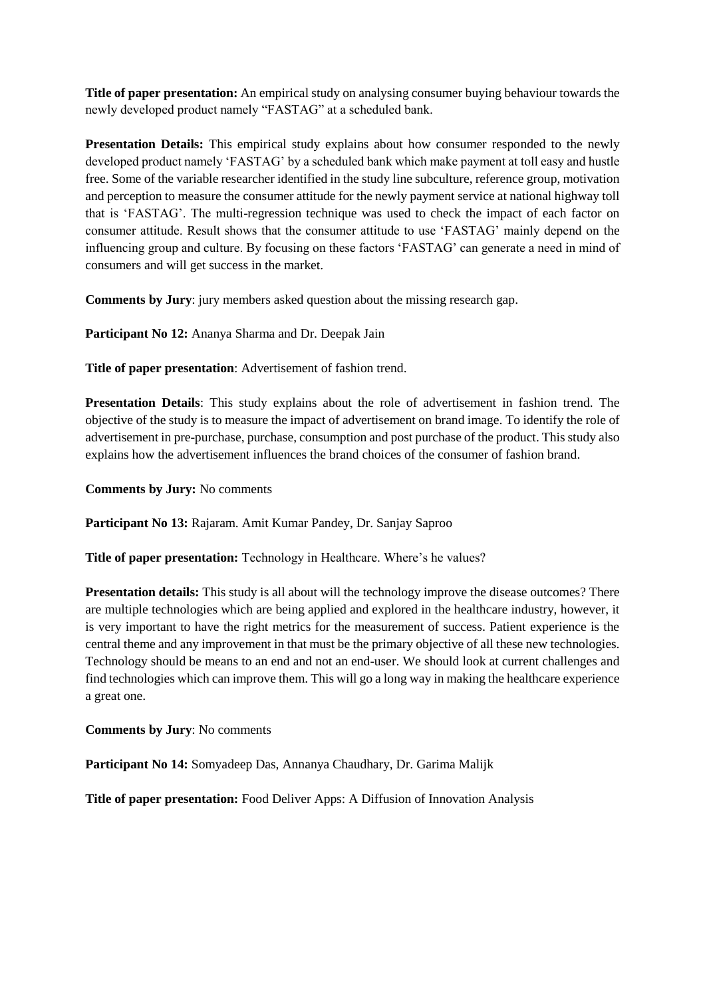**Title of paper presentation:** An empirical study on analysing consumer buying behaviour towards the newly developed product namely "FASTAG" at a scheduled bank.

**Presentation Details:** This empirical study explains about how consumer responded to the newly developed product namely 'FASTAG' by a scheduled bank which make payment at toll easy and hustle free. Some of the variable researcher identified in the study line subculture, reference group, motivation and perception to measure the consumer attitude for the newly payment service at national highway toll that is 'FASTAG'. The multi-regression technique was used to check the impact of each factor on consumer attitude. Result shows that the consumer attitude to use 'FASTAG' mainly depend on the influencing group and culture. By focusing on these factors 'FASTAG' can generate a need in mind of consumers and will get success in the market.

**Comments by Jury**: jury members asked question about the missing research gap.

**Participant No 12:** Ananya Sharma and Dr. Deepak Jain

**Title of paper presentation**: Advertisement of fashion trend.

**Presentation Details**: This study explains about the role of advertisement in fashion trend. The objective of the study is to measure the impact of advertisement on brand image. To identify the role of advertisement in pre-purchase, purchase, consumption and post purchase of the product. This study also explains how the advertisement influences the brand choices of the consumer of fashion brand.

**Comments by Jury:** No comments

**Participant No 13:** Rajaram. Amit Kumar Pandey, Dr. Sanjay Saproo

**Title of paper presentation:** Technology in Healthcare. Where's he values?

**Presentation details:** This study is all about will the technology improve the disease outcomes? There are multiple technologies which are being applied and explored in the healthcare industry, however, it is very important to have the right metrics for the measurement of success. Patient experience is the central theme and any improvement in that must be the primary objective of all these new technologies. Technology should be means to an end and not an end-user. We should look at current challenges and find technologies which can improve them. This will go a long way in making the healthcare experience a great one.

**Comments by Jury**: No comments

**Participant No 14:** Somyadeep Das, Annanya Chaudhary, Dr. Garima Malijk

**Title of paper presentation:** Food Deliver Apps: A Diffusion of Innovation Analysis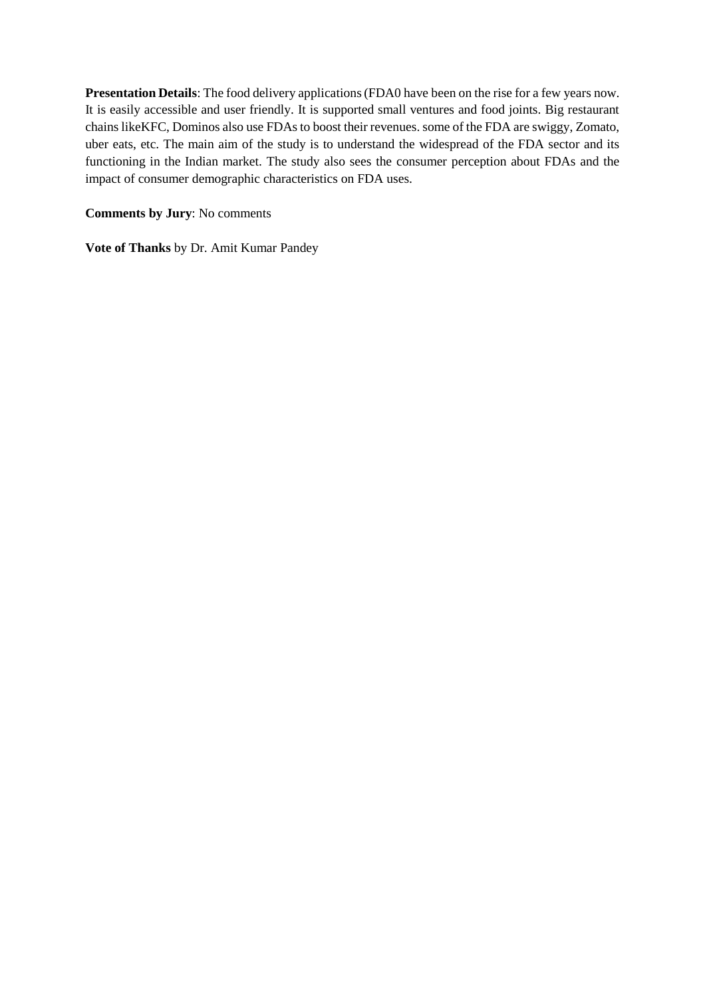**Presentation Details**: The food delivery applications (FDA0 have been on the rise for a few years now. It is easily accessible and user friendly. It is supported small ventures and food joints. Big restaurant chains likeKFC, Dominos also use FDAs to boost their revenues. some of the FDA are swiggy, Zomato, uber eats, etc. The main aim of the study is to understand the widespread of the FDA sector and its functioning in the Indian market. The study also sees the consumer perception about FDAs and the impact of consumer demographic characteristics on FDA uses.

**Comments by Jury**: No comments

**Vote of Thanks** by Dr. Amit Kumar Pandey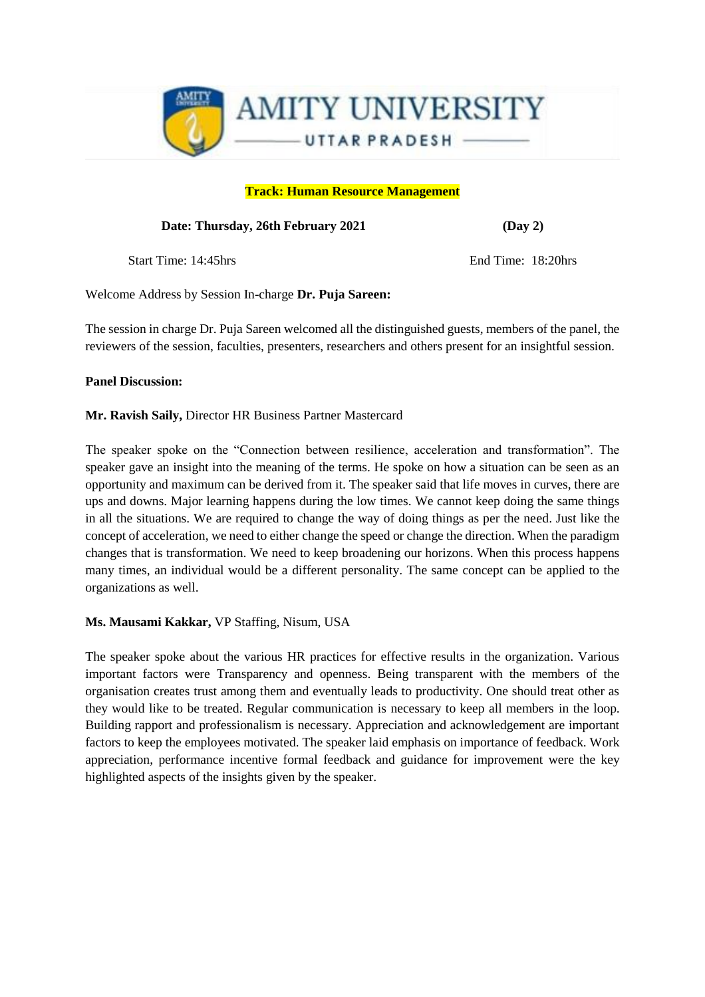

#### **Track: Human Resource Management**

#### **Date: Thursday, 26th February 2021 (Day 2)**

Start Time: 14:45hrs End Time: 18:20hrs

Welcome Address by Session In-charge **Dr. Puja Sareen:** 

The session in charge Dr. Puja Sareen welcomed all the distinguished guests, members of the panel, the reviewers of the session, faculties, presenters, researchers and others present for an insightful session.

#### **Panel Discussion:**

**Mr. Ravish Saily,** Director HR Business Partner Mastercard

The speaker spoke on the "Connection between resilience, acceleration and transformation". The speaker gave an insight into the meaning of the terms. He spoke on how a situation can be seen as an opportunity and maximum can be derived from it. The speaker said that life moves in curves, there are ups and downs. Major learning happens during the low times. We cannot keep doing the same things in all the situations. We are required to change the way of doing things as per the need. Just like the concept of acceleration, we need to either change the speed or change the direction. When the paradigm changes that is transformation. We need to keep broadening our horizons. When this process happens many times, an individual would be a different personality. The same concept can be applied to the organizations as well.

## **Ms. Mausami Kakkar,** VP Staffing, Nisum, USA

The speaker spoke about the various HR practices for effective results in the organization. Various important factors were Transparency and openness. Being transparent with the members of the organisation creates trust among them and eventually leads to productivity. One should treat other as they would like to be treated. Regular communication is necessary to keep all members in the loop. Building rapport and professionalism is necessary. Appreciation and acknowledgement are important factors to keep the employees motivated. The speaker laid emphasis on importance of feedback. Work appreciation, performance incentive formal feedback and guidance for improvement were the key highlighted aspects of the insights given by the speaker.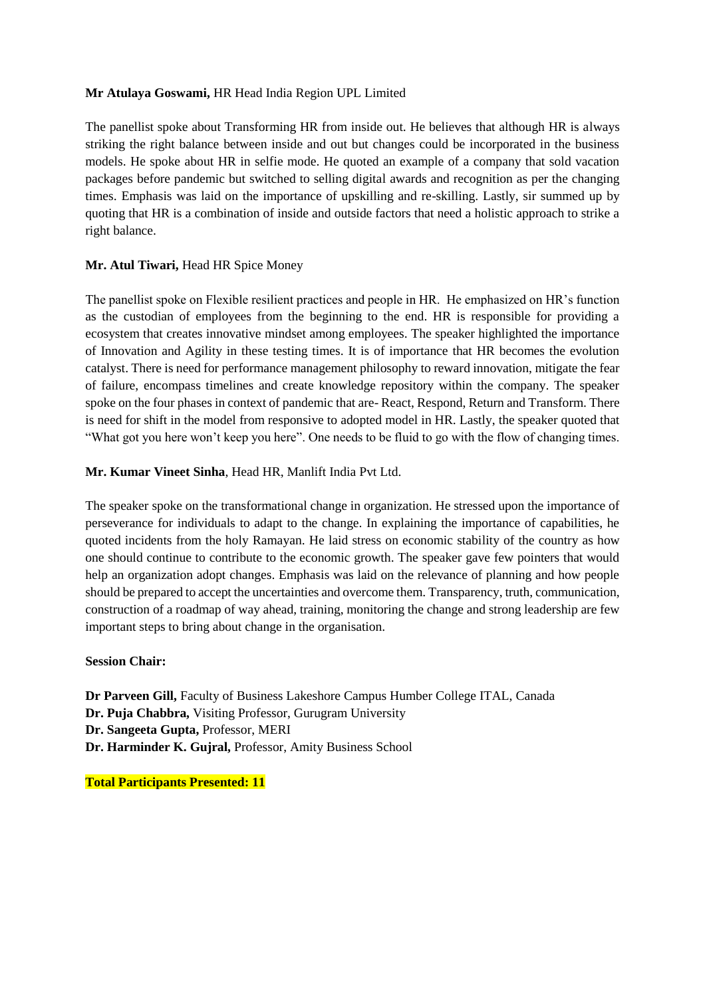#### **Mr Atulaya Goswami,** HR Head India Region UPL Limited

The panellist spoke about Transforming HR from inside out. He believes that although HR is always striking the right balance between inside and out but changes could be incorporated in the business models. He spoke about HR in selfie mode. He quoted an example of a company that sold vacation packages before pandemic but switched to selling digital awards and recognition as per the changing times. Emphasis was laid on the importance of upskilling and re-skilling. Lastly, sir summed up by quoting that HR is a combination of inside and outside factors that need a holistic approach to strike a right balance.

#### **Mr. Atul Tiwari,** Head HR Spice Money

The panellist spoke on Flexible resilient practices and people in HR. He emphasized on HR's function as the custodian of employees from the beginning to the end. HR is responsible for providing a ecosystem that creates innovative mindset among employees. The speaker highlighted the importance of Innovation and Agility in these testing times. It is of importance that HR becomes the evolution catalyst. There is need for performance management philosophy to reward innovation, mitigate the fear of failure, encompass timelines and create knowledge repository within the company. The speaker spoke on the four phases in context of pandemic that are- React, Respond, Return and Transform. There is need for shift in the model from responsive to adopted model in HR. Lastly, the speaker quoted that "What got you here won't keep you here". One needs to be fluid to go with the flow of changing times.

#### **Mr. Kumar Vineet Sinha**, Head HR, Manlift India Pvt Ltd.

The speaker spoke on the transformational change in organization. He stressed upon the importance of perseverance for individuals to adapt to the change. In explaining the importance of capabilities, he quoted incidents from the holy Ramayan. He laid stress on economic stability of the country as how one should continue to contribute to the economic growth. The speaker gave few pointers that would help an organization adopt changes. Emphasis was laid on the relevance of planning and how people should be prepared to accept the uncertainties and overcome them. Transparency, truth, communication, construction of a roadmap of way ahead, training, monitoring the change and strong leadership are few important steps to bring about change in the organisation.

#### **Session Chair:**

**Dr Parveen Gill,** Faculty of Business Lakeshore Campus Humber College ITAL, Canada **Dr. Puja Chabbra,** Visiting Professor, Gurugram University **Dr. Sangeeta Gupta,** Professor, MERI **Dr. Harminder K. Gujral,** Professor, Amity Business School

**Total Participants Presented: 11**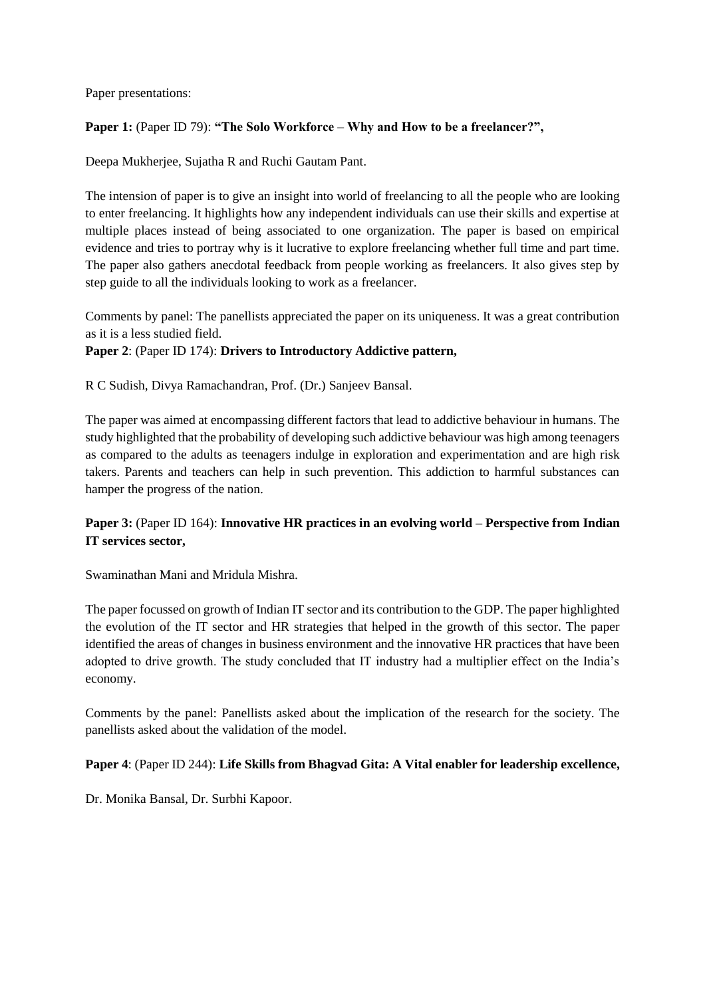Paper presentations:

#### **Paper 1:** (Paper ID 79): **"The Solo Workforce – Why and How to be a freelancer?",**

Deepa Mukherjee, Sujatha R and Ruchi Gautam Pant.

The intension of paper is to give an insight into world of freelancing to all the people who are looking to enter freelancing. It highlights how any independent individuals can use their skills and expertise at multiple places instead of being associated to one organization. The paper is based on empirical evidence and tries to portray why is it lucrative to explore freelancing whether full time and part time. The paper also gathers anecdotal feedback from people working as freelancers. It also gives step by step guide to all the individuals looking to work as a freelancer.

Comments by panel: The panellists appreciated the paper on its uniqueness. It was a great contribution as it is a less studied field.

#### **Paper 2**: (Paper ID 174): **Drivers to Introductory Addictive pattern,**

R C Sudish, Divya Ramachandran, Prof. (Dr.) Sanjeev Bansal.

The paper was aimed at encompassing different factors that lead to addictive behaviour in humans. The study highlighted that the probability of developing such addictive behaviour was high among teenagers as compared to the adults as teenagers indulge in exploration and experimentation and are high risk takers. Parents and teachers can help in such prevention. This addiction to harmful substances can hamper the progress of the nation.

# **Paper 3:** (Paper ID 164): **Innovative HR practices in an evolving world – Perspective from Indian IT services sector,**

Swaminathan Mani and Mridula Mishra.

The paper focussed on growth of Indian IT sector and its contribution to the GDP. The paper highlighted the evolution of the IT sector and HR strategies that helped in the growth of this sector. The paper identified the areas of changes in business environment and the innovative HR practices that have been adopted to drive growth. The study concluded that IT industry had a multiplier effect on the India's economy.

Comments by the panel: Panellists asked about the implication of the research for the society. The panellists asked about the validation of the model.

#### **Paper 4**: (Paper ID 244): **Life Skills from Bhagvad Gita: A Vital enabler for leadership excellence,**

Dr. Monika Bansal, Dr. Surbhi Kapoor.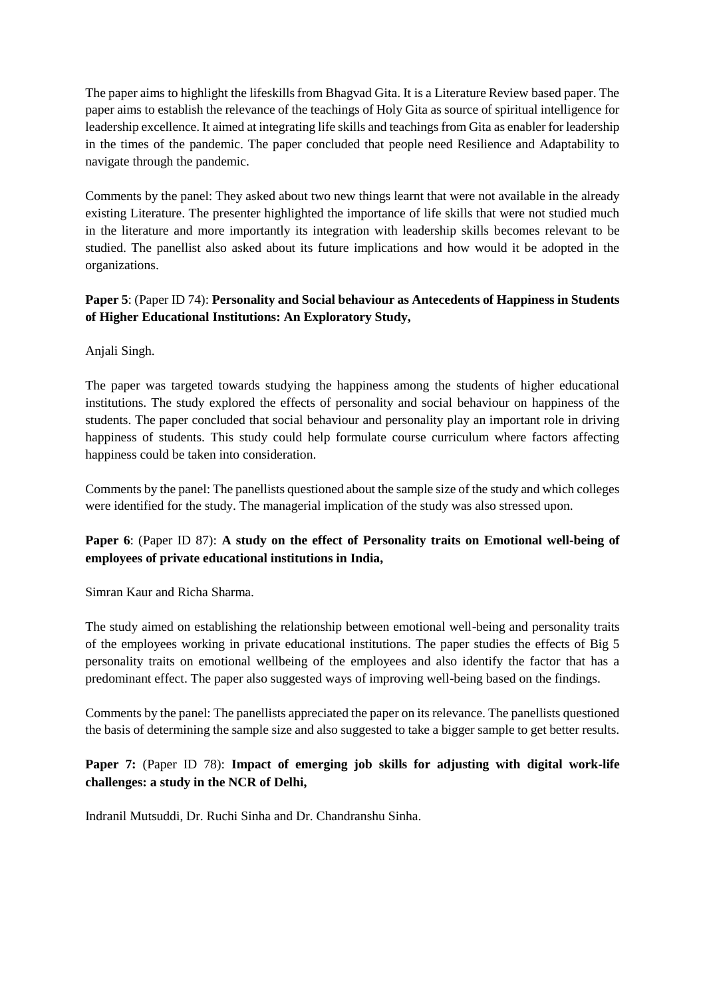The paper aims to highlight the lifeskills from Bhagvad Gita. It is a Literature Review based paper. The paper aims to establish the relevance of the teachings of Holy Gita as source of spiritual intelligence for leadership excellence. It aimed at integrating life skills and teachings from Gita as enabler for leadership in the times of the pandemic. The paper concluded that people need Resilience and Adaptability to navigate through the pandemic.

Comments by the panel: They asked about two new things learnt that were not available in the already existing Literature. The presenter highlighted the importance of life skills that were not studied much in the literature and more importantly its integration with leadership skills becomes relevant to be studied. The panellist also asked about its future implications and how would it be adopted in the organizations.

# **Paper 5**: (Paper ID 74): **Personality and Social behaviour as Antecedents of Happiness in Students of Higher Educational Institutions: An Exploratory Study,**

Anjali Singh.

The paper was targeted towards studying the happiness among the students of higher educational institutions. The study explored the effects of personality and social behaviour on happiness of the students. The paper concluded that social behaviour and personality play an important role in driving happiness of students. This study could help formulate course curriculum where factors affecting happiness could be taken into consideration.

Comments by the panel: The panellists questioned about the sample size of the study and which colleges were identified for the study. The managerial implication of the study was also stressed upon.

# **Paper 6**: (Paper ID 87): **A study on the effect of Personality traits on Emotional well-being of employees of private educational institutions in India,**

Simran Kaur and Richa Sharma.

The study aimed on establishing the relationship between emotional well-being and personality traits of the employees working in private educational institutions. The paper studies the effects of Big 5 personality traits on emotional wellbeing of the employees and also identify the factor that has a predominant effect. The paper also suggested ways of improving well-being based on the findings.

Comments by the panel: The panellists appreciated the paper on its relevance. The panellists questioned the basis of determining the sample size and also suggested to take a bigger sample to get better results.

# **Paper 7:** (Paper ID 78): **Impact of emerging job skills for adjusting with digital work-life challenges: a study in the NCR of Delhi,**

Indranil Mutsuddi, Dr. Ruchi Sinha and Dr. Chandranshu Sinha.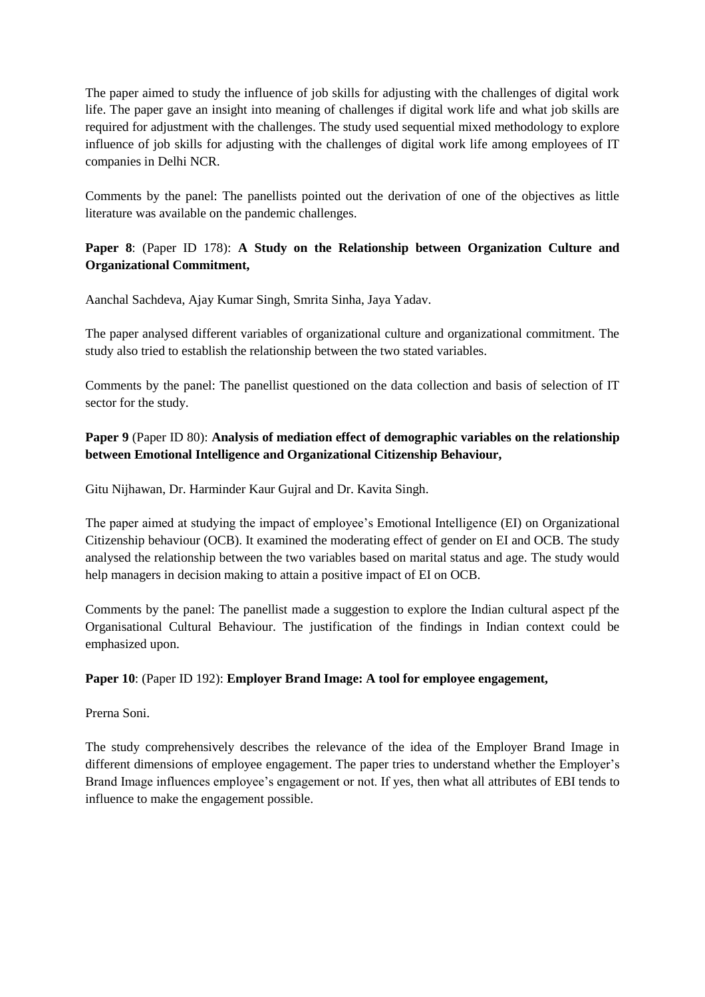The paper aimed to study the influence of job skills for adjusting with the challenges of digital work life. The paper gave an insight into meaning of challenges if digital work life and what job skills are required for adjustment with the challenges. The study used sequential mixed methodology to explore influence of job skills for adjusting with the challenges of digital work life among employees of IT companies in Delhi NCR.

Comments by the panel: The panellists pointed out the derivation of one of the objectives as little literature was available on the pandemic challenges.

# **Paper 8**: (Paper ID 178): **A Study on the Relationship between Organization Culture and Organizational Commitment,**

Aanchal Sachdeva, Ajay Kumar Singh, Smrita Sinha, Jaya Yadav.

The paper analysed different variables of organizational culture and organizational commitment. The study also tried to establish the relationship between the two stated variables.

Comments by the panel: The panellist questioned on the data collection and basis of selection of IT sector for the study.

# **Paper 9** (Paper ID 80): **Analysis of mediation effect of demographic variables on the relationship between Emotional Intelligence and Organizational Citizenship Behaviour,**

Gitu Nijhawan, Dr. Harminder Kaur Gujral and Dr. Kavita Singh.

The paper aimed at studying the impact of employee's Emotional Intelligence (EI) on Organizational Citizenship behaviour (OCB). It examined the moderating effect of gender on EI and OCB. The study analysed the relationship between the two variables based on marital status and age. The study would help managers in decision making to attain a positive impact of EI on OCB.

Comments by the panel: The panellist made a suggestion to explore the Indian cultural aspect pf the Organisational Cultural Behaviour. The justification of the findings in Indian context could be emphasized upon.

## **Paper 10**: (Paper ID 192): **Employer Brand Image: A tool for employee engagement,**

Prerna Soni.

The study comprehensively describes the relevance of the idea of the Employer Brand Image in different dimensions of employee engagement. The paper tries to understand whether the Employer's Brand Image influences employee's engagement or not. If yes, then what all attributes of EBI tends to influence to make the engagement possible.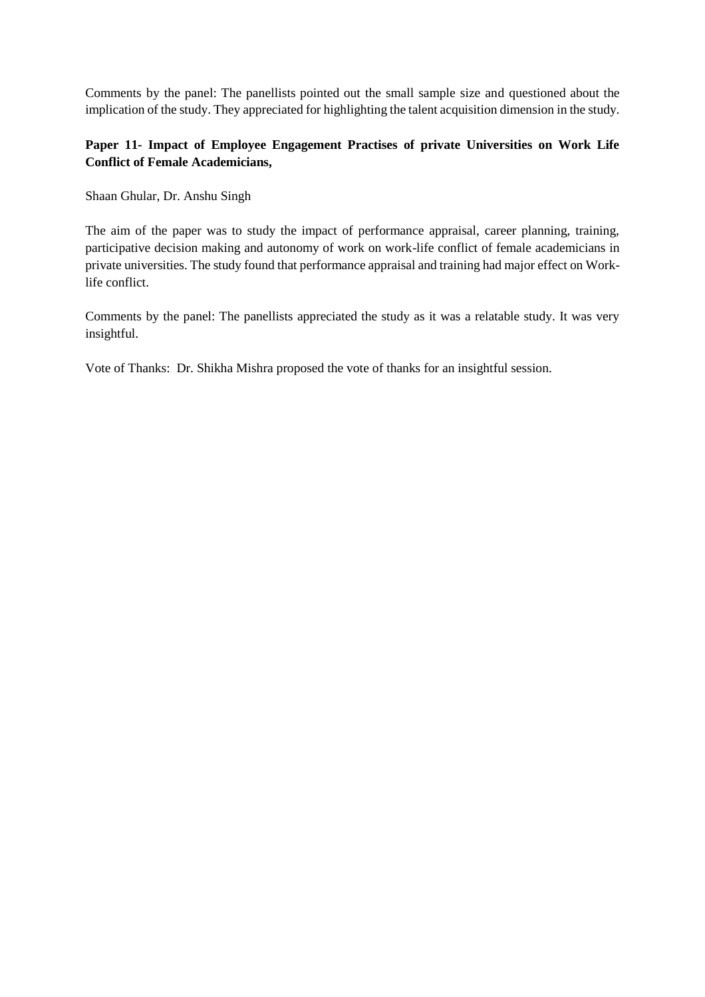Comments by the panel: The panellists pointed out the small sample size and questioned about the implication of the study. They appreciated for highlighting the talent acquisition dimension in the study.

# **Paper 11- Impact of Employee Engagement Practises of private Universities on Work Life Conflict of Female Academicians,**

Shaan Ghular, Dr. Anshu Singh

The aim of the paper was to study the impact of performance appraisal, career planning, training, participative decision making and autonomy of work on work-life conflict of female academicians in private universities. The study found that performance appraisal and training had major effect on Worklife conflict.

Comments by the panel: The panellists appreciated the study as it was a relatable study. It was very insightful.

Vote of Thanks: Dr. Shikha Mishra proposed the vote of thanks for an insightful session.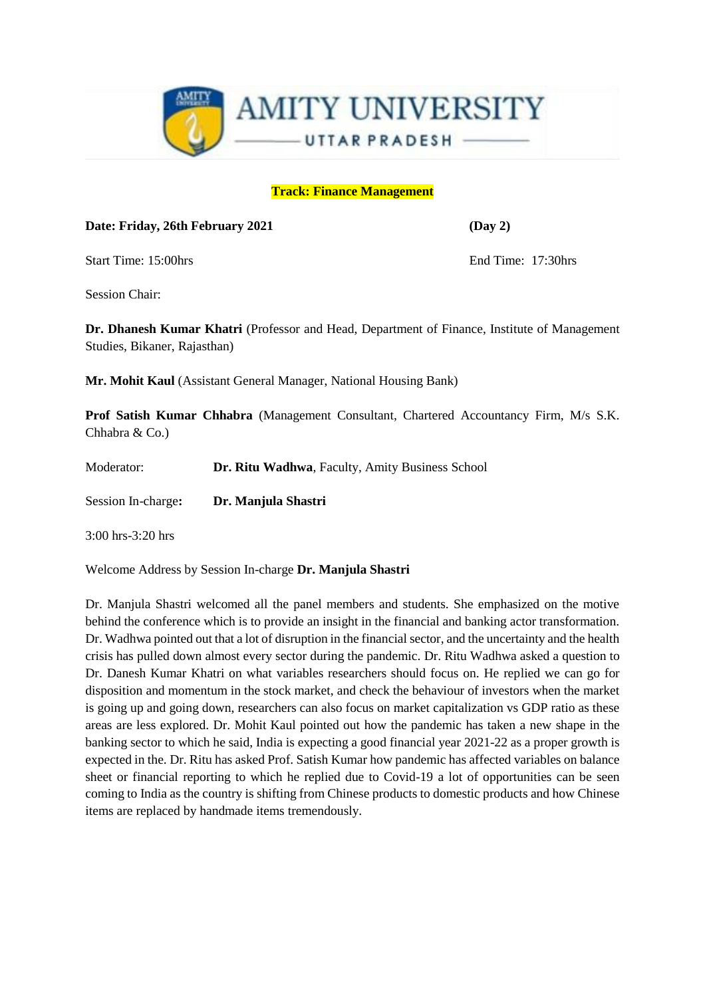

## **Track: Finance Management**

**Date: Friday, 26th February 2021 (Day 2)**

Start Time: 15:00hrs End Time: 17:30hrs

Session Chair:

**Dr. Dhanesh Kumar Khatri** (Professor and Head, Department of Finance, Institute of Management Studies, Bikaner, Rajasthan)

**Mr. Mohit Kaul** (Assistant General Manager, National Housing Bank)

**Prof Satish Kumar Chhabra** (Management Consultant, Chartered Accountancy Firm, M/s S.K. Chhabra & Co.)

Moderator: **Dr. Ritu Wadhwa**, Faculty, Amity Business School

Session In-charge**: Dr. Manjula Shastri** 

3:00 hrs-3:20 hrs

Welcome Address by Session In-charge **Dr. Manjula Shastri** 

Dr. Manjula Shastri welcomed all the panel members and students. She emphasized on the motive behind the conference which is to provide an insight in the financial and banking actor transformation. Dr. Wadhwa pointed out that a lot of disruption in the financial sector, and the uncertainty and the health crisis has pulled down almost every sector during the pandemic. Dr. Ritu Wadhwa asked a question to Dr. Danesh Kumar Khatri on what variables researchers should focus on. He replied we can go for disposition and momentum in the stock market, and check the behaviour of investors when the market is going up and going down, researchers can also focus on market capitalization vs GDP ratio as these areas are less explored. Dr. Mohit Kaul pointed out how the pandemic has taken a new shape in the banking sector to which he said, India is expecting a good financial year 2021-22 as a proper growth is expected in the. Dr. Ritu has asked Prof. Satish Kumar how pandemic has affected variables on balance sheet or financial reporting to which he replied due to Covid-19 a lot of opportunities can be seen coming to India as the country is shifting from Chinese products to domestic products and how Chinese items are replaced by handmade items tremendously.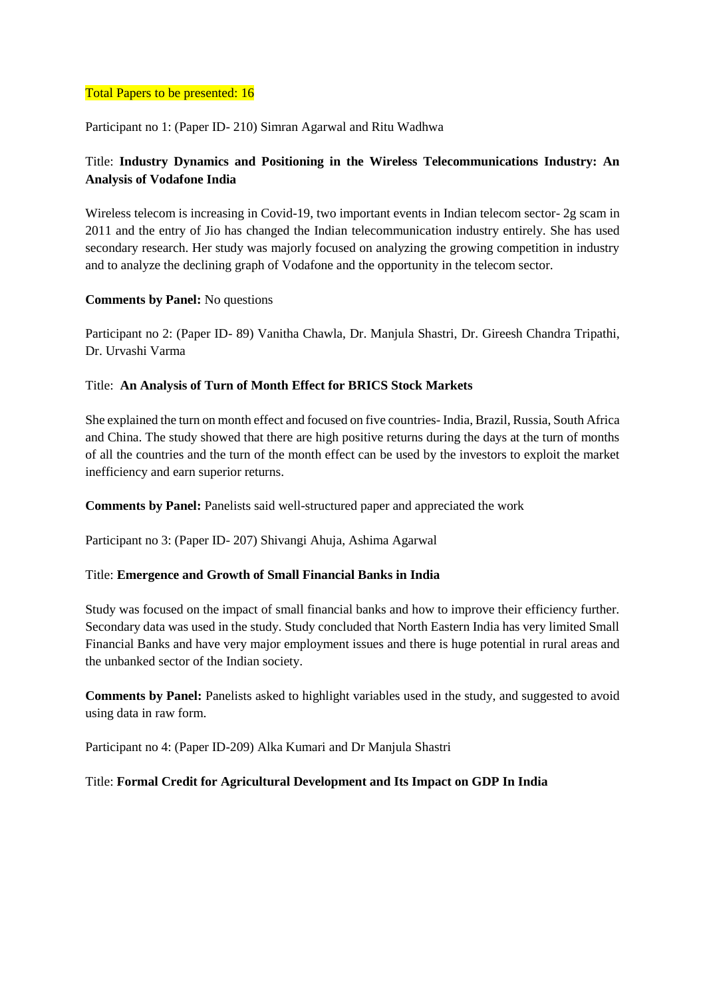#### Total Papers to be presented: 16

Participant no 1: (Paper ID- 210) Simran Agarwal and Ritu Wadhwa

# Title: **Industry Dynamics and Positioning in the Wireless Telecommunications Industry: An Analysis of Vodafone India**

Wireless telecom is increasing in Covid-19, two important events in Indian telecom sector- 2g scam in 2011 and the entry of Jio has changed the Indian telecommunication industry entirely. She has used secondary research. Her study was majorly focused on analyzing the growing competition in industry and to analyze the declining graph of Vodafone and the opportunity in the telecom sector.

## **Comments by Panel:** No questions

Participant no 2: (Paper ID- 89) Vanitha Chawla, Dr. Manjula Shastri, Dr. Gireesh Chandra Tripathi, Dr. Urvashi Varma

## Title: **An Analysis of Turn of Month Effect for BRICS Stock Markets**

She explained the turn on month effect and focused on five countries- India, Brazil, Russia, South Africa and China. The study showed that there are high positive returns during the days at the turn of months of all the countries and the turn of the month effect can be used by the investors to exploit the market inefficiency and earn superior returns.

**Comments by Panel:** Panelists said well-structured paper and appreciated the work

Participant no 3: (Paper ID- 207) Shivangi Ahuja, Ashima Agarwal

#### Title: **Emergence and Growth of Small Financial Banks in India**

Study was focused on the impact of small financial banks and how to improve their efficiency further. Secondary data was used in the study. Study concluded that North Eastern India has very limited Small Financial Banks and have very major employment issues and there is huge potential in rural areas and the unbanked sector of the Indian society.

**Comments by Panel:** Panelists asked to highlight variables used in the study, and suggested to avoid using data in raw form.

Participant no 4: (Paper ID-209) Alka Kumari and Dr Manjula Shastri

#### Title: **Formal Credit for Agricultural Development and Its Impact on GDP In India**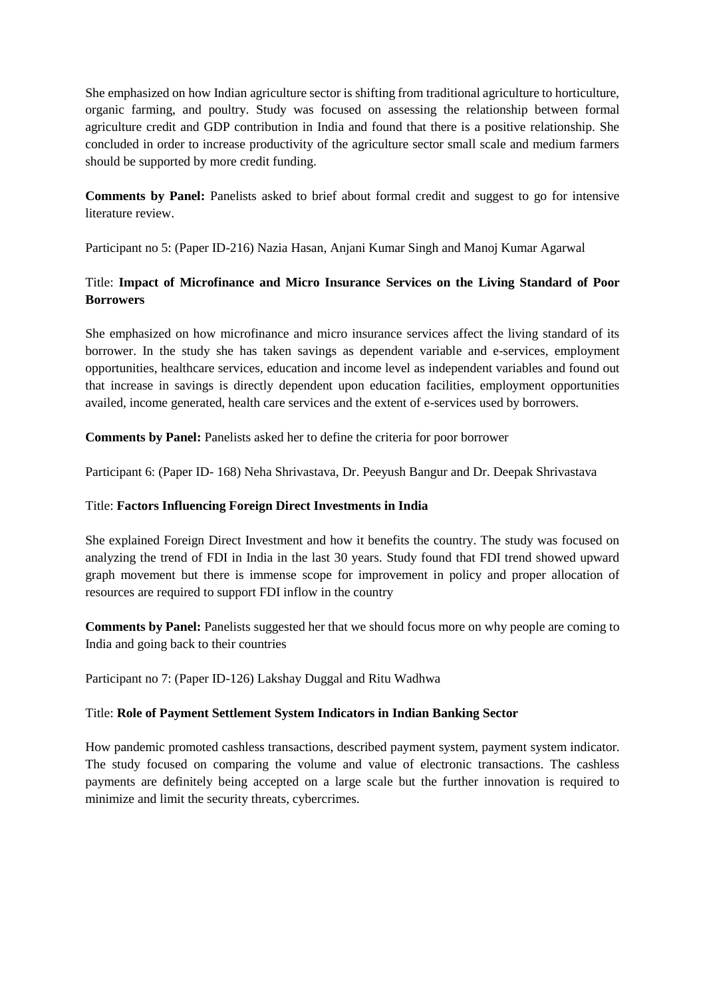She emphasized on how Indian agriculture sector is shifting from traditional agriculture to horticulture, organic farming, and poultry. Study was focused on assessing the relationship between formal agriculture credit and GDP contribution in India and found that there is a positive relationship. She concluded in order to increase productivity of the agriculture sector small scale and medium farmers should be supported by more credit funding.

**Comments by Panel:** Panelists asked to brief about formal credit and suggest to go for intensive literature review.

Participant no 5: (Paper ID-216) Nazia Hasan, Anjani Kumar Singh and Manoj Kumar Agarwal

# Title: **Impact of Microfinance and Micro Insurance Services on the Living Standard of Poor Borrowers**

She emphasized on how microfinance and micro insurance services affect the living standard of its borrower. In the study she has taken savings as dependent variable and e-services, employment opportunities, healthcare services, education and income level as independent variables and found out that increase in savings is directly dependent upon education facilities, employment opportunities availed, income generated, health care services and the extent of e-services used by borrowers.

**Comments by Panel:** Panelists asked her to define the criteria for poor borrower

Participant 6: (Paper ID- 168) Neha Shrivastava, Dr. Peeyush Bangur and Dr. Deepak Shrivastava

## Title: **Factors Influencing Foreign Direct Investments in India**

She explained Foreign Direct Investment and how it benefits the country. The study was focused on analyzing the trend of FDI in India in the last 30 years. Study found that FDI trend showed upward graph movement but there is immense scope for improvement in policy and proper allocation of resources are required to support FDI inflow in the country

**Comments by Panel:** Panelists suggested her that we should focus more on why people are coming to India and going back to their countries

Participant no 7: (Paper ID-126) Lakshay Duggal and Ritu Wadhwa

## Title: **Role of Payment Settlement System Indicators in Indian Banking Sector**

How pandemic promoted cashless transactions, described payment system, payment system indicator. The study focused on comparing the volume and value of electronic transactions. The cashless payments are definitely being accepted on a large scale but the further innovation is required to minimize and limit the security threats, cybercrimes.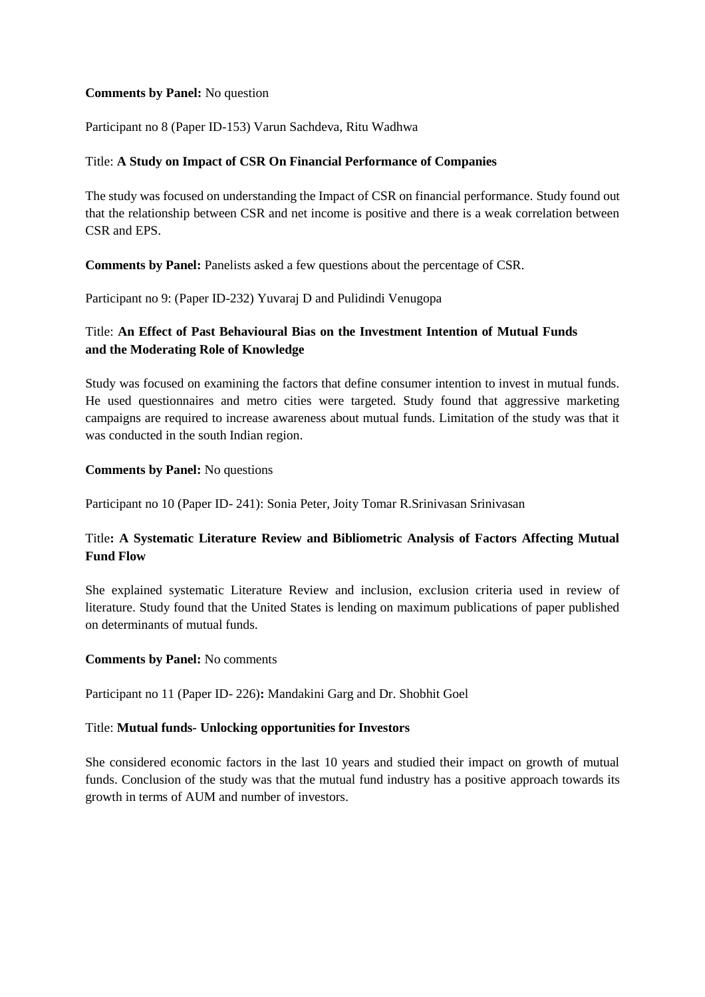#### **Comments by Panel:** No question

Participant no 8 (Paper ID-153) Varun Sachdeva, Ritu Wadhwa

#### Title: **A Study on Impact of CSR On Financial Performance of Companies**

The study was focused on understanding the Impact of CSR on financial performance. Study found out that the relationship between CSR and net income is positive and there is a weak correlation between CSR and EPS.

**Comments by Panel:** Panelists asked a few questions about the percentage of CSR.

Participant no 9: (Paper ID-232) Yuvaraj D and Pulidindi Venugopa

## Title: **An Effect of Past Behavioural Bias on the Investment Intention of Mutual Funds and the Moderating Role of Knowledge**

Study was focused on examining the factors that define consumer intention to invest in mutual funds. He used questionnaires and metro cities were targeted. Study found that aggressive marketing campaigns are required to increase awareness about mutual funds. Limitation of the study was that it was conducted in the south Indian region.

#### **Comments by Panel:** No questions

Participant no 10 (Paper ID- 241): Sonia Peter, Joity Tomar R.Srinivasan Srinivasan

# Title**: A Systematic Literature Review and Bibliometric Analysis of Factors Affecting Mutual Fund Flow**

She explained systematic Literature Review and inclusion, exclusion criteria used in review of literature. Study found that the United States is lending on maximum publications of paper published on determinants of mutual funds.

#### **Comments by Panel:** No comments

Participant no 11 (Paper ID- 226)**:** Mandakini Garg and Dr. Shobhit Goel

#### Title: **Mutual funds- Unlocking opportunities for Investors**

She considered economic factors in the last 10 years and studied their impact on growth of mutual funds. Conclusion of the study was that the mutual fund industry has a positive approach towards its growth in terms of AUM and number of investors.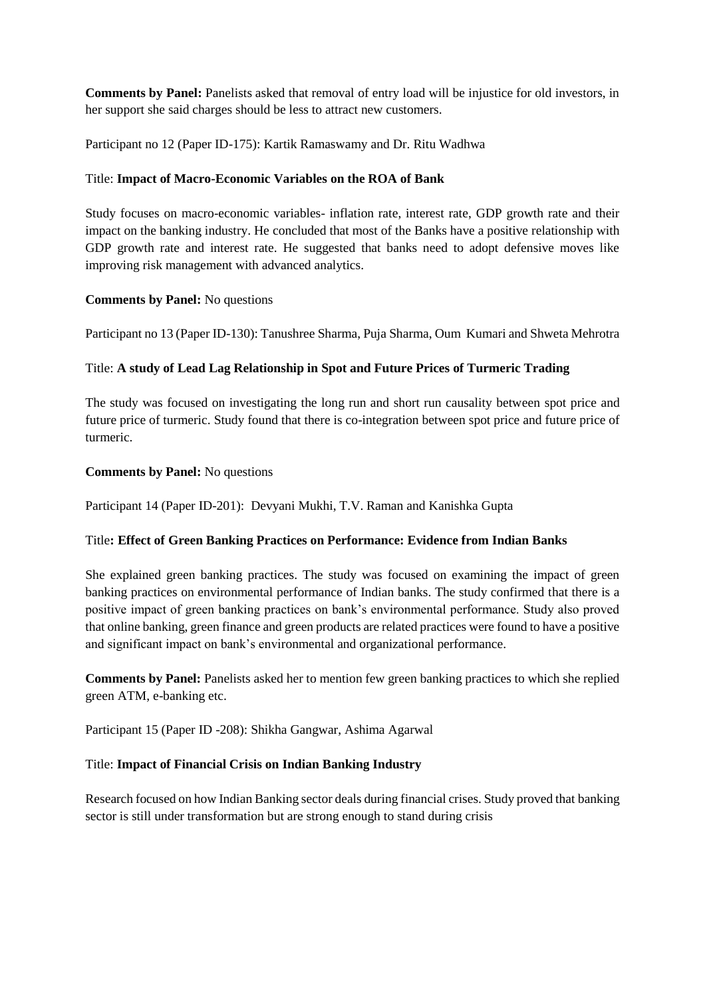**Comments by Panel:** Panelists asked that removal of entry load will be injustice for old investors, in her support she said charges should be less to attract new customers.

Participant no 12 (Paper ID-175): Kartik Ramaswamy and Dr. Ritu Wadhwa

## Title: **Impact of Macro-Economic Variables on the ROA of Bank**

Study focuses on macro-economic variables- inflation rate, interest rate, GDP growth rate and their impact on the banking industry. He concluded that most of the Banks have a positive relationship with GDP growth rate and interest rate. He suggested that banks need to adopt defensive moves like improving risk management with advanced analytics.

## **Comments by Panel:** No questions

Participant no 13 (Paper ID-130): Tanushree Sharma, Puja Sharma, Oum Kumari and Shweta Mehrotra

## Title: **A study of Lead Lag Relationship in Spot and Future Prices of Turmeric Trading**

The study was focused on investigating the long run and short run causality between spot price and future price of turmeric. Study found that there is co-integration between spot price and future price of turmeric.

#### **Comments by Panel:** No questions

Participant 14 (Paper ID-201): Devyani Mukhi, T.V. Raman and Kanishka Gupta

#### Title**: Effect of Green Banking Practices on Performance: Evidence from Indian Banks**

She explained green banking practices. The study was focused on examining the impact of green banking practices on environmental performance of Indian banks. The study confirmed that there is a positive impact of green banking practices on bank's environmental performance. Study also proved that online banking, green finance and green products are related practices were found to have a positive and significant impact on bank's environmental and organizational performance.

**Comments by Panel:** Panelists asked her to mention few green banking practices to which she replied green ATM, e-banking etc.

Participant 15 (Paper ID -208): Shikha Gangwar, Ashima Agarwal

## Title: **Impact of Financial Crisis on Indian Banking Industry**

Research focused on how Indian Banking sector deals during financial crises. Study proved that banking sector is still under transformation but are strong enough to stand during crisis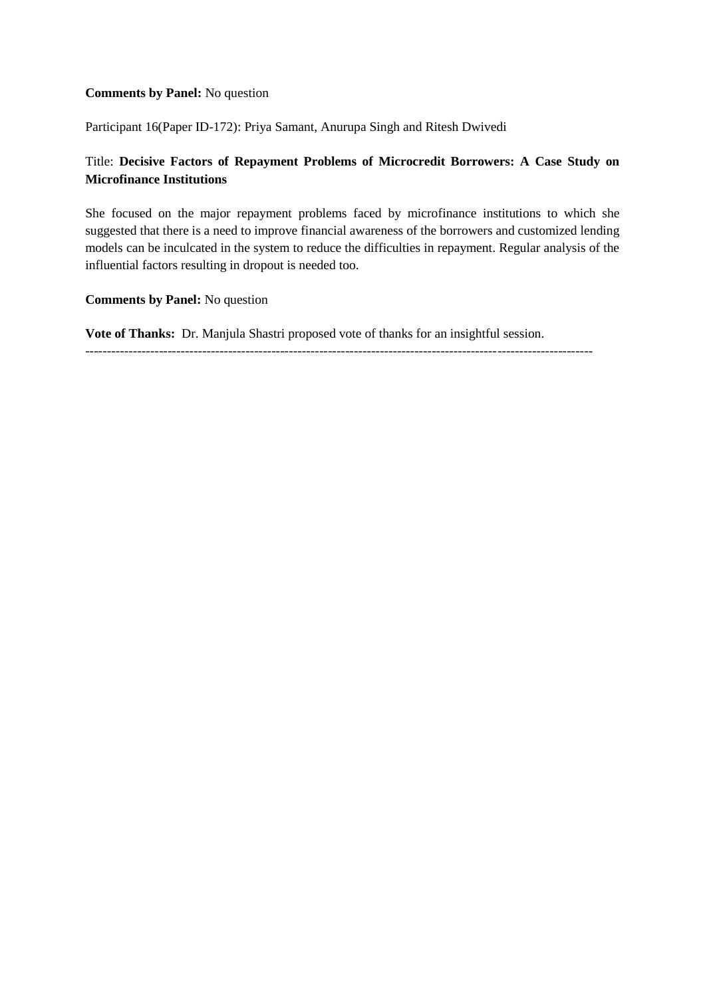#### **Comments by Panel:** No question

Participant 16(Paper ID-172): Priya Samant, Anurupa Singh and Ritesh Dwivedi

# Title: **Decisive Factors of Repayment Problems of Microcredit Borrowers: A Case Study on Microfinance Institutions**

She focused on the major repayment problems faced by microfinance institutions to which she suggested that there is a need to improve financial awareness of the borrowers and customized lending models can be inculcated in the system to reduce the difficulties in repayment. Regular analysis of the influential factors resulting in dropout is needed too.

#### **Comments by Panel:** No question

**Vote of Thanks:** Dr. Manjula Shastri proposed vote of thanks for an insightful session.

---------------------------------------------------------------------------------------------------------------------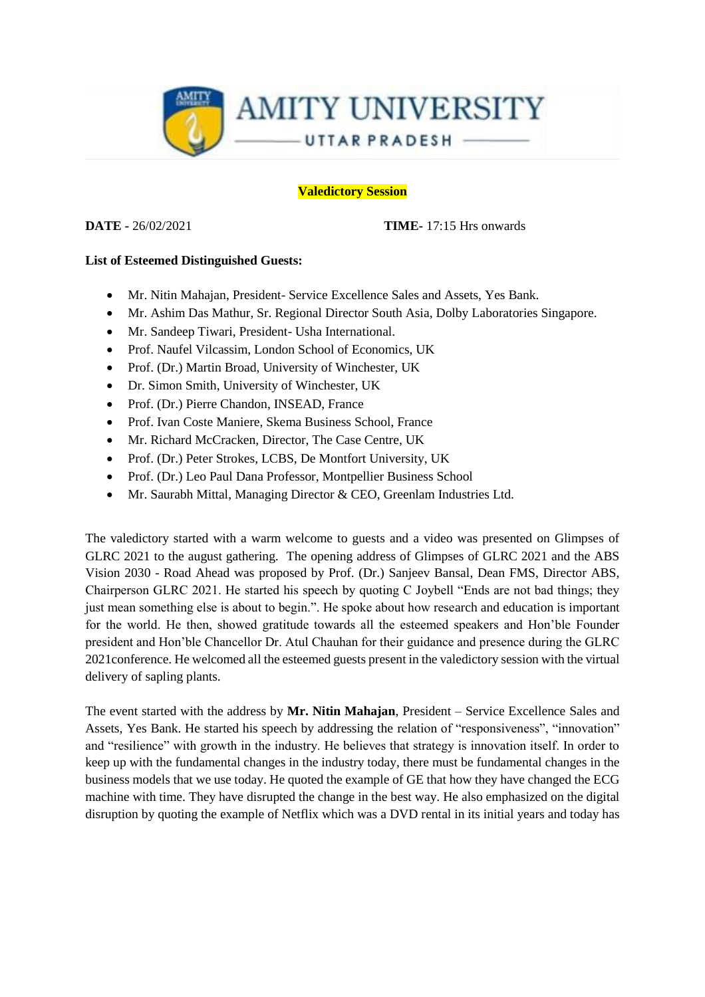

#### **Valedictory Session**

**DATE -** 26/02/2021 **TIME-** 17:15 Hrs onwards

#### **List of Esteemed Distinguished Guests:**

- Mr. Nitin Mahajan, President- Service Excellence Sales and Assets, Yes Bank.
- Mr. Ashim Das Mathur, Sr. Regional Director South Asia, Dolby Laboratories Singapore.
- Mr. Sandeep Tiwari, President- Usha International.
- Prof. Naufel Vilcassim, London School of Economics, UK
- Prof. (Dr.) Martin Broad, University of Winchester, UK
- Dr. Simon Smith, University of Winchester, UK
- Prof. (Dr.) Pierre Chandon, INSEAD, France
- Prof. Ivan Coste Maniere, Skema Business School, France
- Mr. Richard McCracken, Director, The Case Centre, UK
- Prof. (Dr.) Peter Strokes, LCBS, De Montfort University, UK
- Prof. (Dr.) Leo Paul Dana Professor, Montpellier Business School
- Mr. Saurabh Mittal, Managing Director & CEO, Greenlam Industries Ltd.

The valedictory started with a warm welcome to guests and a video was presented on Glimpses of GLRC 2021 to the august gathering. The opening address of Glimpses of GLRC 2021 and the ABS Vision 2030 - Road Ahead was proposed by Prof. (Dr.) Sanjeev Bansal, Dean FMS, Director ABS, Chairperson GLRC 2021. He started his speech by quoting C Joybell "Ends are not bad things; they just mean something else is about to begin.". He spoke about how research and education is important for the world. He then, showed gratitude towards all the esteemed speakers and Hon'ble Founder president and Hon'ble Chancellor Dr. Atul Chauhan for their guidance and presence during the GLRC 2021conference. He welcomed all the esteemed guests present in the valedictory session with the virtual delivery of sapling plants.

The event started with the address by **Mr. Nitin Mahajan**, President – Service Excellence Sales and Assets, Yes Bank. He started his speech by addressing the relation of "responsiveness", "innovation" and "resilience" with growth in the industry. He believes that strategy is innovation itself. In order to keep up with the fundamental changes in the industry today, there must be fundamental changes in the business models that we use today. He quoted the example of GE that how they have changed the ECG machine with time. They have disrupted the change in the best way. He also emphasized on the digital disruption by quoting the example of Netflix which was a DVD rental in its initial years and today has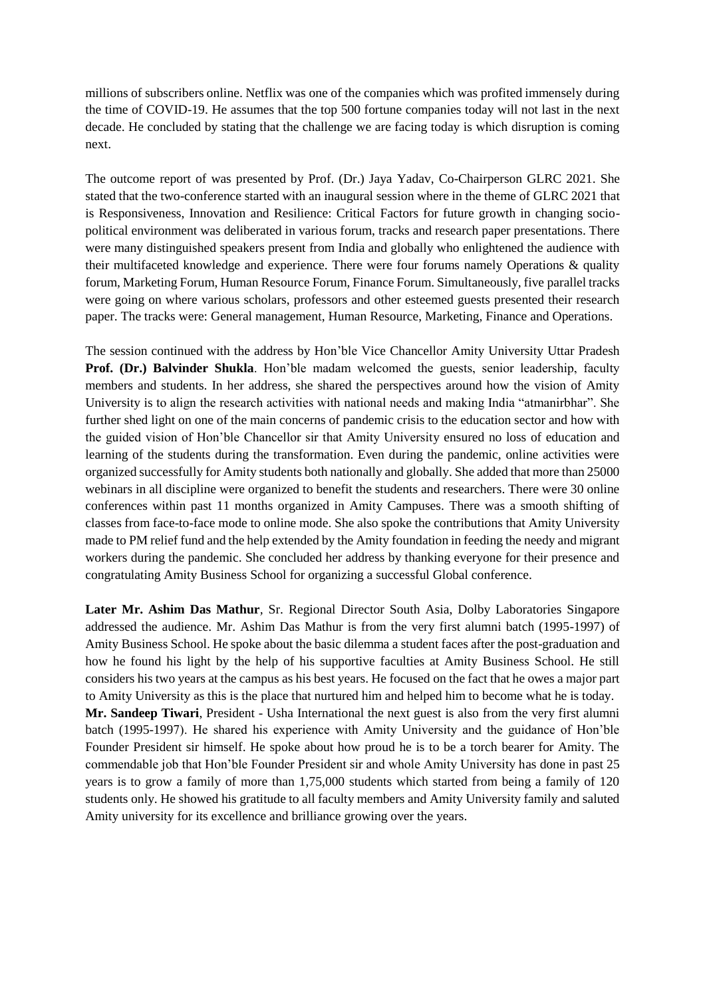millions of subscribers online. Netflix was one of the companies which was profited immensely during the time of COVID-19. He assumes that the top 500 fortune companies today will not last in the next decade. He concluded by stating that the challenge we are facing today is which disruption is coming next.

The outcome report of was presented by Prof. (Dr.) Jaya Yadav, Co-Chairperson GLRC 2021. She stated that the two-conference started with an inaugural session where in the theme of GLRC 2021 that is Responsiveness, Innovation and Resilience: Critical Factors for future growth in changing sociopolitical environment was deliberated in various forum, tracks and research paper presentations. There were many distinguished speakers present from India and globally who enlightened the audience with their multifaceted knowledge and experience. There were four forums namely Operations & quality forum, Marketing Forum, Human Resource Forum, Finance Forum. Simultaneously, five parallel tracks were going on where various scholars, professors and other esteemed guests presented their research paper. The tracks were: General management, Human Resource, Marketing, Finance and Operations.

The session continued with the address by Hon'ble Vice Chancellor Amity University Uttar Pradesh **Prof. (Dr.) Balvinder Shukla**. Hon'ble madam welcomed the guests, senior leadership, faculty members and students. In her address, she shared the perspectives around how the vision of Amity University is to align the research activities with national needs and making India "atmanirbhar". She further shed light on one of the main concerns of pandemic crisis to the education sector and how with the guided vision of Hon'ble Chancellor sir that Amity University ensured no loss of education and learning of the students during the transformation. Even during the pandemic, online activities were organized successfully for Amity students both nationally and globally. She added that more than 25000 webinars in all discipline were organized to benefit the students and researchers. There were 30 online conferences within past 11 months organized in Amity Campuses. There was a smooth shifting of classes from face-to-face mode to online mode. She also spoke the contributions that Amity University made to PM relief fund and the help extended by the Amity foundation in feeding the needy and migrant workers during the pandemic. She concluded her address by thanking everyone for their presence and congratulating Amity Business School for organizing a successful Global conference.

**Later Mr. Ashim Das Mathur***,* Sr. Regional Director South Asia, Dolby Laboratories Singapore addressed the audience. Mr. Ashim Das Mathur is from the very first alumni batch (1995-1997) of Amity Business School. He spoke about the basic dilemma a student faces after the post-graduation and how he found his light by the help of his supportive faculties at Amity Business School. He still considers his two years at the campus as his best years. He focused on the fact that he owes a major part to Amity University as this is the place that nurtured him and helped him to become what he is today. **Mr. Sandeep Tiwari**, President - Usha International the next guest is also from the very first alumni batch (1995-1997). He shared his experience with Amity University and the guidance of Hon'ble Founder President sir himself. He spoke about how proud he is to be a torch bearer for Amity. The commendable job that Hon'ble Founder President sir and whole Amity University has done in past 25 years is to grow a family of more than 1,75,000 students which started from being a family of 120 students only. He showed his gratitude to all faculty members and Amity University family and saluted Amity university for its excellence and brilliance growing over the years.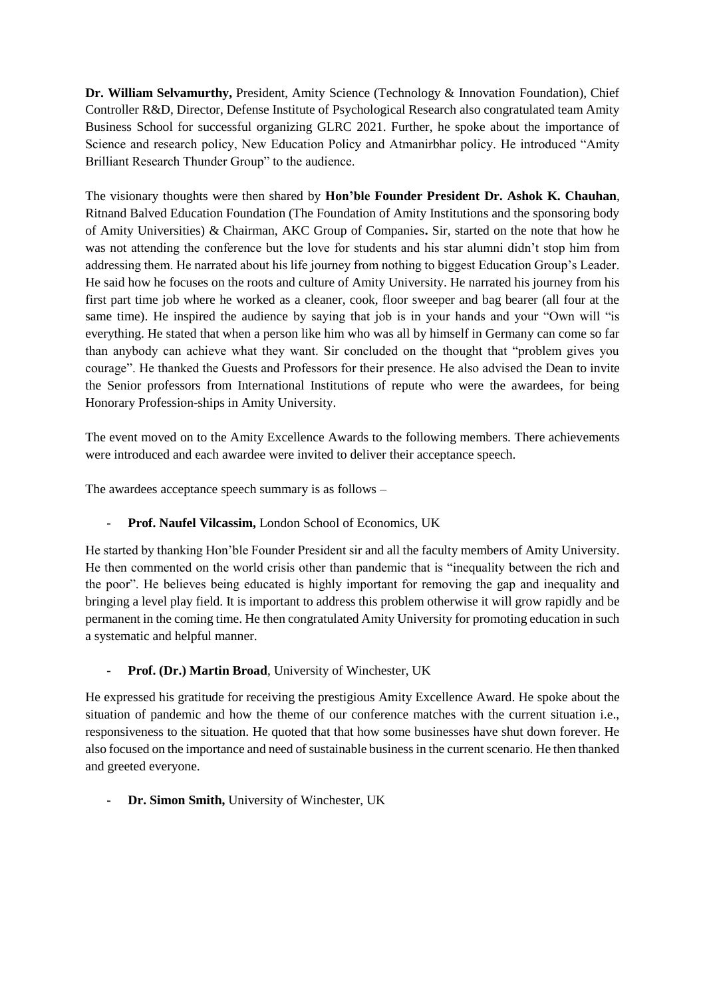**Dr. William Selvamurthy,** President, Amity Science (Technology & Innovation Foundation), Chief Controller R&D, Director, Defense Institute of Psychological Research also congratulated team Amity Business School for successful organizing GLRC 2021. Further, he spoke about the importance of Science and research policy, New Education Policy and Atmanirbhar policy. He introduced "Amity Brilliant Research Thunder Group" to the audience.

The visionary thoughts were then shared by **Hon'ble Founder President Dr. Ashok K. Chauhan**, Ritnand Balved Education Foundation (The Foundation of Amity Institutions and the sponsoring body of Amity Universities) & Chairman, AKC Group of Companies**.** Sir, started on the note that how he was not attending the conference but the love for students and his star alumni didn't stop him from addressing them. He narrated about his life journey from nothing to biggest Education Group's Leader. He said how he focuses on the roots and culture of Amity University. He narrated his journey from his first part time job where he worked as a cleaner, cook, floor sweeper and bag bearer (all four at the same time). He inspired the audience by saying that job is in your hands and your "Own will "is everything. He stated that when a person like him who was all by himself in Germany can come so far than anybody can achieve what they want. Sir concluded on the thought that "problem gives you courage". He thanked the Guests and Professors for their presence. He also advised the Dean to invite the Senior professors from International Institutions of repute who were the awardees, for being Honorary Profession-ships in Amity University.

The event moved on to the Amity Excellence Awards to the following members. There achievements were introduced and each awardee were invited to deliver their acceptance speech.

The awardees acceptance speech summary is as follows –

**- Prof. Naufel Vilcassim,** London School of Economics, UK

He started by thanking Hon'ble Founder President sir and all the faculty members of Amity University. He then commented on the world crisis other than pandemic that is "inequality between the rich and the poor". He believes being educated is highly important for removing the gap and inequality and bringing a level play field. It is important to address this problem otherwise it will grow rapidly and be permanent in the coming time. He then congratulated Amity University for promoting education in such a systematic and helpful manner.

**- Prof. (Dr.) Martin Broad**, University of Winchester, UK

He expressed his gratitude for receiving the prestigious Amity Excellence Award. He spoke about the situation of pandemic and how the theme of our conference matches with the current situation i.e., responsiveness to the situation. He quoted that that how some businesses have shut down forever. He also focused on the importance and need of sustainable business in the current scenario. He then thanked and greeted everyone.

**- Dr. Simon Smith,** University of Winchester, UK